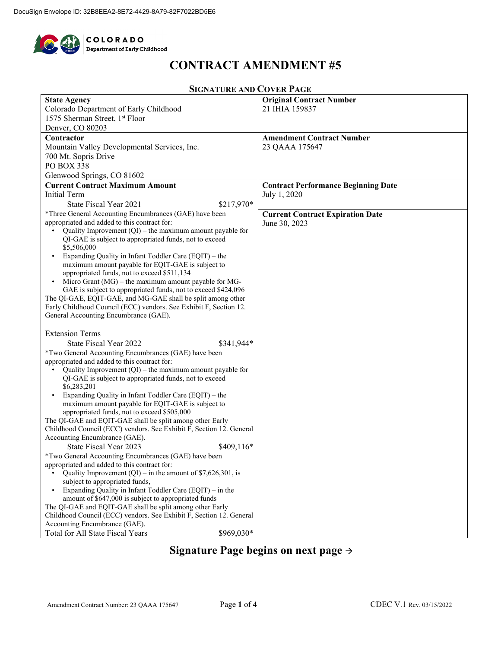

## **CONTRACT AMENDMENT #5**

#### **SIGNATURE AND COVER PAGE**

| <b>State Agency</b>                                                                                              | <b>Original Contract Number</b>            |
|------------------------------------------------------------------------------------------------------------------|--------------------------------------------|
| Colorado Department of Early Childhood                                                                           | 21 IHIA 159837                             |
| 1575 Sherman Street, 1st Floor                                                                                   |                                            |
| Denver, CO 80203                                                                                                 |                                            |
| Contractor                                                                                                       | <b>Amendment Contract Number</b>           |
| Mountain Valley Developmental Services, Inc.                                                                     | 23 QAAA 175647                             |
|                                                                                                                  |                                            |
| 700 Mt. Sopris Drive                                                                                             |                                            |
| PO BOX 338                                                                                                       |                                            |
| Glenwood Springs, CO 81602                                                                                       |                                            |
| <b>Current Contract Maximum Amount</b>                                                                           | <b>Contract Performance Beginning Date</b> |
| <b>Initial Term</b>                                                                                              | July 1, 2020                               |
| \$217,970*<br>State Fiscal Year 2021                                                                             |                                            |
| *Three General Accounting Encumbrances (GAE) have been                                                           | <b>Current Contract Expiration Date</b>    |
| appropriated and added to this contract for:                                                                     | June 30, 2023                              |
| Quality Improvement $(QI)$ – the maximum amount payable for                                                      |                                            |
| QI-GAE is subject to appropriated funds, not to exceed                                                           |                                            |
| \$5,506,000                                                                                                      |                                            |
| Expanding Quality in Infant Toddler Care (EQIT) – the                                                            |                                            |
| maximum amount payable for EQIT-GAE is subject to                                                                |                                            |
| appropriated funds, not to exceed \$511,134<br>Micro Grant ( $MG$ ) – the maximum amount payable for MG-         |                                            |
| GAE is subject to appropriated funds, not to exceed \$424,096                                                    |                                            |
| The QI-GAE, EQIT-GAE, and MG-GAE shall be split among other                                                      |                                            |
| Early Childhood Council (ECC) vendors. See Exhibit F, Section 12.                                                |                                            |
| General Accounting Encumbrance (GAE).                                                                            |                                            |
|                                                                                                                  |                                            |
| <b>Extension Terms</b>                                                                                           |                                            |
| State Fiscal Year 2022<br>\$341,944*                                                                             |                                            |
| *Two General Accounting Encumbrances (GAE) have been                                                             |                                            |
| appropriated and added to this contract for:                                                                     |                                            |
| Quality Improvement $(QI)$ – the maximum amount payable for                                                      |                                            |
| QI-GAE is subject to appropriated funds, not to exceed                                                           |                                            |
| \$6,283,201                                                                                                      |                                            |
| Expanding Quality in Infant Toddler Care (EQIT) - the                                                            |                                            |
| maximum amount payable for EQIT-GAE is subject to                                                                |                                            |
| appropriated funds, not to exceed \$505,000                                                                      |                                            |
| The QI-GAE and EQIT-GAE shall be split among other Early                                                         |                                            |
| Childhood Council (ECC) vendors. See Exhibit F, Section 12. General                                              |                                            |
| Accounting Encumbrance (GAE).                                                                                    |                                            |
| State Fiscal Year 2023<br>$$409,116*$                                                                            |                                            |
| *Two General Accounting Encumbrances (GAE) have been                                                             |                                            |
| appropriated and added to this contract for:                                                                     |                                            |
| Quality Improvement (QI) – in the amount of $$7,626,301$ , is                                                    |                                            |
| subject to appropriated funds,                                                                                   |                                            |
| Expanding Quality in Infant Toddler Care (EQIT) - in the<br>amount of \$647,000 is subject to appropriated funds |                                            |
| The QI-GAE and EQIT-GAE shall be split among other Early                                                         |                                            |
| Childhood Council (ECC) vendors. See Exhibit F, Section 12. General                                              |                                            |
| Accounting Encumbrance (GAE).                                                                                    |                                            |
| Total for All State Fiscal Years<br>\$969,030*                                                                   |                                            |
|                                                                                                                  |                                            |

# **Signature Page begins on next page**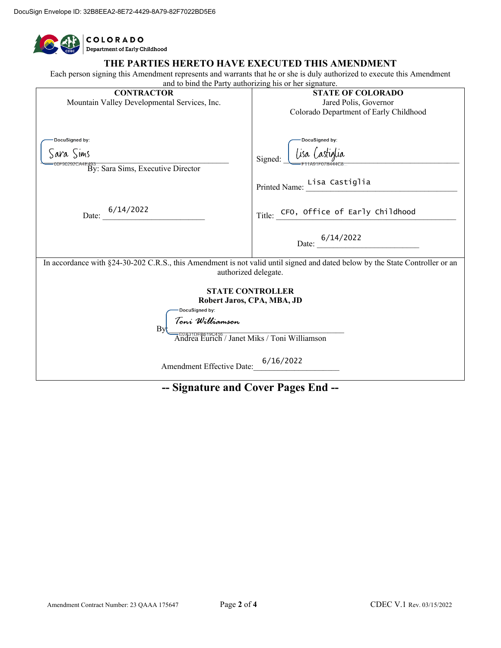| <b>COLORADO</b><br>Department of Early Childhood                                                                                                                 |                                                                                                                        |  |  |  |  |  |
|------------------------------------------------------------------------------------------------------------------------------------------------------------------|------------------------------------------------------------------------------------------------------------------------|--|--|--|--|--|
| THE PARTIES HERETO HAVE EXECUTED THIS AMENDMENT<br>and to bind the Party authorizing his or her signature.                                                       | Each person signing this Amendment represents and warrants that he or she is duly authorized to execute this Amendment |  |  |  |  |  |
| <b>CONTRACTOR</b><br>Mountain Valley Developmental Services, Inc.                                                                                                | <b>STATE OF COLORADO</b><br>Jared Polis, Governor<br>Colorado Department of Early Childhood                            |  |  |  |  |  |
| DocuSigned by:<br>Sara Sims<br>F90292CA4E493<br>By: Sara Sims, Executive Director                                                                                | DocuSigned by:<br>Lisa Castiglia<br>Signed:<br>Printed Name: Lisa Castiglia                                            |  |  |  |  |  |
| Date: $\frac{6}{14/2022}$                                                                                                                                        | Title: CFO, Office of Early Childhood<br>Date: $\frac{6/14/2022}{2}$                                                   |  |  |  |  |  |
| In accordance with §24-30-202 C.R.S., this Amendment is not valid until signed and dated below by the State Controller or an<br>authorized delegate.             |                                                                                                                        |  |  |  |  |  |
| <b>STATE CONTROLLER</b><br>Robert Jaros, CPA, MBA, JD<br>DocuSigned by:<br>Toni Williamson<br>Between<br>Betscate<br>Eurich / Janet Miks / Toni Williamson<br>Bv |                                                                                                                        |  |  |  |  |  |
| Amendment Effective Date: 6/16/2022                                                                                                                              |                                                                                                                        |  |  |  |  |  |

### **-- Signature and Cover Pages End --**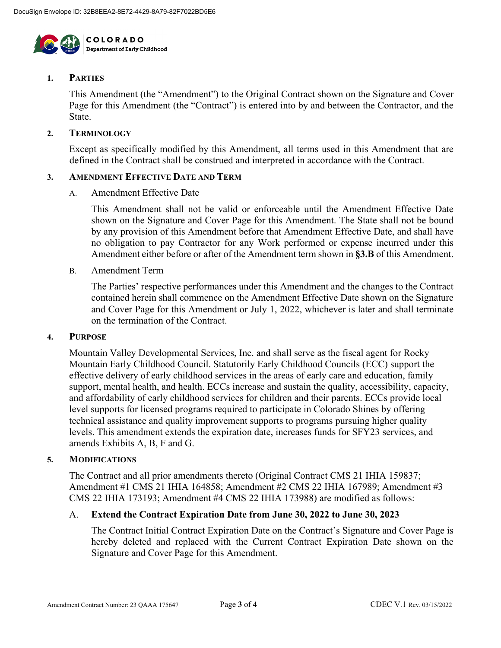

#### **1. PARTIES**

This Amendment (the "Amendment") to the Original Contract shown on the Signature and Cover Page for this Amendment (the "Contract") is entered into by and between the Contractor, and the State.

#### **2. TERMINOLOGY**

Except as specifically modified by this Amendment, all terms used in this Amendment that are defined in the Contract shall be construed and interpreted in accordance with the Contract.

#### **3. AMENDMENT EFFECTIVE DATE AND TERM**

A. Amendment Effective Date

This Amendment shall not be valid or enforceable until the Amendment Effective Date shown on the Signature and Cover Page for this Amendment. The State shall not be bound by any provision of this Amendment before that Amendment Effective Date, and shall have no obligation to pay Contractor for any Work performed or expense incurred under this Amendment either before or after of the Amendment term shown in **§3.B** of this Amendment.

B. Amendment Term

The Parties' respective performances under this Amendment and the changes to the Contract contained herein shall commence on the Amendment Effective Date shown on the Signature and Cover Page for this Amendment or July 1, 2022, whichever is later and shall terminate on the termination of the Contract.

#### **4. PURPOSE**

Mountain Valley Developmental Services, Inc. and shall serve as the fiscal agent for Rocky Mountain Early Childhood Council. Statutorily Early Childhood Councils (ECC) support the effective delivery of early childhood services in the areas of early care and education, family support, mental health, and health. ECCs increase and sustain the quality, accessibility, capacity, and affordability of early childhood services for children and their parents. ECCs provide local level supports for licensed programs required to participate in Colorado Shines by offering technical assistance and quality improvement supports to programs pursuing higher quality levels. This amendment extends the expiration date, increases funds for SFY23 services, and amends Exhibits A, B, F and G.

#### **5. MODIFICATIONS**

The Contract and all prior amendments thereto (Original Contract CMS 21 IHIA 159837; Amendment #1 CMS 21 IHIA 164858; Amendment #2 CMS 22 IHIA 167989; Amendment #3 CMS 22 IHIA 173193; Amendment #4 CMS 22 IHIA 173988) are modified as follows:

#### A. **Extend the Contract Expiration Date from June 30, 2022 to June 30, 2023**

The Contract Initial Contract Expiration Date on the Contract's Signature and Cover Page is hereby deleted and replaced with the Current Contract Expiration Date shown on the Signature and Cover Page for this Amendment.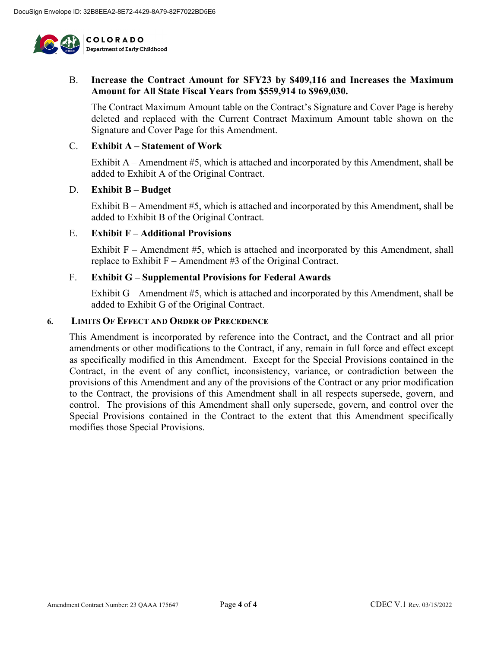

#### B. **Increase the Contract Amount for SFY23 by \$409,116 and Increases the Maximum Amount for All State Fiscal Years from \$559,914 to \$969,030.**

The Contract Maximum Amount table on the Contract's Signature and Cover Page is hereby deleted and replaced with the Current Contract Maximum Amount table shown on the Signature and Cover Page for this Amendment.

#### C. **Exhibit A – Statement of Work**

Exhibit A – Amendment #5, which is attached and incorporated by this Amendment, shall be added to Exhibit A of the Original Contract.

#### D. **Exhibit B – Budget**

Exhibit B – Amendment #5, which is attached and incorporated by this Amendment, shall be added to Exhibit B of the Original Contract.

#### E. **Exhibit F – Additional Provisions**

Exhibit F – Amendment #5, which is attached and incorporated by this Amendment, shall replace to Exhibit  $F -$  Amendment #3 of the Original Contract.

#### F. **Exhibit G – Supplemental Provisions for Federal Awards**

Exhibit G – Amendment #5, which is attached and incorporated by this Amendment, shall be added to Exhibit G of the Original Contract.

#### **6. LIMITS OF EFFECT AND ORDER OF PRECEDENCE**

This Amendment is incorporated by reference into the Contract, and the Contract and all prior amendments or other modifications to the Contract, if any, remain in full force and effect except as specifically modified in this Amendment. Except for the Special Provisions contained in the Contract, in the event of any conflict, inconsistency, variance, or contradiction between the provisions of this Amendment and any of the provisions of the Contract or any prior modification to the Contract, the provisions of this Amendment shall in all respects supersede, govern, and control. The provisions of this Amendment shall only supersede, govern, and control over the Special Provisions contained in the Contract to the extent that this Amendment specifically modifies those Special Provisions.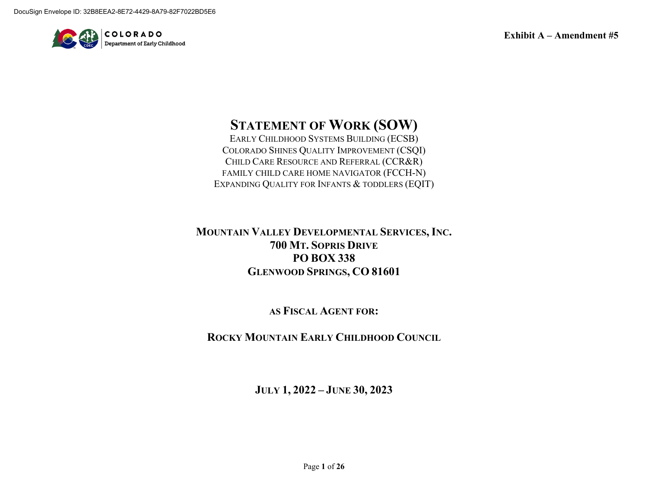

# **STATEMENT OF WORK (SOW)**

EARLY CHILDHOOD SYSTEMS BUILDING (ECSB) COLORADO SHINES QUALITY IMPROVEMENT (CSQI) CHILD CARE RESOURCE AND REFERRAL (CCR&R) FAMILY CHILD CARE HOME NAVIGATOR (FCCH-N) EXPANDING QUALITY FOR INFANTS & TODDLERS (EQIT)

**MOUNTAIN VALLEY DEVELOPMENTAL SERVICES, INC. 700 MT. SOPRIS DRIVE PO BOX 338 GLENWOOD SPRINGS, CO 81601**

**AS FISCAL AGENT FOR:**

**ROCKY MOUNTAIN EARLY CHILDHOOD COUNCIL**

**JULY 1, 2022 – JUNE 30, 2023**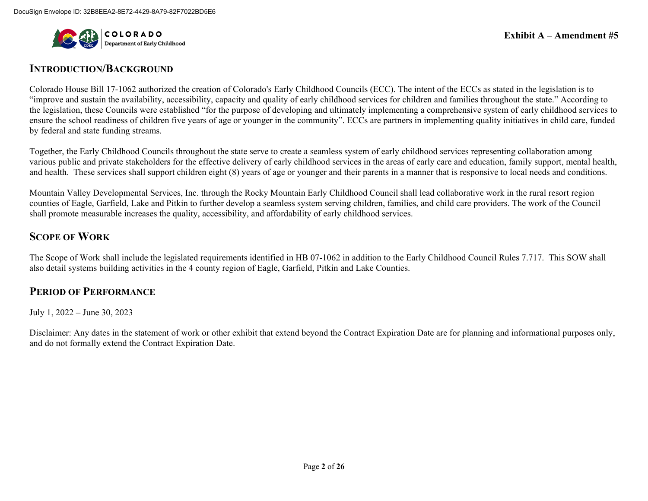

#### **INTRODUCTION/BACKGROUND**

Colorado House Bill 17-1062 authorized the creation of Colorado's Early Childhood Councils (ECC). The intent of the ECCs as stated in the legislation is to "improve and sustain the availability, accessibility, capacity and quality of early childhood services for children and families throughout the state." According to the legislation, these Councils were established "for the purpose of developing and ultimately implementing a comprehensive system of early childhood services to ensure the school readiness of children five years of age or younger in the community". ECCs are partners in implementing quality initiatives in child care, funded by federal and state funding streams.

Together, the Early Childhood Councils throughout the state serve to create a seamless system of early childhood services representing collaboration among various public and private stakeholders for the effective delivery of early childhood services in the areas of early care and education, family support, mental health, and health. These services shall support children eight (8) years of age or younger and their parents in a manner that is responsive to local needs and conditions.

Mountain Valley Developmental Services, Inc. through the Rocky Mountain Early Childhood Council shall lead collaborative work in the rural resort region counties of Eagle, Garfield, Lake and Pitkin to further develop a seamless system serving children, families, and child care providers. The work of the Council shall promote measurable increases the quality, accessibility, and affordability of early childhood services.

### **SCOPE OF WORK**

The Scope of Work shall include the legislated requirements identified in HB 07-1062 in addition to the Early Childhood Council Rules 7.717. This SOW shall also detail systems building activities in the 4 county region of Eagle, Garfield, Pitkin and Lake Counties.

### **PERIOD OF PERFORMANCE**

July 1, 2022 – June 30, 2023

Disclaimer: Any dates in the statement of work or other exhibit that extend beyond the Contract Expiration Date are for planning and informational purposes only, and do not formally extend the Contract Expiration Date.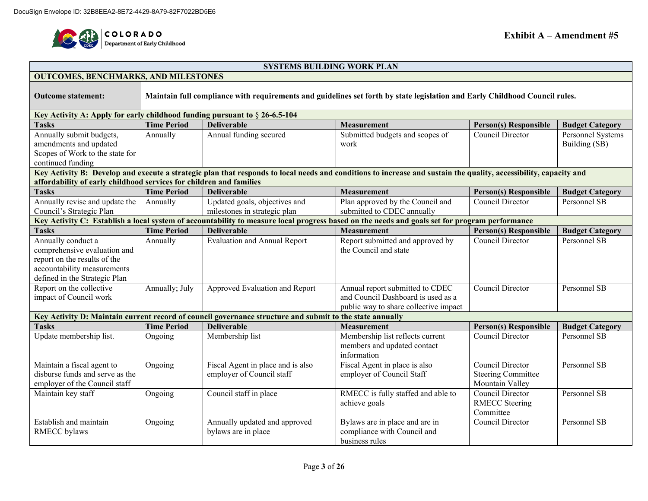

#### **SYSTEMS BUILDING WORK PLAN**

| <b>OUTCOMES, BENCHMARKS, AND MILESTONES</b>                                                                                                              |                    |                                                                                                          |                                                                                                                                                                   |                                                                  |                                    |  |  |  |  |
|----------------------------------------------------------------------------------------------------------------------------------------------------------|--------------------|----------------------------------------------------------------------------------------------------------|-------------------------------------------------------------------------------------------------------------------------------------------------------------------|------------------------------------------------------------------|------------------------------------|--|--|--|--|
| Maintain full compliance with requirements and guidelines set forth by state legislation and Early Childhood Council rules.<br><b>Outcome statement:</b> |                    |                                                                                                          |                                                                                                                                                                   |                                                                  |                                    |  |  |  |  |
| Key Activity A: Apply for early childhood funding pursuant to $\S 26-6.5-104$                                                                            |                    |                                                                                                          |                                                                                                                                                                   |                                                                  |                                    |  |  |  |  |
| <b>Tasks</b>                                                                                                                                             | <b>Time Period</b> | <b>Deliverable</b>                                                                                       | <b>Measurement</b>                                                                                                                                                | <b>Person(s) Responsible</b>                                     | <b>Budget Category</b>             |  |  |  |  |
| Annually submit budgets,<br>amendments and updated<br>Scopes of Work to the state for<br>continued funding                                               | Annually           | Annual funding secured                                                                                   | Submitted budgets and scopes of<br>work                                                                                                                           | Council Director                                                 | Personnel Systems<br>Building (SB) |  |  |  |  |
| affordability of early childhood services for children and families                                                                                      |                    |                                                                                                          | Key Activity B: Develop and execute a strategic plan that responds to local needs and conditions to increase and sustain the quality, accessibility, capacity and |                                                                  |                                    |  |  |  |  |
| <b>Tasks</b>                                                                                                                                             | <b>Time Period</b> | <b>Deliverable</b>                                                                                       | <b>Measurement</b>                                                                                                                                                | <b>Person(s) Responsible</b>                                     | <b>Budget Category</b>             |  |  |  |  |
| Annually revise and update the<br>Council's Strategic Plan                                                                                               | Annually           | Updated goals, objectives and<br>milestones in strategic plan                                            | Plan approved by the Council and<br>submitted to CDEC annually                                                                                                    | Council Director                                                 | Personnel SB                       |  |  |  |  |
|                                                                                                                                                          |                    |                                                                                                          | Key Activity C: Establish a local system of accountability to measure local progress based on the needs and goals set for program performance                     |                                                                  |                                    |  |  |  |  |
| <b>Tasks</b>                                                                                                                                             | <b>Time Period</b> | <b>Deliverable</b>                                                                                       | <b>Measurement</b>                                                                                                                                                | <b>Person(s) Responsible</b>                                     | <b>Budget Category</b>             |  |  |  |  |
| Annually conduct a<br>comprehensive evaluation and<br>report on the results of the<br>accountability measurements<br>defined in the Strategic Plan       | Annually           | <b>Evaluation and Annual Report</b>                                                                      | Report submitted and approved by<br>the Council and state                                                                                                         | Council Director                                                 | Personnel SB                       |  |  |  |  |
| Report on the collective<br>impact of Council work                                                                                                       | Annually; July     | Approved Evaluation and Report                                                                           | Annual report submitted to CDEC<br>and Council Dashboard is used as a<br>public way to share collective impact                                                    | Council Director                                                 | Personnel SB                       |  |  |  |  |
|                                                                                                                                                          |                    | Key Activity D: Maintain current record of council governance structure and submit to the state annually |                                                                                                                                                                   |                                                                  |                                    |  |  |  |  |
| <b>Tasks</b>                                                                                                                                             | <b>Time Period</b> | <b>Deliverable</b>                                                                                       | <b>Measurement</b>                                                                                                                                                | <b>Person(s) Responsible</b>                                     | <b>Budget Category</b>             |  |  |  |  |
| Update membership list.                                                                                                                                  | Ongoing            | Membership list                                                                                          | Membership list reflects current<br>members and updated contact<br>information                                                                                    | Council Director                                                 | Personnel SB                       |  |  |  |  |
| Maintain a fiscal agent to<br>disburse funds and serve as the<br>employer of the Council staff                                                           | Ongoing            | Fiscal Agent in place and is also<br>employer of Council staff                                           | Fiscal Agent in place is also<br>employer of Council Staff                                                                                                        | Council Director<br><b>Steering Committee</b><br>Mountain Valley | Personnel SB                       |  |  |  |  |
| Maintain key staff                                                                                                                                       | Ongoing            | Council staff in place                                                                                   | RMECC is fully staffed and able to<br>achieve goals                                                                                                               | Council Director<br><b>RMECC</b> Steering<br>Committee           | Personnel SB                       |  |  |  |  |
| Establish and maintain<br><b>RMECC</b> bylaws                                                                                                            | Ongoing            | Annually updated and approved<br>bylaws are in place                                                     | Bylaws are in place and are in<br>compliance with Council and<br>business rules                                                                                   | Council Director                                                 | Personnel SB                       |  |  |  |  |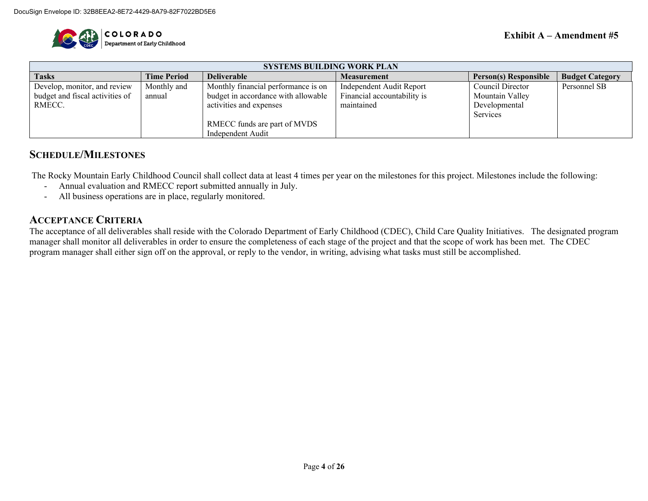

| <b>SYSTEMS BUILDING WORK PLAN</b> |                    |                                     |                             |                              |                        |  |  |  |
|-----------------------------------|--------------------|-------------------------------------|-----------------------------|------------------------------|------------------------|--|--|--|
| <b>Tasks</b>                      | <b>Time Period</b> | <b>Deliverable</b>                  | <b>Measurement</b>          | <b>Person(s) Responsible</b> | <b>Budget Category</b> |  |  |  |
| Develop, monitor, and review      | Monthly and        | Monthly financial performance is on | Independent Audit Report    | Council Director             | Personnel SB           |  |  |  |
| budget and fiscal activities of   | annual             | budget in accordance with allowable | Financial accountability is | Mountain Valley              |                        |  |  |  |
| RMECC.                            |                    | activities and expenses             | maintained                  | Developmental                |                        |  |  |  |
|                                   |                    |                                     |                             | Services                     |                        |  |  |  |
|                                   |                    | RMECC funds are part of MVDS        |                             |                              |                        |  |  |  |
|                                   |                    | Independent Audit                   |                             |                              |                        |  |  |  |

### **SCHEDULE/MILESTONES**

The Rocky Mountain Early Childhood Council shall collect data at least 4 times per year on the milestones for this project. Milestones include the following:

- Annual evaluation and RMECC report submitted annually in July.
- All business operations are in place, regularly monitored.

### **ACCEPTANCE CRITERIA**

The acceptance of all deliverables shall reside with the Colorado Department of Early Childhood (CDEC), Child Care Quality Initiatives. The designated program manager shall monitor all deliverables in order to ensure the completeness of each stage of the project and that the scope of work has been met. The CDEC program manager shall either sign off on the approval, or reply to the vendor, in writing, advising what tasks must still be accomplished.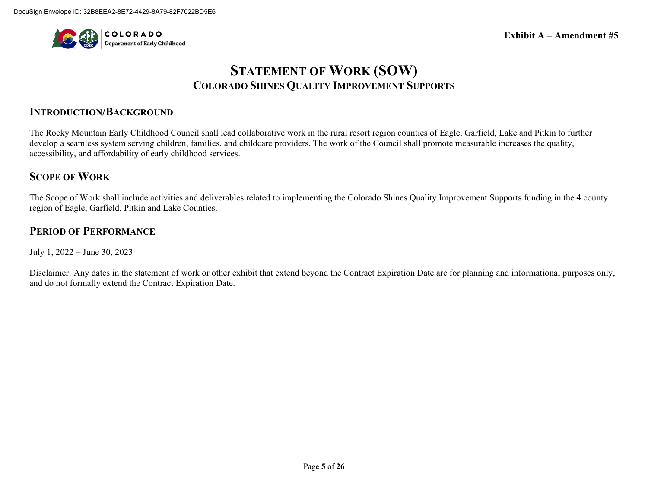

# **STATEMENT OF WORK (SOW) COLORADO SHINES QUALITY IMPROVEMENT SUPPORTS**

### **INTRODUCTION/BACKGROUND**

The Rocky Mountain Early Childhood Council shall lead collaborative work in the rural resort region counties of Eagle, Garfield, Lake and Pitkin to further develop a seamless system serving children, families, and childcare providers. The work of the Council shall promote measurable increases the quality, accessibility, and affordability of early childhood services.

### **SCOPE OF WORK**

The Scope of Work shall include activities and deliverables related to implementing the Colorado Shines Quality Improvement Supports funding in the 4 county region of Eagle, Garfield, Pitkin and Lake Counties.

### **PERIOD OF PERFORMANCE**

July 1, 2022 – June 30, 2023

Disclaimer: Any dates in the statement of work or other exhibit that extend beyond the Contract Expiration Date are for planning and informational purposes only, and do not formally extend the Contract Expiration Date.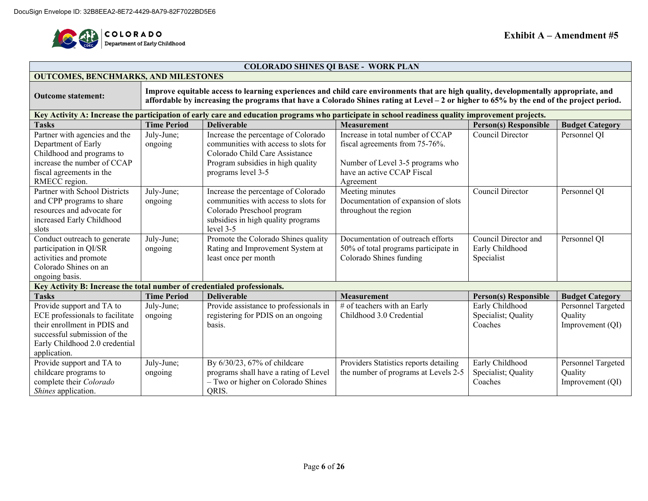

#### **COLORADO SHINES QI BASE - WORK PLAN**

#### **OUTCOMES, BENCHMARKS, AND MILESTONES**

**Outcome statement: Improve equitable access to learning experiences and child care environments that are high quality, developmentally appropriate, and affordable by increasing the programs that have a Colorado Shines rating at Level – 2 or higher to 65% by the end of the project period.** 

| Key Activity A: Increase the participation of early care and education programs who participate in school readiness quality improvement projects. |                       |                                                                             |                                                                    |                              |                        |  |  |  |  |
|---------------------------------------------------------------------------------------------------------------------------------------------------|-----------------------|-----------------------------------------------------------------------------|--------------------------------------------------------------------|------------------------------|------------------------|--|--|--|--|
| <b>Tasks</b>                                                                                                                                      | <b>Time Period</b>    | <b>Deliverable</b>                                                          | <b>Measurement</b>                                                 | <b>Person(s) Responsible</b> | <b>Budget Category</b> |  |  |  |  |
| Partner with agencies and the<br>Department of Early                                                                                              | July-June;<br>ongoing | Increase the percentage of Colorado<br>communities with access to slots for | Increase in total number of CCAP<br>fiscal agreements from 75-76%. | Council Director             | Personnel QI           |  |  |  |  |
| Childhood and programs to                                                                                                                         |                       | Colorado Child Care Assistance                                              |                                                                    |                              |                        |  |  |  |  |
| increase the number of CCAP                                                                                                                       |                       | Program subsidies in high quality                                           | Number of Level 3-5 programs who                                   |                              |                        |  |  |  |  |
| fiscal agreements in the<br>RMECC region.                                                                                                         |                       | programs level 3-5                                                          | have an active CCAP Fiscal<br>Agreement                            |                              |                        |  |  |  |  |
| Partner with School Districts                                                                                                                     | July-June;            | Increase the percentage of Colorado                                         | Meeting minutes                                                    | Council Director             | Personnel QI           |  |  |  |  |
| and CPP programs to share                                                                                                                         | ongoing               | communities with access to slots for                                        | Documentation of expansion of slots                                |                              |                        |  |  |  |  |
| resources and advocate for                                                                                                                        |                       | Colorado Preschool program                                                  | throughout the region                                              |                              |                        |  |  |  |  |
| increased Early Childhood                                                                                                                         |                       | subsidies in high quality programs                                          |                                                                    |                              |                        |  |  |  |  |
| slots                                                                                                                                             |                       | $level 3-5$                                                                 |                                                                    |                              |                        |  |  |  |  |
| Conduct outreach to generate                                                                                                                      | July-June;            | Promote the Colorado Shines quality                                         | Documentation of outreach efforts                                  | Council Director and         | Personnel QI           |  |  |  |  |
| participation in QI/SR                                                                                                                            | ongoing               | Rating and Improvement System at                                            | 50% of total programs participate in                               | Early Childhood              |                        |  |  |  |  |
| activities and promote                                                                                                                            |                       | least once per month                                                        | Colorado Shines funding                                            | Specialist                   |                        |  |  |  |  |
| Colorado Shines on an                                                                                                                             |                       |                                                                             |                                                                    |                              |                        |  |  |  |  |
| ongoing basis.                                                                                                                                    |                       |                                                                             |                                                                    |                              |                        |  |  |  |  |
| Key Activity B: Increase the total number of credentialed professionals.                                                                          |                       |                                                                             |                                                                    |                              |                        |  |  |  |  |
| <b>Tasks</b>                                                                                                                                      | <b>Time Period</b>    | <b>Deliverable</b>                                                          | <b>Measurement</b>                                                 | <b>Person(s) Responsible</b> | <b>Budget Category</b> |  |  |  |  |
| Provide support and TA to                                                                                                                         | July-June;            | Provide assistance to professionals in                                      | # of teachers with an Early                                        | Early Childhood              | Personnel Targeted     |  |  |  |  |
| ECE professionals to facilitate                                                                                                                   | ongoing               | registering for PDIS on an ongoing                                          | Childhood 3.0 Credential                                           | Specialist; Quality          | Quality                |  |  |  |  |
| their enrollment in PDIS and<br>successful submission of the                                                                                      |                       | basis.                                                                      |                                                                    | Coaches                      | Improvement (QI)       |  |  |  |  |
| Early Childhood 2.0 credential                                                                                                                    |                       |                                                                             |                                                                    |                              |                        |  |  |  |  |
| application.                                                                                                                                      |                       |                                                                             |                                                                    |                              |                        |  |  |  |  |
| Provide support and TA to                                                                                                                         | July-June;            | By 6/30/23, 67% of childcare                                                | Providers Statistics reports detailing                             | Early Childhood              | Personnel Targeted     |  |  |  |  |
| childcare programs to                                                                                                                             | ongoing               | programs shall have a rating of Level                                       | the number of programs at Levels 2-5                               | Specialist; Quality          | Quality                |  |  |  |  |
| complete their Colorado                                                                                                                           |                       | - Two or higher on Colorado Shines                                          |                                                                    | Coaches                      | Improvement (QI)       |  |  |  |  |
| Shines application.                                                                                                                               |                       | QRIS.                                                                       |                                                                    |                              |                        |  |  |  |  |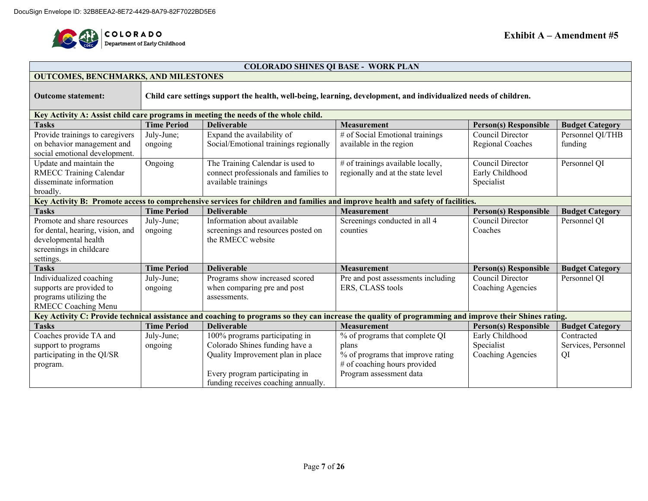

#### **COLORADO SHINES QI BASE - WORK PLAN**

| <b>OUTCOMES, BENCHMARKS, AND MILESTONES</b>                                                                                                   |                    |                                                                                                                                                        |                                    |                              |                        |  |  |  |  |  |
|-----------------------------------------------------------------------------------------------------------------------------------------------|--------------------|--------------------------------------------------------------------------------------------------------------------------------------------------------|------------------------------------|------------------------------|------------------------|--|--|--|--|--|
| Child care settings support the health, well-being, learning, development, and individualized needs of children.<br><b>Outcome statement:</b> |                    |                                                                                                                                                        |                                    |                              |                        |  |  |  |  |  |
| Key Activity A: Assist child care programs in meeting the needs of the whole child.                                                           |                    |                                                                                                                                                        |                                    |                              |                        |  |  |  |  |  |
| <b>Tasks</b>                                                                                                                                  | <b>Time Period</b> | <b>Deliverable</b>                                                                                                                                     | <b>Measurement</b>                 | <b>Person(s) Responsible</b> | <b>Budget Category</b> |  |  |  |  |  |
| Provide trainings to caregivers                                                                                                               | July-June;         | Expand the availability of                                                                                                                             | # of Social Emotional trainings    | Council Director             | Personnel QI/THB       |  |  |  |  |  |
| on behavior management and                                                                                                                    | ongoing            | Social/Emotional trainings regionally                                                                                                                  | available in the region            | Regional Coaches             | funding                |  |  |  |  |  |
| social emotional development.                                                                                                                 |                    |                                                                                                                                                        |                                    |                              |                        |  |  |  |  |  |
| Update and maintain the                                                                                                                       | Ongoing            | The Training Calendar is used to                                                                                                                       | # of trainings available locally,  | Council Director             | Personnel QI           |  |  |  |  |  |
| <b>RMECC Training Calendar</b>                                                                                                                |                    | connect professionals and families to                                                                                                                  | regionally and at the state level  | Early Childhood              |                        |  |  |  |  |  |
| disseminate information                                                                                                                       |                    | available trainings                                                                                                                                    |                                    | Specialist                   |                        |  |  |  |  |  |
| broadly.                                                                                                                                      |                    |                                                                                                                                                        |                                    |                              |                        |  |  |  |  |  |
|                                                                                                                                               |                    | Key Activity B: Promote access to comprehensive services for children and families and improve health and safety of facilities.                        |                                    |                              |                        |  |  |  |  |  |
| <b>Tasks</b>                                                                                                                                  | <b>Time Period</b> | <b>Deliverable</b>                                                                                                                                     | <b>Measurement</b>                 | <b>Person(s) Responsible</b> | <b>Budget Category</b> |  |  |  |  |  |
| Promote and share resources                                                                                                                   | July-June;         | Information about available                                                                                                                            | Screenings conducted in all 4      | Council Director             | Personnel QI           |  |  |  |  |  |
| for dental, hearing, vision, and                                                                                                              | ongoing            | screenings and resources posted on                                                                                                                     | counties                           | Coaches                      |                        |  |  |  |  |  |
| developmental health                                                                                                                          |                    | the RMECC website                                                                                                                                      |                                    |                              |                        |  |  |  |  |  |
| screenings in childcare                                                                                                                       |                    |                                                                                                                                                        |                                    |                              |                        |  |  |  |  |  |
| settings.                                                                                                                                     |                    |                                                                                                                                                        |                                    |                              |                        |  |  |  |  |  |
| <b>Tasks</b>                                                                                                                                  | <b>Time Period</b> | <b>Deliverable</b>                                                                                                                                     | <b>Measurement</b>                 | <b>Person(s) Responsible</b> | <b>Budget Category</b> |  |  |  |  |  |
| Individualized coaching                                                                                                                       | July-June;         | Programs show increased scored                                                                                                                         | Pre and post assessments including | Council Director             | Personnel QI           |  |  |  |  |  |
| supports are provided to                                                                                                                      | ongoing            | when comparing pre and post                                                                                                                            | ERS, CLASS tools                   | Coaching Agencies            |                        |  |  |  |  |  |
| programs utilizing the                                                                                                                        |                    | assessments.                                                                                                                                           |                                    |                              |                        |  |  |  |  |  |
| RMECC Coaching Menu                                                                                                                           |                    |                                                                                                                                                        |                                    |                              |                        |  |  |  |  |  |
|                                                                                                                                               |                    | Key Activity C: Provide technical assistance and coaching to programs so they can increase the quality of programming and improve their Shines rating. |                                    |                              |                        |  |  |  |  |  |
| <b>Tasks</b>                                                                                                                                  | <b>Time Period</b> | <b>Deliverable</b>                                                                                                                                     | <b>Measurement</b>                 | <b>Person(s) Responsible</b> | <b>Budget Category</b> |  |  |  |  |  |
| Coaches provide TA and                                                                                                                        | July-June;         | 100% programs participating in                                                                                                                         | % of programs that complete QI     | Early Childhood              | Contracted             |  |  |  |  |  |
| support to programs                                                                                                                           | ongoing            | Colorado Shines funding have a                                                                                                                         | plans                              | Specialist                   | Services, Personnel    |  |  |  |  |  |
| participating in the QI/SR                                                                                                                    |                    | Quality Improvement plan in place                                                                                                                      | % of programs that improve rating  | Coaching Agencies            | QI                     |  |  |  |  |  |
| program.                                                                                                                                      |                    |                                                                                                                                                        | # of coaching hours provided       |                              |                        |  |  |  |  |  |
|                                                                                                                                               |                    | Every program participating in                                                                                                                         | Program assessment data            |                              |                        |  |  |  |  |  |
|                                                                                                                                               |                    | funding receives coaching annually.                                                                                                                    |                                    |                              |                        |  |  |  |  |  |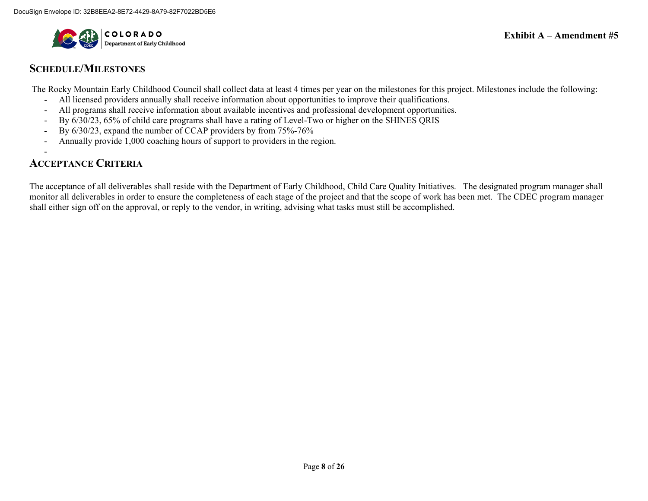

### **SCHEDULE/MILESTONES**

The Rocky Mountain Early Childhood Council shall collect data at least 4 times per year on the milestones for this project. Milestones include the following:

- All licensed providers annually shall receive information about opportunities to improve their qualifications.
- All programs shall receive information about available incentives and professional development opportunities.
- By 6/30/23, 65% of child care programs shall have a rating of Level-Two or higher on the SHINES QRIS
- By 6/30/23, expand the number of CCAP providers by from 75%-76%
- Annually provide 1,000 coaching hours of support to providers in the region.

#### - **ACCEPTANCE CRITERIA**

The acceptance of all deliverables shall reside with the Department of Early Childhood, Child Care Quality Initiatives. The designated program manager shall monitor all deliverables in order to ensure the completeness of each stage of the project and that the scope of work has been met. The CDEC program manager shall either sign off on the approval, or reply to the vendor, in writing, advising what tasks must still be accomplished.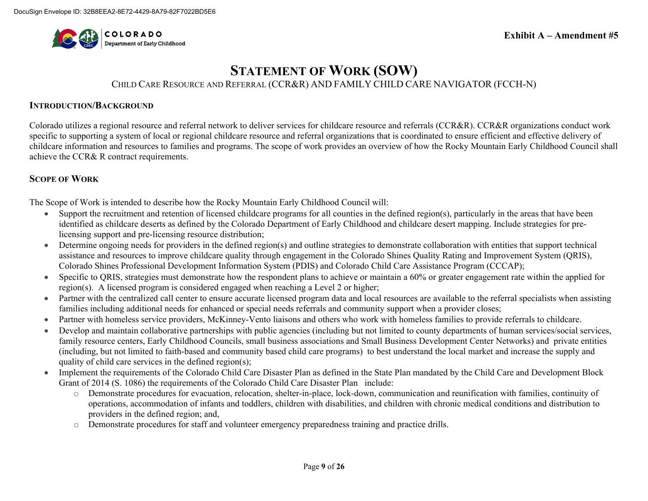

# **STATEMENT OF WORK (SOW)**

CHILD CARE RESOURCE AND REFERRAL (CCR&R) AND FAMILY CHILD CARE NAVIGATOR (FCCH-N)

#### **INTRODUCTION/BACKGROUND**

Colorado utilizes a regional resource and referral network to deliver services for childcare resource and referrals (CCR&R). CCR&R organizations conduct work specific to supporting a system of local or regional childcare resource and referral organizations that is coordinated to ensure efficient and effective delivery of childcare information and resources to families and programs. The scope of work provides an overview of how the Rocky Mountain Early Childhood Council shall achieve the CCR& R contract requirements.

#### **SCOPE OF WORK**

The Scope of Work is intended to describe how the Rocky Mountain Early Childhood Council will:

- Support the recruitment and retention of licensed childcare programs for all counties in the defined region(s), particularly in the areas that have been identified as childcare deserts as defined by the Colorado Department of Early Childhood and childcare desert mapping. Include strategies for prelicensing support and pre-licensing resource distribution;
- Determine ongoing needs for providers in the defined region(s) and outline strategies to demonstrate collaboration with entities that support technical assistance and resources to improve childcare quality through engagement in the Colorado Shines Quality Rating and Improvement System (QRIS), Colorado Shines Professional Development Information System (PDIS) and Colorado Child Care Assistance Program (CCCAP);
- Specific to QRIS, strategies must demonstrate how the respondent plans to achieve or maintain a 60% or greater engagement rate within the applied for region(s). A licensed program is considered engaged when reaching a Level 2 or higher;
- Partner with the centralized call center to ensure accurate licensed program data and local resources are available to the referral specialists when assisting families including additional needs for enhanced or special needs referrals and community support when a provider closes;
- Partner with homeless service providers, McKinney-Vento liaisons and others who work with homeless families to provide referrals to childcare.
- Develop and maintain collaborative partnerships with public agencies (including but not limited to county departments of human services/social services, family resource centers, Early Childhood Councils, small business associations and Small Business Development Center Networks) and private entities (including, but not limited to faith-based and community based child care programs) to best understand the local market and increase the supply and quality of child care services in the defined region(s);
- Implement the requirements of the Colorado Child Care Disaster Plan as defined in the State Plan mandated by the Child Care and Development Block Grant of 2014 (S. 1086) the requirements of the Colorado Child Care Disaster Plan include:
	- o Demonstrate procedures for evacuation, relocation, shelter-in-place, lock-down, communication and reunification with families, continuity of operations, accommodation of infants and toddlers, children with disabilities, and children with chronic medical conditions and distribution to providers in the defined region; and,
	- o Demonstrate procedures for staff and volunteer emergency preparedness training and practice drills.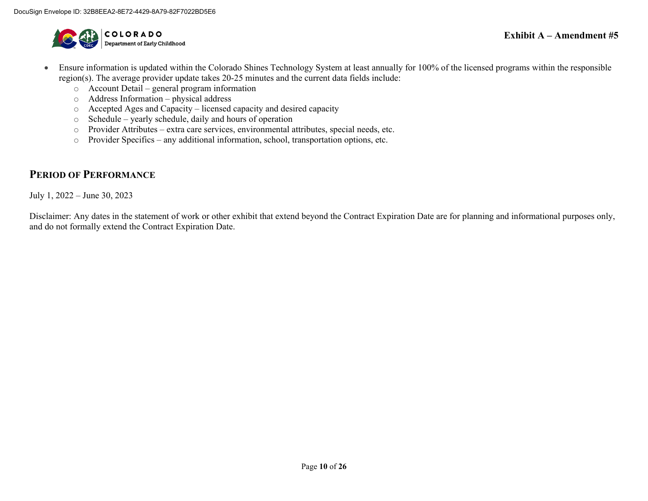

- Ensure information is updated within the Colorado Shines Technology System at least annually for 100% of the licensed programs within the responsible region(s). The average provider update takes 20-25 minutes and the current data fields include:
	- o Account Detail general program information
	- o Address Information physical address
	- o Accepted Ages and Capacity licensed capacity and desired capacity
	- o Schedule yearly schedule, daily and hours of operation
	- o Provider Attributes extra care services, environmental attributes, special needs, etc.
	- o Provider Specifics any additional information, school, transportation options, etc.

### **PERIOD OF PERFORMANCE**

July 1, 2022 – June 30, 2023

Disclaimer: Any dates in the statement of work or other exhibit that extend beyond the Contract Expiration Date are for planning and informational purposes only, and do not formally extend the Contract Expiration Date.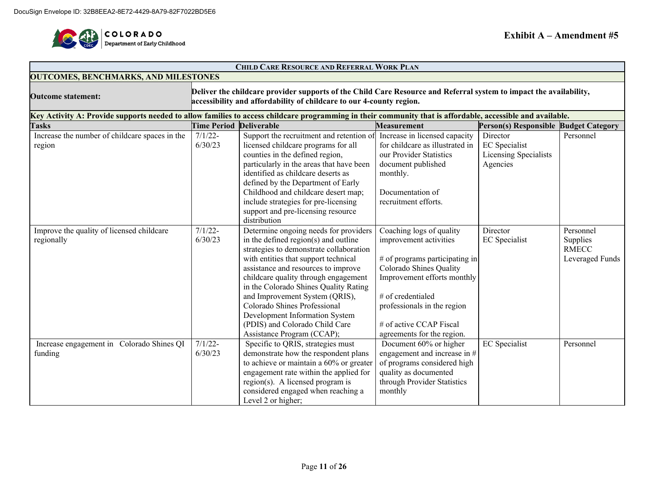

 $\blacksquare$ 

| <b>CHILD CARE RESOURCE AND REFERRAL WORK PLAN</b>                                                                                                          |                                             |                                                                                                                                                                                                                                                                                                                                                                                                                                                              |                                                                                                                                                                                                                                                             |                                                                       |                                                          |  |  |
|------------------------------------------------------------------------------------------------------------------------------------------------------------|---------------------------------------------|--------------------------------------------------------------------------------------------------------------------------------------------------------------------------------------------------------------------------------------------------------------------------------------------------------------------------------------------------------------------------------------------------------------------------------------------------------------|-------------------------------------------------------------------------------------------------------------------------------------------------------------------------------------------------------------------------------------------------------------|-----------------------------------------------------------------------|----------------------------------------------------------|--|--|
|                                                                                                                                                            | <b>OUTCOMES, BENCHMARKS, AND MILESTONES</b> |                                                                                                                                                                                                                                                                                                                                                                                                                                                              |                                                                                                                                                                                                                                                             |                                                                       |                                                          |  |  |
| <b>Outcome statement:</b>                                                                                                                                  |                                             | Deliver the childcare provider supports of the Child Care Resource and Referral system to impact the availability,<br>accessibility and affordability of childcare to our 4-county region.                                                                                                                                                                                                                                                                   |                                                                                                                                                                                                                                                             |                                                                       |                                                          |  |  |
| Key Activity A: Provide supports needed to allow families to access childcare programming in their community that is affordable, accessible and available. |                                             |                                                                                                                                                                                                                                                                                                                                                                                                                                                              |                                                                                                                                                                                                                                                             |                                                                       |                                                          |  |  |
| <b>Tasks</b>                                                                                                                                               | <b>Time Period Deliverable</b>              |                                                                                                                                                                                                                                                                                                                                                                                                                                                              | <b>Measurement</b>                                                                                                                                                                                                                                          | Person(s) Responsible Budget Category                                 |                                                          |  |  |
| Increase the number of childcare spaces in the<br>region                                                                                                   | $7/1/22$ -<br>6/30/23                       | Support the recruitment and retention of<br>licensed childcare programs for all<br>counties in the defined region,<br>particularly in the areas that have been<br>identified as childcare deserts as<br>defined by the Department of Early<br>Childhood and childcare desert map;<br>include strategies for pre-licensing                                                                                                                                    | Increase in licensed capacity<br>for childcare as illustrated in<br>our Provider Statistics<br>document published<br>monthly.<br>Documentation of<br>recruitment efforts.                                                                                   | Director<br><b>EC</b> Specialist<br>Licensing Specialists<br>Agencies | Personnel                                                |  |  |
|                                                                                                                                                            |                                             | support and pre-licensing resource<br>distribution                                                                                                                                                                                                                                                                                                                                                                                                           |                                                                                                                                                                                                                                                             |                                                                       |                                                          |  |  |
| Improve the quality of licensed childcare<br>regionally                                                                                                    | $7/1/22 -$<br>6/30/23                       | Determine ongoing needs for providers<br>in the defined region(s) and outline<br>strategies to demonstrate collaboration<br>with entities that support technical<br>assistance and resources to improve<br>childcare quality through engagement<br>in the Colorado Shines Quality Rating<br>and Improvement System (QRIS),<br>Colorado Shines Professional<br>Development Information System<br>(PDIS) and Colorado Child Care<br>Assistance Program (CCAP); | Coaching logs of quality<br>improvement activities<br># of programs participating in<br>Colorado Shines Quality<br>Improvement efforts monthly<br># of credentialed<br>professionals in the region<br># of active CCAP Fiscal<br>agreements for the region. | Director<br><b>EC</b> Specialist                                      | Personnel<br>Supplies<br><b>RMECC</b><br>Leveraged Funds |  |  |
| Increase engagement in Colorado Shines QI<br>funding                                                                                                       | $7/1/22$ -<br>6/30/23                       | Specific to QRIS, strategies must<br>demonstrate how the respondent plans<br>to achieve or maintain a 60% or greater<br>engagement rate within the applied for<br>region(s). A licensed program is<br>considered engaged when reaching a<br>Level 2 or higher;                                                                                                                                                                                               | Document 60% or higher<br>engagement and increase in #<br>of programs considered high<br>quality as documented<br>through Provider Statistics<br>monthly                                                                                                    | <b>EC</b> Specialist                                                  | Personnel                                                |  |  |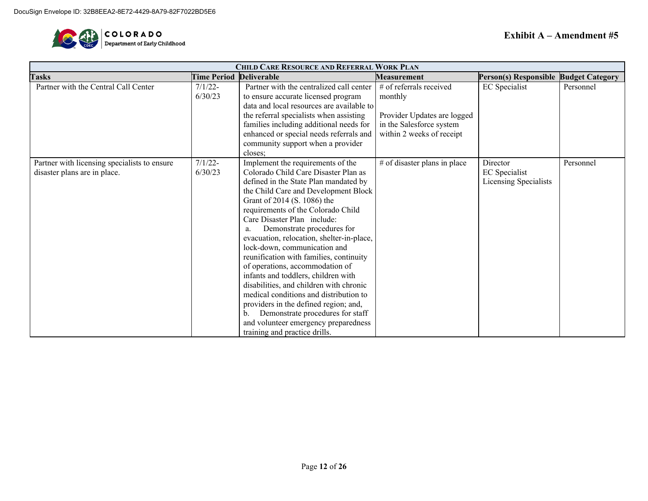

| <b>CHILD CARE RESOURCE AND REFERRAL WORK PLAN</b> |                                |                                           |                              |                                       |           |  |
|---------------------------------------------------|--------------------------------|-------------------------------------------|------------------------------|---------------------------------------|-----------|--|
| <b>Tasks</b>                                      | <b>Time Period Deliverable</b> |                                           | <b>Measurement</b>           | Person(s) Responsible Budget Category |           |  |
| Partner with the Central Call Center              | $7/1/22$ -                     | Partner with the centralized call center  | # of referrals received      | <b>EC</b> Specialist                  | Personnel |  |
|                                                   | 6/30/23                        | to ensure accurate licensed program       | monthly                      |                                       |           |  |
|                                                   |                                | data and local resources are available to |                              |                                       |           |  |
|                                                   |                                | the referral specialists when assisting   | Provider Updates are logged  |                                       |           |  |
|                                                   |                                | families including additional needs for   | in the Salesforce system     |                                       |           |  |
|                                                   |                                | enhanced or special needs referrals and   | within 2 weeks of receipt    |                                       |           |  |
|                                                   |                                | community support when a provider         |                              |                                       |           |  |
|                                                   |                                | closes:                                   |                              |                                       |           |  |
| Partner with licensing specialists to ensure      | $7/1/22$ -                     | Implement the requirements of the         | # of disaster plans in place | Director                              | Personnel |  |
| disaster plans are in place.                      | 6/30/23                        | Colorado Child Care Disaster Plan as      |                              | EC Specialist                         |           |  |
|                                                   |                                | defined in the State Plan mandated by     |                              | Licensing Specialists                 |           |  |
|                                                   |                                | the Child Care and Development Block      |                              |                                       |           |  |
|                                                   |                                | Grant of 2014 (S. 1086) the               |                              |                                       |           |  |
|                                                   |                                | requirements of the Colorado Child        |                              |                                       |           |  |
|                                                   |                                | Care Disaster Plan include:               |                              |                                       |           |  |
|                                                   |                                | Demonstrate procedures for<br>a.          |                              |                                       |           |  |
|                                                   |                                | evacuation, relocation, shelter-in-place, |                              |                                       |           |  |
|                                                   |                                | lock-down, communication and              |                              |                                       |           |  |
|                                                   |                                | reunification with families, continuity   |                              |                                       |           |  |
|                                                   |                                | of operations, accommodation of           |                              |                                       |           |  |
|                                                   |                                | infants and toddlers, children with       |                              |                                       |           |  |
|                                                   |                                | disabilities, and children with chronic   |                              |                                       |           |  |
|                                                   |                                | medical conditions and distribution to    |                              |                                       |           |  |
|                                                   |                                | providers in the defined region; and,     |                              |                                       |           |  |
|                                                   |                                | Demonstrate procedures for staff<br>b.    |                              |                                       |           |  |
|                                                   |                                | and volunteer emergency preparedness      |                              |                                       |           |  |
|                                                   |                                | training and practice drills.             |                              |                                       |           |  |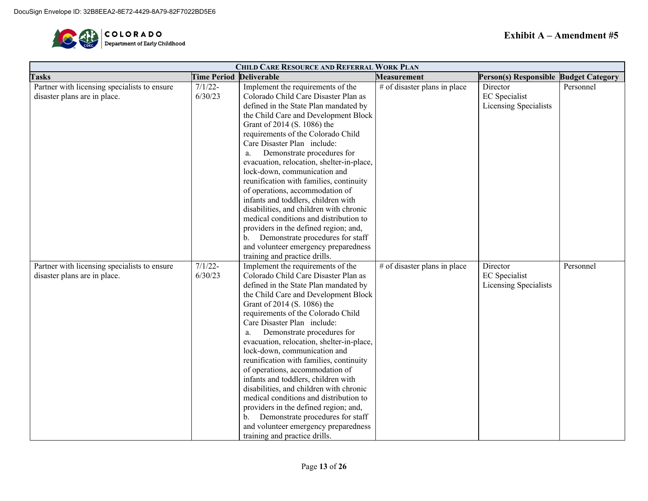

| <b>CHILD CARE RESOURCE AND REFERRAL WORK PLAN</b> |                                |                                           |                              |                                       |           |
|---------------------------------------------------|--------------------------------|-------------------------------------------|------------------------------|---------------------------------------|-----------|
| <b>Tasks</b>                                      | <b>Time Period Deliverable</b> |                                           | <b>Measurement</b>           | Person(s) Responsible Budget Category |           |
| Partner with licensing specialists to ensure      | $7/1/22-$                      | Implement the requirements of the         | # of disaster plans in place | Director                              | Personnel |
| disaster plans are in place.                      | 6/30/23                        | Colorado Child Care Disaster Plan as      |                              | <b>EC</b> Specialist                  |           |
|                                                   |                                | defined in the State Plan mandated by     |                              | Licensing Specialists                 |           |
|                                                   |                                | the Child Care and Development Block      |                              |                                       |           |
|                                                   |                                | Grant of 2014 (S. 1086) the               |                              |                                       |           |
|                                                   |                                | requirements of the Colorado Child        |                              |                                       |           |
|                                                   |                                | Care Disaster Plan include:               |                              |                                       |           |
|                                                   |                                | Demonstrate procedures for                |                              |                                       |           |
|                                                   |                                | evacuation, relocation, shelter-in-place, |                              |                                       |           |
|                                                   |                                | lock-down, communication and              |                              |                                       |           |
|                                                   |                                | reunification with families, continuity   |                              |                                       |           |
|                                                   |                                | of operations, accommodation of           |                              |                                       |           |
|                                                   |                                | infants and toddlers, children with       |                              |                                       |           |
|                                                   |                                | disabilities, and children with chronic   |                              |                                       |           |
|                                                   |                                | medical conditions and distribution to    |                              |                                       |           |
|                                                   |                                | providers in the defined region; and,     |                              |                                       |           |
|                                                   |                                | Demonstrate procedures for staff          |                              |                                       |           |
|                                                   |                                | and volunteer emergency preparedness      |                              |                                       |           |
|                                                   |                                | training and practice drills.             |                              |                                       |           |
| Partner with licensing specialists to ensure      | $7/1/22 -$                     | Implement the requirements of the         | # of disaster plans in place | Director                              | Personnel |
| disaster plans are in place.                      | 6/30/23                        | Colorado Child Care Disaster Plan as      |                              | <b>EC</b> Specialist                  |           |
|                                                   |                                | defined in the State Plan mandated by     |                              | Licensing Specialists                 |           |
|                                                   |                                | the Child Care and Development Block      |                              |                                       |           |
|                                                   |                                | Grant of 2014 (S. 1086) the               |                              |                                       |           |
|                                                   |                                | requirements of the Colorado Child        |                              |                                       |           |
|                                                   |                                | Care Disaster Plan include:               |                              |                                       |           |
|                                                   |                                | Demonstrate procedures for                |                              |                                       |           |
|                                                   |                                | evacuation, relocation, shelter-in-place, |                              |                                       |           |
|                                                   |                                | lock-down, communication and              |                              |                                       |           |
|                                                   |                                | reunification with families, continuity   |                              |                                       |           |
|                                                   |                                | of operations, accommodation of           |                              |                                       |           |
|                                                   |                                | infants and toddlers, children with       |                              |                                       |           |
|                                                   |                                | disabilities, and children with chronic   |                              |                                       |           |
|                                                   |                                | medical conditions and distribution to    |                              |                                       |           |
|                                                   |                                | providers in the defined region; and,     |                              |                                       |           |
|                                                   |                                | Demonstrate procedures for staff<br>b.    |                              |                                       |           |
|                                                   |                                | and volunteer emergency preparedness      |                              |                                       |           |
|                                                   |                                | training and practice drills.             |                              |                                       |           |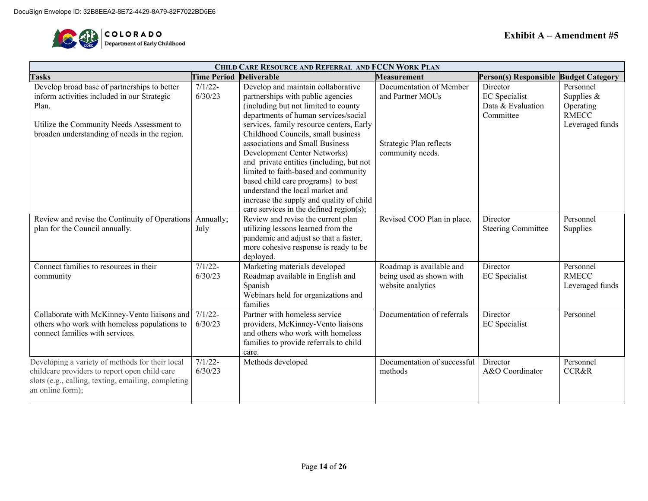

| <b>CHILD CARE RESOURCE AND REFERRAL AND FCCN WORK PLAN</b>                                                                                                                                         |                       |                                                                                                                                                                                                                                                                                                                                                                                                                                                                                                                       |                                                                                            |                                                                    |                                                                           |  |
|----------------------------------------------------------------------------------------------------------------------------------------------------------------------------------------------------|-----------------------|-----------------------------------------------------------------------------------------------------------------------------------------------------------------------------------------------------------------------------------------------------------------------------------------------------------------------------------------------------------------------------------------------------------------------------------------------------------------------------------------------------------------------|--------------------------------------------------------------------------------------------|--------------------------------------------------------------------|---------------------------------------------------------------------------|--|
| <b>Tasks</b>                                                                                                                                                                                       | <b>Time Period</b>    | <b>Deliverable</b>                                                                                                                                                                                                                                                                                                                                                                                                                                                                                                    | <b>Measurement</b>                                                                         | Person(s) Responsible                                              | <b>Budget Category</b>                                                    |  |
| Develop broad base of partnerships to better<br>inform activities included in our Strategic<br>Plan.<br>Utilize the Community Needs Assessment to<br>broaden understanding of needs in the region. | $7/1/22$ -<br>6/30/23 | Develop and maintain collaborative<br>partnerships with public agencies<br>(including but not limited to county<br>departments of human services/social<br>services, family resource centers, Early<br>Childhood Councils, small business<br>associations and Small Business<br>Development Center Networks)<br>and private entities (including, but not<br>limited to faith-based and community<br>based child care programs) to best<br>understand the local market and<br>increase the supply and quality of child | Documentation of Member<br>and Partner MOUs<br>Strategic Plan reflects<br>community needs. | Director<br><b>EC</b> Specialist<br>Data & Evaluation<br>Committee | Personnel<br>Supplies $&$<br>Operating<br><b>RMECC</b><br>Leveraged funds |  |
| Review and revise the Continuity of Operations<br>plan for the Council annually.                                                                                                                   | Annually;<br>July     | care services in the defined region(s);<br>Review and revise the current plan<br>utilizing lessons learned from the<br>pandemic and adjust so that a faster,<br>more cohesive response is ready to be<br>deployed.                                                                                                                                                                                                                                                                                                    | Revised COO Plan in place.                                                                 | Director<br><b>Steering Committee</b>                              | Personnel<br>Supplies                                                     |  |
| Connect families to resources in their<br>community                                                                                                                                                | $7/1/22 -$<br>6/30/23 | Marketing materials developed<br>Roadmap available in English and<br>Spanish<br>Webinars held for organizations and<br>families                                                                                                                                                                                                                                                                                                                                                                                       | Roadmap is available and<br>being used as shown with<br>website analytics                  | Director<br><b>EC</b> Specialist                                   | Personnel<br><b>RMECC</b><br>Leveraged funds                              |  |
| Collaborate with McKinney-Vento liaisons and<br>others who work with homeless populations to<br>connect families with services.                                                                    | $7/1/22 -$<br>6/30/23 | Partner with homeless service<br>providers, McKinney-Vento liaisons<br>and others who work with homeless<br>families to provide referrals to child<br>care.                                                                                                                                                                                                                                                                                                                                                           | Documentation of referrals                                                                 | Director<br><b>EC</b> Specialist                                   | Personnel                                                                 |  |
| Developing a variety of methods for their local<br>childcare providers to report open child care<br>slots (e.g., calling, texting, emailing, completing<br>an online form);                        | $7/1/22$ -<br>6/30/23 | Methods developed                                                                                                                                                                                                                                                                                                                                                                                                                                                                                                     | Documentation of successful<br>methods                                                     | Director<br>A&O Coordinator                                        | Personnel<br><b>CCR&amp;R</b>                                             |  |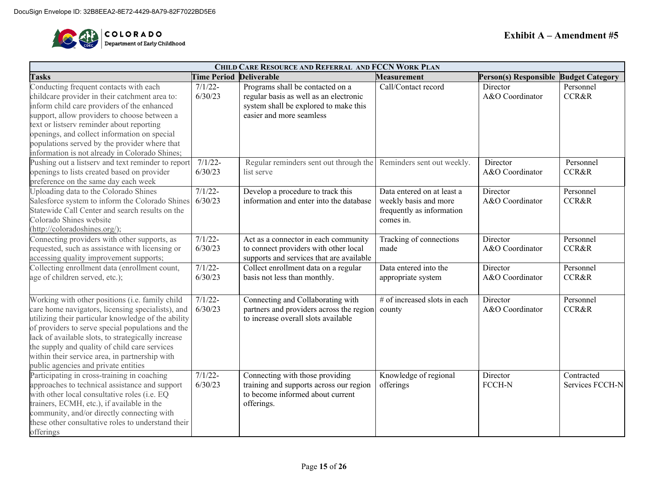

| <b>CHILD CARE RESOURCE AND REFERRAL AND FCCN WORK PLAN</b>                                                                                                                                                                                                                                                                                                                                                        |                                |                                                                                                                                                 |                                                                                               |                                       |                               |  |  |
|-------------------------------------------------------------------------------------------------------------------------------------------------------------------------------------------------------------------------------------------------------------------------------------------------------------------------------------------------------------------------------------------------------------------|--------------------------------|-------------------------------------------------------------------------------------------------------------------------------------------------|-----------------------------------------------------------------------------------------------|---------------------------------------|-------------------------------|--|--|
| <b>Tasks</b>                                                                                                                                                                                                                                                                                                                                                                                                      | <b>Time Period Deliverable</b> |                                                                                                                                                 | <b>Measurement</b>                                                                            | Person(s) Responsible Budget Category |                               |  |  |
| Conducting frequent contacts with each<br>childcare provider in their catchment area to:<br>inform child care providers of the enhanced<br>support, allow providers to choose between a<br>text or listserv reminder about reporting<br>openings, and collect information on special                                                                                                                              | $7/1/22$ -<br>6/30/23          | Programs shall be contacted on a<br>regular basis as well as an electronic<br>system shall be explored to make this<br>easier and more seamless | Call/Contact record                                                                           | Director<br>A&O Coordinator           | Personnel<br><b>CCR&amp;R</b> |  |  |
| populations served by the provider where that<br>information is not already in Colorado Shines;<br>Pushing out a listserv and text reminder to report<br>openings to lists created based on provider<br>preference on the same day each week                                                                                                                                                                      | $7/1/22$ -<br>6/30/23          | Regular reminders sent out through the Reminders sent out weekly.<br>list serve                                                                 |                                                                                               | Director<br>A&O Coordinator           | Personnel<br><b>CCR&amp;R</b> |  |  |
| Uploading data to the Colorado Shines<br>Salesforce system to inform the Colorado Shines<br>Statewide Call Center and search results on the<br>Colorado Shines website<br>(http://coloradoshines.org/);                                                                                                                                                                                                           | $7/1/22$ -<br>6/30/23          | Develop a procedure to track this<br>information and enter into the database                                                                    | Data entered on at least a<br>weekly basis and more<br>frequently as information<br>comes in. | Director<br>A&O Coordinator           | Personnel<br><b>CCR&amp;R</b> |  |  |
| Connecting providers with other supports, as<br>requested, such as assistance with licensing or<br>accessing quality improvement supports;                                                                                                                                                                                                                                                                        | $7/1/22$ -<br>6/30/23          | Act as a connector in each community<br>to connect providers with other local<br>supports and services that are available                       | Tracking of connections<br>made                                                               | Director<br>A&O Coordinator           | Personnel<br><b>CCR&amp;R</b> |  |  |
| Collecting enrollment data (enrollment count,<br>age of children served, etc.);                                                                                                                                                                                                                                                                                                                                   | $7/1/22-$<br>6/30/23           | Collect enrollment data on a regular<br>basis not less than monthly.                                                                            | Data entered into the<br>appropriate system                                                   | Director<br>A&O Coordinator           | Personnel<br><b>CCR&amp;R</b> |  |  |
| Working with other positions (i.e. family child<br>care home navigators, licensing specialists), and<br>utilizing their particular knowledge of the ability<br>of providers to serve special populations and the<br>lack of available slots, to strategically increase<br>the supply and quality of child care services<br>within their service area, in partnership with<br>public agencies and private entities | $7/1/22$ -<br>6/30/23          | Connecting and Collaborating with<br>partners and providers across the region<br>to increase overall slots available                            | $#$ of increased slots in each<br>county                                                      | Director<br>A&O Coordinator           | Personnel<br><b>CCR&amp;R</b> |  |  |
| Participating in cross-training in coaching<br>approaches to technical assistance and support<br>with other local consultative roles (i.e. EQ<br>trainers, ECMH, etc.), if available in the<br>community, and/or directly connecting with<br>these other consultative roles to understand their<br>offerings                                                                                                      | $7/1/22 -$<br>6/30/23          | Connecting with those providing<br>training and supports across our region<br>to become informed about current<br>offerings.                    | Knowledge of regional<br>offerings                                                            | Director<br>FCCH-N                    | Contracted<br>Services FCCH-N |  |  |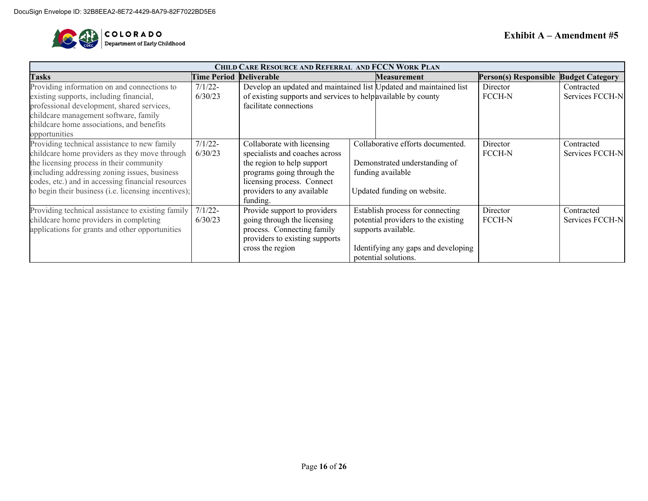

| CHILD CARE RESOURCE AND REFERRAL AND FCCN WORK PLAN  |                                |                                                                    |  |                                                             |                                       |                 |
|------------------------------------------------------|--------------------------------|--------------------------------------------------------------------|--|-------------------------------------------------------------|---------------------------------------|-----------------|
| <b>Tasks</b>                                         | <b>Time Period Deliverable</b> |                                                                    |  | <b>Measurement</b>                                          | Person(s) Responsible Budget Category |                 |
| Providing information on and connections to          | $7/1/22$ -                     | Develop an updated and maintained list Updated and maintained list |  |                                                             | Director                              | Contracted      |
| existing supports, including financial,              | 6/30/23                        | of existing supports and services to help available by county      |  |                                                             | <b>FCCH-N</b>                         | Services FCCH-N |
| professional development, shared services,           |                                | facilitate connections                                             |  |                                                             |                                       |                 |
| childcare management software, family                |                                |                                                                    |  |                                                             |                                       |                 |
| childcare home associations, and benefits            |                                |                                                                    |  |                                                             |                                       |                 |
| opportunities                                        |                                |                                                                    |  |                                                             |                                       |                 |
| Providing technical assistance to new family         | $7/1/22$ -                     | Collaborate with licensing                                         |  | Collaborative efforts documented.                           | Director                              | Contracted      |
| childcare home providers as they move through        | 6/30/23                        | specialists and coaches across                                     |  |                                                             | <b>FCCH-N</b>                         | Services FCCH-N |
| the licensing process in their community             |                                | the region to help support                                         |  | Demonstrated understanding of                               |                                       |                 |
| (including addressing zoning issues, business        |                                | programs going through the                                         |  | funding available                                           |                                       |                 |
| codes, etc.) and in accessing financial resources    |                                | licensing process. Connect                                         |  |                                                             |                                       |                 |
| to begin their business (i.e. licensing incentives); |                                | providers to any available                                         |  | Updated funding on website.                                 |                                       |                 |
|                                                      |                                | funding.                                                           |  |                                                             |                                       |                 |
| Providing technical assistance to existing family    | $7/1/22$ -                     | Provide support to providers                                       |  | Establish process for connecting                            | Director                              | Contracted      |
| childcare home providers in completing               | 6/30/23                        | going through the licensing                                        |  | potential providers to the existing                         | <b>FCCH-N</b>                         | Services FCCH-N |
| applications for grants and other opportunities      |                                | process. Connecting family                                         |  | supports available.                                         |                                       |                 |
|                                                      |                                | providers to existing supports                                     |  |                                                             |                                       |                 |
|                                                      |                                | cross the region                                                   |  | Identifying any gaps and developing<br>potential solutions. |                                       |                 |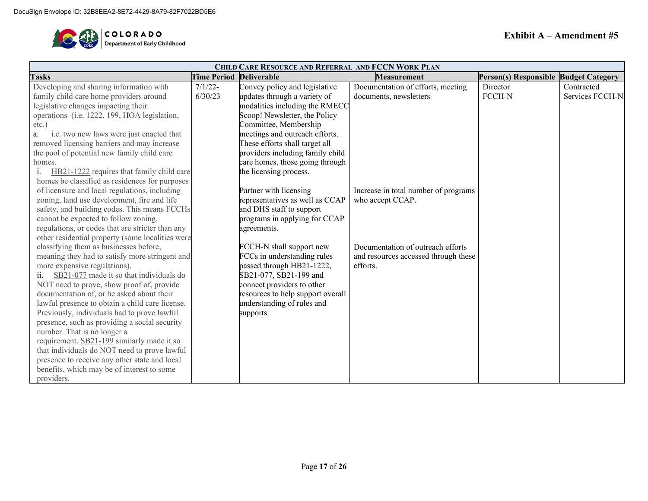

| <b>CHILD CARE RESOURCE AND REFERRAL AND FCCN WORK PLAN</b> |                    |                                   |                                      |                                       |                 |  |  |  |  |
|------------------------------------------------------------|--------------------|-----------------------------------|--------------------------------------|---------------------------------------|-----------------|--|--|--|--|
| <b>Tasks</b>                                               | <b>Time Period</b> | <b>Deliverable</b>                | <b>Measurement</b>                   | Person(s) Responsible Budget Category |                 |  |  |  |  |
| Developing and sharing information with                    | $7/1/22 -$         | Convey policy and legislative     | Documentation of efforts, meeting    | Director                              | Contracted      |  |  |  |  |
| family child care home providers around                    | 6/30/23            | updates through a variety of      | documents, newsletters               | FCCH-N                                | Services FCCH-N |  |  |  |  |
| legislative changes impacting their                        |                    | modalities including the RMECC    |                                      |                                       |                 |  |  |  |  |
| operations (i.e. 1222, 199, HOA legislation,               |                    | Scoop! Newsletter, the Policy     |                                      |                                       |                 |  |  |  |  |
| $etc.$ )                                                   |                    | Committee, Membership             |                                      |                                       |                 |  |  |  |  |
| i.e. two new laws were just enacted that<br>a.             |                    | meetings and outreach efforts.    |                                      |                                       |                 |  |  |  |  |
| removed licensing barriers and may increase                |                    | These efforts shall target all    |                                      |                                       |                 |  |  |  |  |
| the pool of potential new family child care                |                    | providers including family child  |                                      |                                       |                 |  |  |  |  |
| homes.                                                     |                    | care homes, those going through   |                                      |                                       |                 |  |  |  |  |
| i.<br>HB21-1222 requires that family child care            |                    | the licensing process.            |                                      |                                       |                 |  |  |  |  |
| homes be classified as residences for purposes             |                    |                                   |                                      |                                       |                 |  |  |  |  |
| of licensure and local regulations, including              |                    | Partner with licensing            | Increase in total number of programs |                                       |                 |  |  |  |  |
| zoning, land use development, fire and life                |                    | representatives as well as CCAP   | who accept CCAP.                     |                                       |                 |  |  |  |  |
| safety, and building codes. This means FCCHs               |                    | and DHS staff to support          |                                      |                                       |                 |  |  |  |  |
| cannot be expected to follow zoning,                       |                    | programs in applying for CCAP     |                                      |                                       |                 |  |  |  |  |
| regulations, or codes that are stricter than any           |                    | agreements.                       |                                      |                                       |                 |  |  |  |  |
| other residential property (some localities were           |                    |                                   |                                      |                                       |                 |  |  |  |  |
| classifying them as businesses before,                     |                    | FCCH-N shall support new          | Documentation of outreach efforts    |                                       |                 |  |  |  |  |
| meaning they had to satisfy more stringent and             |                    | FCCs in understanding rules       | and resources accessed through these |                                       |                 |  |  |  |  |
| more expensive regulations).                               |                    | passed through HB21-1222,         | efforts.                             |                                       |                 |  |  |  |  |
| SB21-077 made it so that individuals do<br>ii.             |                    | SB21-077, SB21-199 and            |                                      |                                       |                 |  |  |  |  |
| NOT need to prove, show proof of, provide                  |                    | connect providers to other        |                                      |                                       |                 |  |  |  |  |
| documentation of, or be asked about their                  |                    | resources to help support overall |                                      |                                       |                 |  |  |  |  |
| lawful presence to obtain a child care license.            |                    | understanding of rules and        |                                      |                                       |                 |  |  |  |  |
| Previously, individuals had to prove lawful                |                    | supports.                         |                                      |                                       |                 |  |  |  |  |
| presence, such as providing a social security              |                    |                                   |                                      |                                       |                 |  |  |  |  |
| number. That is no longer a                                |                    |                                   |                                      |                                       |                 |  |  |  |  |
| requirement. SB21-199 similarly made it so                 |                    |                                   |                                      |                                       |                 |  |  |  |  |
| that individuals do NOT need to prove lawful               |                    |                                   |                                      |                                       |                 |  |  |  |  |
| presence to receive any other state and local              |                    |                                   |                                      |                                       |                 |  |  |  |  |
| benefits, which may be of interest to some                 |                    |                                   |                                      |                                       |                 |  |  |  |  |
| providers.                                                 |                    |                                   |                                      |                                       |                 |  |  |  |  |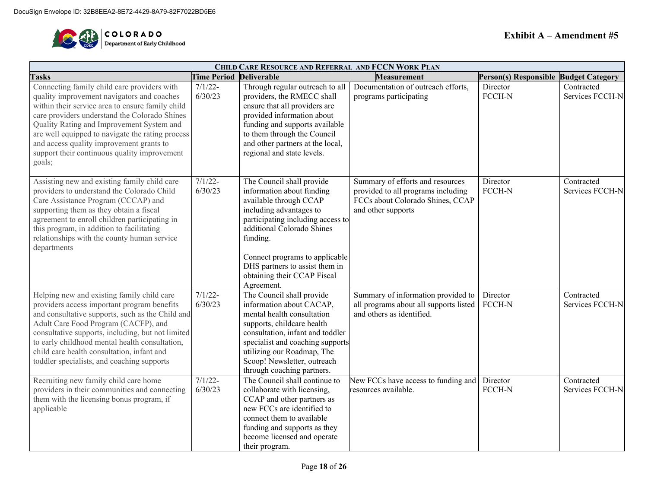

| CHILD CARE RESOURCE AND REFERRAL AND FCCN WORK PLAN                                                                                                                                                                                                                                                                                                                                                   |                       |                                                                                                                                                                                                                                                                                                             |                                                                                                                                  |                                       |                               |  |  |  |  |  |
|-------------------------------------------------------------------------------------------------------------------------------------------------------------------------------------------------------------------------------------------------------------------------------------------------------------------------------------------------------------------------------------------------------|-----------------------|-------------------------------------------------------------------------------------------------------------------------------------------------------------------------------------------------------------------------------------------------------------------------------------------------------------|----------------------------------------------------------------------------------------------------------------------------------|---------------------------------------|-------------------------------|--|--|--|--|--|
| <b>Tasks</b>                                                                                                                                                                                                                                                                                                                                                                                          | <b>Time Period</b>    | <b>Deliverable</b>                                                                                                                                                                                                                                                                                          | <b>Measurement</b>                                                                                                               | Person(s) Responsible Budget Category |                               |  |  |  |  |  |
| Connecting family child care providers with<br>quality improvement navigators and coaches<br>within their service area to ensure family child<br>care providers understand the Colorado Shines<br>Quality Rating and Improvement System and<br>are well equipped to navigate the rating process<br>and access quality improvement grants to<br>support their continuous quality improvement<br>goals; | $7/1/22-$<br>6/30/23  | Through regular outreach to all<br>providers, the RMECC shall<br>ensure that all providers are<br>provided information about<br>funding and supports available<br>to them through the Council<br>and other partners at the local,<br>regional and state levels.                                             | Documentation of outreach efforts,<br>programs participating                                                                     | $\overline{D}$ irector<br>FCCH-N      | Contracted<br>Services FCCH-N |  |  |  |  |  |
| Assisting new and existing family child care<br>providers to understand the Colorado Child<br>Care Assistance Program (CCCAP) and<br>supporting them as they obtain a fiscal<br>agreement to enroll children participating in<br>this program, in addition to facilitating<br>relationships with the county human service<br>departments                                                              | $7/1/22 -$<br>6/30/23 | The Council shall provide<br>information about funding<br>available through CCAP<br>including advantages to<br>participating including access to<br>additional Colorado Shines<br>funding.<br>Connect programs to applicable<br>DHS partners to assist them in<br>obtaining their CCAP Fiscal<br>Agreement. | Summary of efforts and resources<br>provided to all programs including<br>FCCs about Colorado Shines, CCAP<br>and other supports | Director<br>FCCH-N                    | Contracted<br>Services FCCH-N |  |  |  |  |  |
| Helping new and existing family child care<br>providers access important program benefits<br>and consultative supports, such as the Child and<br>Adult Care Food Program (CACFP), and<br>consultative supports, including, but not limited<br>to early childhood mental health consultation,<br>child care health consultation, infant and<br>toddler specialists, and coaching supports              | $7/1/22 -$<br>6/30/23 | The Council shall provide<br>information about CACAP,<br>mental health consultation<br>supports, childcare health<br>consultation, infant and toddler<br>specialist and coaching supports<br>utilizing our Roadmap, The<br>Scoop! Newsletter, outreach<br>through coaching partners.                        | Summary of information provided to<br>all programs about all supports listed<br>and others as identified.                        | Director<br>FCCH-N                    | Contracted<br>Services FCCH-N |  |  |  |  |  |
| Recruiting new family child care home<br>providers in their communities and connecting<br>them with the licensing bonus program, if<br>applicable                                                                                                                                                                                                                                                     | $7/1/22 -$<br>6/30/23 | The Council shall continue to<br>collaborate with licensing,<br>CCAP and other partners as<br>new FCCs are identified to<br>connect them to available<br>funding and supports as they<br>become licensed and operate<br>their program.                                                                      | New FCCs have access to funding and<br>resources available.                                                                      | Director<br>FCCH-N                    | Contracted<br>Services FCCH-N |  |  |  |  |  |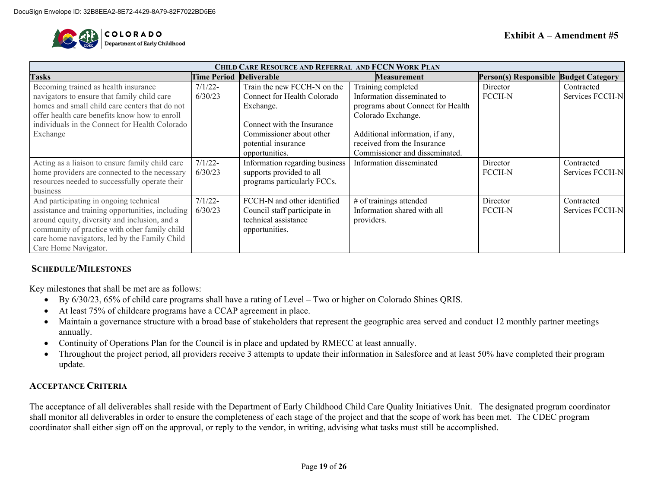

| <b>CHILD CARE RESOURCE AND REFERRAL AND FCCN WORK PLAN</b> |                                |                                |                                   |                                       |                 |  |  |  |  |  |
|------------------------------------------------------------|--------------------------------|--------------------------------|-----------------------------------|---------------------------------------|-----------------|--|--|--|--|--|
| <b>Tasks</b>                                               | <b>Time Period Deliverable</b> |                                | <b>Measurement</b>                | Person(s) Responsible Budget Category |                 |  |  |  |  |  |
| Becoming trained as health insurance                       | $7/1/22$ -                     | Train the new FCCH-N on the    | Training completed                | Director                              | Contracted      |  |  |  |  |  |
| navigators to ensure that family child care                | 6/30/23                        | Connect for Health Colorado    | Information disseminated to       | <b>FCCH-N</b>                         | Services FCCH-N |  |  |  |  |  |
| homes and small child care centers that do not             |                                | Exchange.                      | programs about Connect for Health |                                       |                 |  |  |  |  |  |
| offer health care benefits know how to enroll              |                                |                                | Colorado Exchange.                |                                       |                 |  |  |  |  |  |
| individuals in the Connect for Health Colorado             |                                | Connect with the Insurance     |                                   |                                       |                 |  |  |  |  |  |
| Exchange                                                   |                                | Commissioner about other       | Additional information, if any,   |                                       |                 |  |  |  |  |  |
|                                                            |                                | potential insurance            | received from the Insurance       |                                       |                 |  |  |  |  |  |
|                                                            |                                | opportunities.                 | Commissioner and disseminated.    |                                       |                 |  |  |  |  |  |
| Acting as a liaison to ensure family child care            | $7/1/22$ -                     | Information regarding business | Information disseminated          | Director                              | Contracted      |  |  |  |  |  |
| home providers are connected to the necessary              | 6/30/23                        | supports provided to all       |                                   | <b>FCCH-N</b>                         | Services FCCH-N |  |  |  |  |  |
| resources needed to successfully operate their             |                                | programs particularly FCCs.    |                                   |                                       |                 |  |  |  |  |  |
| business                                                   |                                |                                |                                   |                                       |                 |  |  |  |  |  |
| And participating in ongoing technical                     | $7/1/22$ -                     | FCCH-N and other identified    | # of trainings attended           | Director                              | Contracted      |  |  |  |  |  |
| assistance and training opportunities, including           | 6/30/23                        | Council staff participate in   | Information shared with all       | <b>FCCH-N</b>                         | Services FCCH-N |  |  |  |  |  |
| around equity, diversity and inclusion, and a              |                                | technical assistance           | providers.                        |                                       |                 |  |  |  |  |  |
| community of practice with other family child              |                                | opportunities.                 |                                   |                                       |                 |  |  |  |  |  |
| care home navigators, led by the Family Child              |                                |                                |                                   |                                       |                 |  |  |  |  |  |
| Care Home Navigator.                                       |                                |                                |                                   |                                       |                 |  |  |  |  |  |

#### **SCHEDULE/MILESTONES**

Key milestones that shall be met are as follows:

- By 6/30/23, 65% of child care programs shall have a rating of Level Two or higher on Colorado Shines QRIS.
- At least 75% of childcare programs have a CCAP agreement in place.
- Maintain a governance structure with a broad base of stakeholders that represent the geographic area served and conduct 12 monthly partner meetings annually.
- Continuity of Operations Plan for the Council is in place and updated by RMECC at least annually.
- Throughout the project period, all providers receive 3 attempts to update their information in Salesforce and at least 50% have completed their program update.

#### **ACCEPTANCE CRITERIA**

The acceptance of all deliverables shall reside with the Department of Early Childhood Child Care Quality Initiatives Unit. The designated program coordinator shall monitor all deliverables in order to ensure the completeness of each stage of the project and that the scope of work has been met. The CDEC program coordinator shall either sign off on the approval, or reply to the vendor, in writing, advising what tasks must still be accomplished.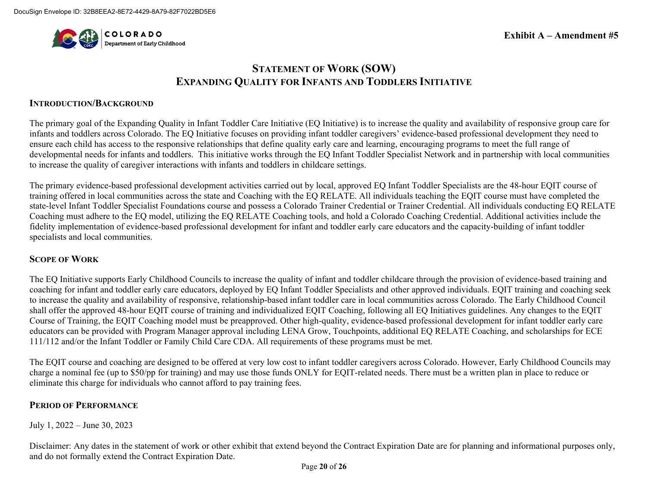

**Exhibit A – Amendment #5**

### **STATEMENT OF WORK (SOW) EXPANDING QUALITY FOR INFANTS AND TODDLERS INITIATIVE**

#### **INTRODUCTION/BACKGROUND**

The primary goal of the Expanding Quality in Infant Toddler Care Initiative (EQ Initiative) is to increase the quality and availability of responsive group care for infants and toddlers across Colorado. The EQ Initiative focuses on providing infant toddler caregivers' evidence-based professional development they need to ensure each child has access to the responsive relationships that define quality early care and learning, encouraging programs to meet the full range of developmental needs for infants and toddlers. This initiative works through the EQ Infant Toddler Specialist Network and in partnership with local communities to increase the quality of caregiver interactions with infants and toddlers in childcare settings.

The primary evidence-based professional development activities carried out by local, approved EQ Infant Toddler Specialists are the 48-hour EQIT course of training offered in local communities across the state and Coaching with the EQ RELATE. All individuals teaching the EQIT course must have completed the state-level Infant Toddler Specialist Foundations course and possess a Colorado Trainer Credential or Trainer Credential. All individuals conducting EQ RELATE Coaching must adhere to the EQ model, utilizing the EQ RELATE Coaching tools, and hold a Colorado Coaching Credential. Additional activities include the fidelity implementation of evidence-based professional development for infant and toddler early care educators and the capacity-building of infant toddler specialists and local communities.

#### **SCOPE OF WORK**

The EQ Initiative supports Early Childhood Councils to increase the quality of infant and toddler childcare through the provision of evidence-based training and coaching for infant and toddler early care educators, deployed by EQ Infant Toddler Specialists and other approved individuals. EQIT training and coaching seek to increase the quality and availability of responsive, relationship-based infant toddler care in local communities across Colorado. The Early Childhood Council shall offer the approved 48-hour EQIT course of training and individualized EQIT Coaching, following all EQ Initiatives guidelines. Any changes to the EQIT Course of Training, the EQIT Coaching model must be preapproved. Other high-quality, evidence-based professional development for infant toddler early care educators can be provided with Program Manager approval including LENA Grow, Touchpoints, additional EQ RELATE Coaching, and scholarships for ECE 111/112 and/or the Infant Toddler or Family Child Care CDA. All requirements of these programs must be met.

The EQIT course and coaching are designed to be offered at very low cost to infant toddler caregivers across Colorado. However, Early Childhood Councils may charge a nominal fee (up to \$50/pp for training) and may use those funds ONLY for EQIT-related needs. There must be a written plan in place to reduce or eliminate this charge for individuals who cannot afford to pay training fees.

#### **PERIOD OF PERFORMANCE**

July 1, 2022 – June 30, 2023

Disclaimer: Any dates in the statement of work or other exhibit that extend beyond the Contract Expiration Date are for planning and informational purposes only, and do not formally extend the Contract Expiration Date.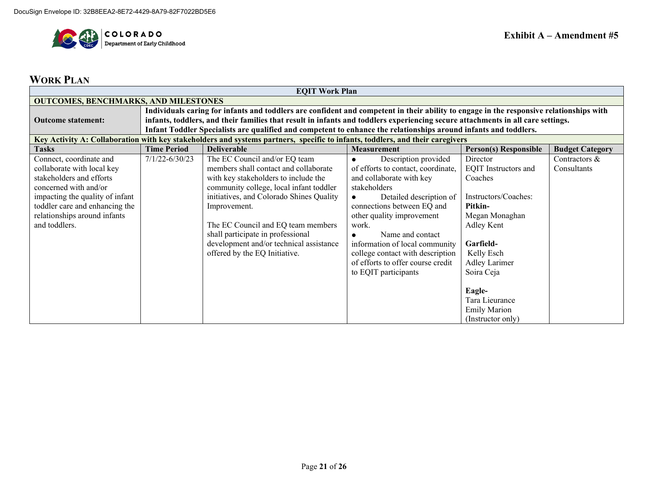

# **WORK PLAN**

| <b>EQIT Work Plan</b>                                                                                                         |                                                                                                                                         |                                                                                                                                 |                                    |                      |                 |  |  |  |  |  |  |
|-------------------------------------------------------------------------------------------------------------------------------|-----------------------------------------------------------------------------------------------------------------------------------------|---------------------------------------------------------------------------------------------------------------------------------|------------------------------------|----------------------|-----------------|--|--|--|--|--|--|
| <b>OUTCOMES, BENCHMARKS, AND MILESTONES</b>                                                                                   |                                                                                                                                         |                                                                                                                                 |                                    |                      |                 |  |  |  |  |  |  |
|                                                                                                                               | Individuals caring for infants and toddlers are confident and competent in their ability to engage in the responsive relationships with |                                                                                                                                 |                                    |                      |                 |  |  |  |  |  |  |
| <b>Outcome statement:</b>                                                                                                     |                                                                                                                                         | infants, toddlers, and their families that result in infants and toddlers experiencing secure attachments in all care settings. |                                    |                      |                 |  |  |  |  |  |  |
|                                                                                                                               | Infant Toddler Specialists are qualified and competent to enhance the relationships around infants and toddlers.                        |                                                                                                                                 |                                    |                      |                 |  |  |  |  |  |  |
| Key Activity A: Collaboration with key stakeholders and systems partners, specific to infants, toddlers, and their caregivers |                                                                                                                                         |                                                                                                                                 |                                    |                      |                 |  |  |  |  |  |  |
| <b>Tasks</b>                                                                                                                  | <b>Budget Category</b><br><b>Time Period</b><br><b>Deliverable</b><br><b>Person(s) Responsible</b><br><b>Measurement</b>                |                                                                                                                                 |                                    |                      |                 |  |  |  |  |  |  |
| Connect, coordinate and                                                                                                       | $7/1/22 - 6/30/23$                                                                                                                      | The EC Council and/or EQ team                                                                                                   | Description provided               | Director             | Contractors $&$ |  |  |  |  |  |  |
| collaborate with local key                                                                                                    |                                                                                                                                         | members shall contact and collaborate                                                                                           | of efforts to contact, coordinate, | EQIT Instructors and | Consultants     |  |  |  |  |  |  |
| stakeholders and efforts                                                                                                      |                                                                                                                                         | with key stakeholders to include the                                                                                            | and collaborate with key           | Coaches              |                 |  |  |  |  |  |  |
| concerned with and/or                                                                                                         |                                                                                                                                         | community college, local infant toddler                                                                                         | stakeholders                       |                      |                 |  |  |  |  |  |  |
| impacting the quality of infant                                                                                               |                                                                                                                                         | initiatives, and Colorado Shines Quality                                                                                        | Detailed description of            | Instructors/Coaches: |                 |  |  |  |  |  |  |
| toddler care and enhancing the                                                                                                |                                                                                                                                         | Improvement.                                                                                                                    | connections between EQ and         | Pitkin-              |                 |  |  |  |  |  |  |
| relationships around infants                                                                                                  |                                                                                                                                         |                                                                                                                                 | other quality improvement          | Megan Monaghan       |                 |  |  |  |  |  |  |
| and toddlers.                                                                                                                 |                                                                                                                                         | The EC Council and EQ team members                                                                                              | work.                              | Adley Kent           |                 |  |  |  |  |  |  |
|                                                                                                                               |                                                                                                                                         | shall participate in professional                                                                                               | Name and contact                   |                      |                 |  |  |  |  |  |  |
|                                                                                                                               |                                                                                                                                         | development and/or technical assistance                                                                                         | information of local community     | Garfield-            |                 |  |  |  |  |  |  |
|                                                                                                                               |                                                                                                                                         | offered by the EQ Initiative.                                                                                                   | college contact with description   | Kelly Esch           |                 |  |  |  |  |  |  |
|                                                                                                                               |                                                                                                                                         |                                                                                                                                 | of efforts to offer course credit  | Adley Larimer        |                 |  |  |  |  |  |  |
|                                                                                                                               |                                                                                                                                         |                                                                                                                                 | to EQIT participants               | Soira Ceja           |                 |  |  |  |  |  |  |
|                                                                                                                               |                                                                                                                                         |                                                                                                                                 |                                    |                      |                 |  |  |  |  |  |  |
|                                                                                                                               |                                                                                                                                         |                                                                                                                                 |                                    | Eagle-               |                 |  |  |  |  |  |  |
|                                                                                                                               |                                                                                                                                         |                                                                                                                                 |                                    | Tara Lieurance       |                 |  |  |  |  |  |  |
|                                                                                                                               |                                                                                                                                         |                                                                                                                                 |                                    | <b>Emily Marion</b>  |                 |  |  |  |  |  |  |
|                                                                                                                               |                                                                                                                                         |                                                                                                                                 |                                    | (Instructor only)    |                 |  |  |  |  |  |  |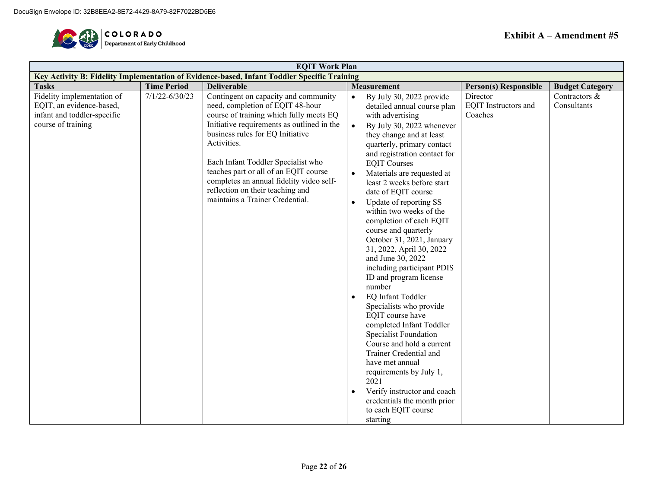

| <b>EQIT Work Plan</b>                                                                                       |                    |                                                                                                                                                                                                                                                                                                                                                                                                                        |                                                                                                                                                                                                                                                                                                                                                                                                                                                                                                                                                                                                                                                                                                                                                                                                                                                                                                                                                                                           |                                                    |                              |  |  |  |  |
|-------------------------------------------------------------------------------------------------------------|--------------------|------------------------------------------------------------------------------------------------------------------------------------------------------------------------------------------------------------------------------------------------------------------------------------------------------------------------------------------------------------------------------------------------------------------------|-------------------------------------------------------------------------------------------------------------------------------------------------------------------------------------------------------------------------------------------------------------------------------------------------------------------------------------------------------------------------------------------------------------------------------------------------------------------------------------------------------------------------------------------------------------------------------------------------------------------------------------------------------------------------------------------------------------------------------------------------------------------------------------------------------------------------------------------------------------------------------------------------------------------------------------------------------------------------------------------|----------------------------------------------------|------------------------------|--|--|--|--|
|                                                                                                             |                    | Key Activity B: Fidelity Implementation of Evidence-based, Infant Toddler Specific Training                                                                                                                                                                                                                                                                                                                            |                                                                                                                                                                                                                                                                                                                                                                                                                                                                                                                                                                                                                                                                                                                                                                                                                                                                                                                                                                                           |                                                    |                              |  |  |  |  |
| <b>Tasks</b>                                                                                                | <b>Time Period</b> | <b>Deliverable</b>                                                                                                                                                                                                                                                                                                                                                                                                     | Measurement                                                                                                                                                                                                                                                                                                                                                                                                                                                                                                                                                                                                                                                                                                                                                                                                                                                                                                                                                                               | Person(s) Responsible                              | <b>Budget Category</b>       |  |  |  |  |
| Fidelity implementation of<br>EQIT, an evidence-based,<br>infant and toddler-specific<br>course of training | $7/1/22 - 6/30/23$ | Contingent on capacity and community<br>need, completion of EQIT 48-hour<br>course of training which fully meets EQ<br>Initiative requirements as outlined in the<br>business rules for EQ Initiative<br>Activities.<br>Each Infant Toddler Specialist who<br>teaches part or all of an EQIT course<br>completes an annual fidelity video self-<br>reflection on their teaching and<br>maintains a Trainer Credential. | By July 30, 2022 provide<br>$\bullet$<br>detailed annual course plan<br>with advertising<br>$\bullet$<br>By July 30, 2022 whenever<br>they change and at least<br>quarterly, primary contact<br>and registration contact for<br><b>EQIT Courses</b><br>Materials are requested at<br>$\bullet$<br>least 2 weeks before start<br>date of EQIT course<br>Update of reporting SS<br>$\bullet$<br>within two weeks of the<br>completion of each EQIT<br>course and quarterly<br>October 31, 2021, January<br>31, 2022, April 30, 2022<br>and June 30, 2022<br>including participant PDIS<br>ID and program license<br>number<br>EQ Infant Toddler<br>$\bullet$<br>Specialists who provide<br>EQIT course have<br>completed Infant Toddler<br>Specialist Foundation<br>Course and hold a current<br>Trainer Credential and<br>have met annual<br>requirements by July 1,<br>2021<br>Verify instructor and coach<br>$\bullet$<br>credentials the month prior<br>to each EQIT course<br>starting | Director<br><b>EQIT</b> Instructors and<br>Coaches | Contractors &<br>Consultants |  |  |  |  |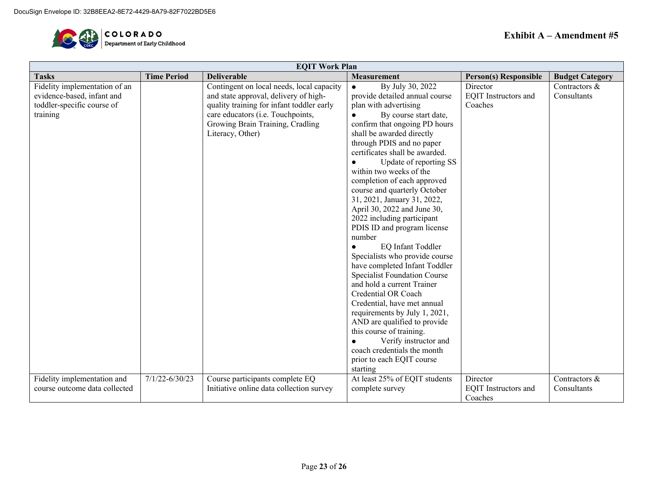

| <b>EQIT Work Plan</b>         |                    |                                           |                                     |                              |                        |  |  |  |
|-------------------------------|--------------------|-------------------------------------------|-------------------------------------|------------------------------|------------------------|--|--|--|
| <b>Tasks</b>                  | <b>Time Period</b> | <b>Deliverable</b>                        | <b>Measurement</b>                  | <b>Person(s) Responsible</b> | <b>Budget Category</b> |  |  |  |
| Fidelity implementation of an |                    | Contingent on local needs, local capacity | By July 30, 2022<br>$\bullet$       | Director                     | Contractors &          |  |  |  |
| evidence-based, infant and    |                    | and state approval, delivery of high-     | provide detailed annual course      | EQIT Instructors and         | Consultants            |  |  |  |
| toddler-specific course of    |                    | quality training for infant toddler early | plan with advertising               | Coaches                      |                        |  |  |  |
| training                      |                    | care educators (i.e. Touchpoints,         | By course start date,               |                              |                        |  |  |  |
|                               |                    | Growing Brain Training, Cradling          | confirm that ongoing PD hours       |                              |                        |  |  |  |
|                               |                    | Literacy, Other)                          | shall be awarded directly           |                              |                        |  |  |  |
|                               |                    |                                           | through PDIS and no paper           |                              |                        |  |  |  |
|                               |                    |                                           | certificates shall be awarded.      |                              |                        |  |  |  |
|                               |                    |                                           | Update of reporting SS              |                              |                        |  |  |  |
|                               |                    |                                           | within two weeks of the             |                              |                        |  |  |  |
|                               |                    |                                           | completion of each approved         |                              |                        |  |  |  |
|                               |                    |                                           | course and quarterly October        |                              |                        |  |  |  |
|                               |                    |                                           | 31, 2021, January 31, 2022,         |                              |                        |  |  |  |
|                               |                    |                                           | April 30, 2022 and June 30,         |                              |                        |  |  |  |
|                               |                    |                                           | 2022 including participant          |                              |                        |  |  |  |
|                               |                    |                                           | PDIS ID and program license         |                              |                        |  |  |  |
|                               |                    |                                           | number                              |                              |                        |  |  |  |
|                               |                    |                                           | EQ Infant Toddler                   |                              |                        |  |  |  |
|                               |                    |                                           | Specialists who provide course      |                              |                        |  |  |  |
|                               |                    |                                           | have completed Infant Toddler       |                              |                        |  |  |  |
|                               |                    |                                           | <b>Specialist Foundation Course</b> |                              |                        |  |  |  |
|                               |                    |                                           | and hold a current Trainer          |                              |                        |  |  |  |
|                               |                    |                                           | Credential OR Coach                 |                              |                        |  |  |  |
|                               |                    |                                           | Credential, have met annual         |                              |                        |  |  |  |
|                               |                    |                                           | requirements by July 1, 2021,       |                              |                        |  |  |  |
|                               |                    |                                           | AND are qualified to provide        |                              |                        |  |  |  |
|                               |                    |                                           | this course of training.            |                              |                        |  |  |  |
|                               |                    |                                           | Verify instructor and               |                              |                        |  |  |  |
|                               |                    |                                           | coach credentials the month         |                              |                        |  |  |  |
|                               |                    |                                           | prior to each EQIT course           |                              |                        |  |  |  |
|                               |                    |                                           | starting                            |                              |                        |  |  |  |
| Fidelity implementation and   | $7/1/22 - 6/30/23$ | Course participants complete EQ           | At least 25% of EQIT students       | Director                     | Contractors &          |  |  |  |
| course outcome data collected |                    | Initiative online data collection survey  | complete survey                     | EQIT Instructors and         | Consultants            |  |  |  |
|                               |                    |                                           |                                     | Coaches                      |                        |  |  |  |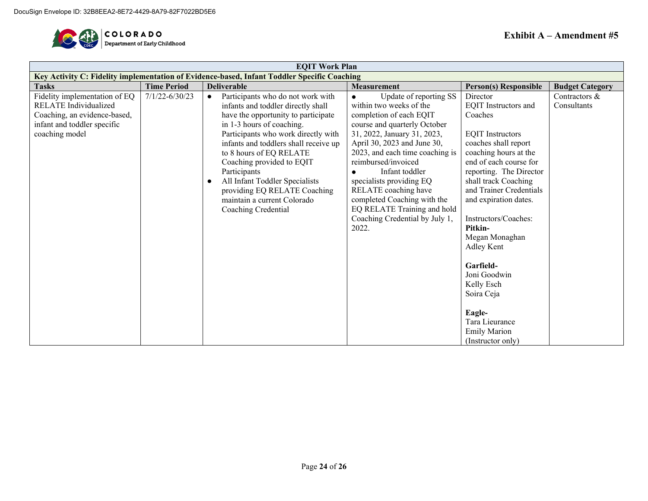

| <b>EQIT Work Plan</b>                                                                                                                          |                    |                                                                                                                                                                                                                                                                                                                                                                                                                                          |                                                                                                                                                                                                                                                                                                                                                                                                                     |                                                                                                                                                                                                                                                                                                                                                                                                                                                              |                              |  |  |  |  |
|------------------------------------------------------------------------------------------------------------------------------------------------|--------------------|------------------------------------------------------------------------------------------------------------------------------------------------------------------------------------------------------------------------------------------------------------------------------------------------------------------------------------------------------------------------------------------------------------------------------------------|---------------------------------------------------------------------------------------------------------------------------------------------------------------------------------------------------------------------------------------------------------------------------------------------------------------------------------------------------------------------------------------------------------------------|--------------------------------------------------------------------------------------------------------------------------------------------------------------------------------------------------------------------------------------------------------------------------------------------------------------------------------------------------------------------------------------------------------------------------------------------------------------|------------------------------|--|--|--|--|
|                                                                                                                                                |                    | Key Activity C: Fidelity implementation of Evidence-based, Infant Toddler Specific Coaching                                                                                                                                                                                                                                                                                                                                              |                                                                                                                                                                                                                                                                                                                                                                                                                     |                                                                                                                                                                                                                                                                                                                                                                                                                                                              |                              |  |  |  |  |
| <b>Tasks</b>                                                                                                                                   | <b>Time Period</b> | <b>Deliverable</b>                                                                                                                                                                                                                                                                                                                                                                                                                       | <b>Measurement</b>                                                                                                                                                                                                                                                                                                                                                                                                  | <b>Person(s) Responsible</b>                                                                                                                                                                                                                                                                                                                                                                                                                                 | <b>Budget Category</b>       |  |  |  |  |
| Fidelity implementation of EQ<br><b>RELATE</b> Individualized<br>Coaching, an evidence-based,<br>infant and toddler specific<br>coaching model | $7/1/22 - 6/30/23$ | Participants who do not work with<br>$\bullet$<br>infants and toddler directly shall<br>have the opportunity to participate<br>in 1-3 hours of coaching.<br>Participants who work directly with<br>infants and toddlers shall receive up<br>to 8 hours of EQ RELATE<br>Coaching provided to EQIT<br>Participants<br>All Infant Toddler Specialists<br>providing EQ RELATE Coaching<br>maintain a current Colorado<br>Coaching Credential | Update of reporting SS<br>within two weeks of the<br>completion of each EQIT<br>course and quarterly October<br>31, 2022, January 31, 2023,<br>April 30, 2023 and June 30,<br>2023, and each time coaching is<br>reimbursed/invoiced<br>Infant toddler<br>specialists providing EQ<br>RELATE coaching have<br>completed Coaching with the<br>EQ RELATE Training and hold<br>Coaching Credential by July 1,<br>2022. | Director<br>EQIT Instructors and<br>Coaches<br><b>EQIT</b> Instructors<br>coaches shall report<br>coaching hours at the<br>end of each course for<br>reporting. The Director<br>shall track Coaching<br>and Trainer Credentials<br>and expiration dates.<br>Instructors/Coaches:<br>Pitkin-<br>Megan Monaghan<br>Adley Kent<br>Garfield-<br>Joni Goodwin<br>Kelly Esch<br>Soira Ceja<br>Eagle-<br>Tara Lieurance<br><b>Emily Marion</b><br>(Instructor only) | Contractors &<br>Consultants |  |  |  |  |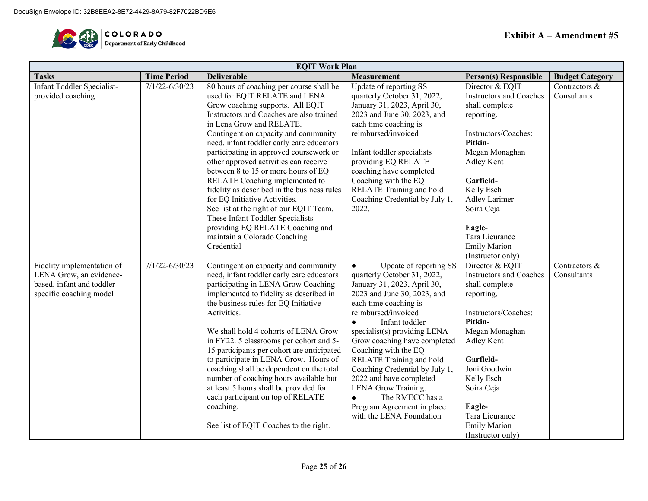

| <b>EQIT Work Plan</b>                                                                                                                                                    |                                          |                                                                                                                                                                                                                                                                                                                                                                                                                                                                                                                                                                                                                                                                                                                                                                                                                                                                                                                                                                                                                                                                                                                                                                                                                                                                                    |                                                                                                                                                                                                                                                                                                                                                                                                                                                                                                                                                                                                                                                                                                                                                                                                                                             |                                                                                                                                                                                                                                                                                                                                                                                                                                                                                                                          |                                                              |  |  |
|--------------------------------------------------------------------------------------------------------------------------------------------------------------------------|------------------------------------------|------------------------------------------------------------------------------------------------------------------------------------------------------------------------------------------------------------------------------------------------------------------------------------------------------------------------------------------------------------------------------------------------------------------------------------------------------------------------------------------------------------------------------------------------------------------------------------------------------------------------------------------------------------------------------------------------------------------------------------------------------------------------------------------------------------------------------------------------------------------------------------------------------------------------------------------------------------------------------------------------------------------------------------------------------------------------------------------------------------------------------------------------------------------------------------------------------------------------------------------------------------------------------------|---------------------------------------------------------------------------------------------------------------------------------------------------------------------------------------------------------------------------------------------------------------------------------------------------------------------------------------------------------------------------------------------------------------------------------------------------------------------------------------------------------------------------------------------------------------------------------------------------------------------------------------------------------------------------------------------------------------------------------------------------------------------------------------------------------------------------------------------|--------------------------------------------------------------------------------------------------------------------------------------------------------------------------------------------------------------------------------------------------------------------------------------------------------------------------------------------------------------------------------------------------------------------------------------------------------------------------------------------------------------------------|--------------------------------------------------------------|--|--|
| <b>Tasks</b>                                                                                                                                                             | <b>Time Period</b>                       | <b>Deliverable</b>                                                                                                                                                                                                                                                                                                                                                                                                                                                                                                                                                                                                                                                                                                                                                                                                                                                                                                                                                                                                                                                                                                                                                                                                                                                                 | <b>Measurement</b>                                                                                                                                                                                                                                                                                                                                                                                                                                                                                                                                                                                                                                                                                                                                                                                                                          | <b>Person(s) Responsible</b>                                                                                                                                                                                                                                                                                                                                                                                                                                                                                             | <b>Budget Category</b>                                       |  |  |
| <b>Infant Toddler Specialist-</b><br>provided coaching<br>Fidelity implementation of<br>LENA Grow, an evidence-<br>based, infant and toddler-<br>specific coaching model | $7/1/22 - 6/30/23$<br>$7/1/22 - 6/30/23$ | 80 hours of coaching per course shall be<br>used for EQIT RELATE and LENA<br>Grow coaching supports. All EQIT<br>Instructors and Coaches are also trained<br>in Lena Grow and RELATE.<br>Contingent on capacity and community<br>need, infant toddler early care educators<br>participating in approved coursework or<br>other approved activities can receive<br>between 8 to 15 or more hours of EQ<br>RELATE Coaching implemented to<br>fidelity as described in the business rules<br>for EQ Initiative Activities.<br>See list at the right of our EQIT Team.<br>These Infant Toddler Specialists<br>providing EQ RELATE Coaching and<br>maintain a Colorado Coaching<br>Credential<br>Contingent on capacity and community<br>need, infant toddler early care educators<br>participating in LENA Grow Coaching<br>implemented to fidelity as described in<br>the business rules for EQ Initiative<br>Activities.<br>We shall hold 4 cohorts of LENA Grow<br>in FY22. 5 classrooms per cohort and 5-<br>15 participants per cohort are anticipated<br>to participate in LENA Grow. Hours of<br>coaching shall be dependent on the total<br>number of coaching hours available but<br>at least 5 hours shall be provided for<br>each participant on top of RELATE<br>coaching. | Update of reporting SS<br>quarterly October 31, 2022,<br>January 31, 2023, April 30,<br>2023 and June 30, 2023, and<br>each time coaching is<br>reimbursed/invoiced<br>Infant toddler specialists<br>providing EQ RELATE<br>coaching have completed<br>Coaching with the EQ<br>RELATE Training and hold<br>Coaching Credential by July 1,<br>2022.<br>Update of reporting SS<br>$\bullet$<br>quarterly October 31, 2022,<br>January 31, 2023, April 30,<br>2023 and June 30, 2023, and<br>each time coaching is<br>reimbursed/invoiced<br>Infant toddler<br>$\bullet$<br>specialist(s) providing LENA<br>Grow coaching have completed<br>Coaching with the EQ<br>RELATE Training and hold<br>Coaching Credential by July 1,<br>2022 and have completed<br>LENA Grow Training.<br>The RMECC has a<br>$\bullet$<br>Program Agreement in place | Director & EQIT<br><b>Instructors and Coaches</b><br>shall complete<br>reporting.<br>Instructors/Coaches:<br>Pitkin-<br>Megan Monaghan<br>Adley Kent<br>Garfield-<br>Kelly Esch<br><b>Adley Larimer</b><br>Soira Ceja<br>Eagle-<br>Tara Lieurance<br><b>Emily Marion</b><br>(Instructor only)<br>Director & EQIT<br><b>Instructors and Coaches</b><br>shall complete<br>reporting.<br>Instructors/Coaches:<br>Pitkin-<br>Megan Monaghan<br>Adley Kent<br>Garfield-<br>Joni Goodwin<br>Kelly Esch<br>Soira Ceja<br>Eagle- | Contractors &<br>Consultants<br>Contractors &<br>Consultants |  |  |
|                                                                                                                                                                          |                                          | See list of EQIT Coaches to the right.                                                                                                                                                                                                                                                                                                                                                                                                                                                                                                                                                                                                                                                                                                                                                                                                                                                                                                                                                                                                                                                                                                                                                                                                                                             | with the LENA Foundation                                                                                                                                                                                                                                                                                                                                                                                                                                                                                                                                                                                                                                                                                                                                                                                                                    | Tara Lieurance<br><b>Emily Marion</b>                                                                                                                                                                                                                                                                                                                                                                                                                                                                                    |                                                              |  |  |
|                                                                                                                                                                          |                                          |                                                                                                                                                                                                                                                                                                                                                                                                                                                                                                                                                                                                                                                                                                                                                                                                                                                                                                                                                                                                                                                                                                                                                                                                                                                                                    |                                                                                                                                                                                                                                                                                                                                                                                                                                                                                                                                                                                                                                                                                                                                                                                                                                             | (Instructor only)                                                                                                                                                                                                                                                                                                                                                                                                                                                                                                        |                                                              |  |  |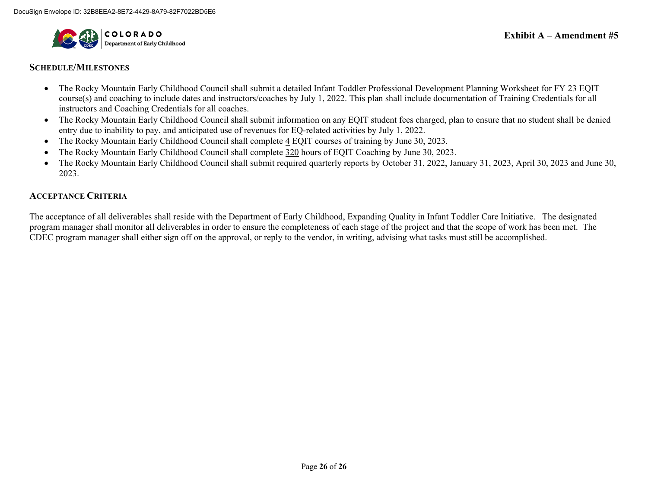

#### **SCHEDULE/MILESTONES**

- The Rocky Mountain Early Childhood Council shall submit a detailed Infant Toddler Professional Development Planning Worksheet for FY 23 EQIT course(s) and coaching to include dates and instructors/coaches by July 1, 2022. This plan shall include documentation of Training Credentials for all instructors and Coaching Credentials for all coaches.
- The Rocky Mountain Early Childhood Council shall submit information on any EQIT student fees charged, plan to ensure that no student shall be denied entry due to inability to pay, and anticipated use of revenues for EQ-related activities by July 1, 2022.
- The Rocky Mountain Early Childhood Council shall complete 4 EQIT courses of training by June 30, 2023.
- The Rocky Mountain Early Childhood Council shall complete 320 hours of EQIT Coaching by June 30, 2023.
- The Rocky Mountain Early Childhood Council shall submit required quarterly reports by October 31, 2022, January 31, 2023, April 30, 2023 and June 30, 2023.

#### **ACCEPTANCE CRITERIA**

The acceptance of all deliverables shall reside with the Department of Early Childhood, Expanding Quality in Infant Toddler Care Initiative. The designated program manager shall monitor all deliverables in order to ensure the completeness of each stage of the project and that the scope of work has been met. The CDEC program manager shall either sign off on the approval, or reply to the vendor, in writing, advising what tasks must still be accomplished.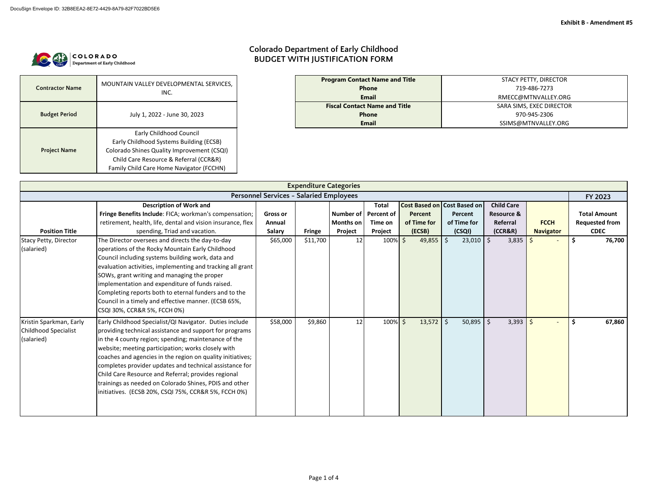

| <b>Contractor Name</b> | MOUNTAIN VALLEY DEVELOPMENTAL SERVICES,<br>INC. |  |  |  |  |  |
|------------------------|-------------------------------------------------|--|--|--|--|--|
| <b>Budget Period</b>   | July 1, 2022 - June 30, 2023                    |  |  |  |  |  |
|                        | Early Childhood Council                         |  |  |  |  |  |
|                        | Early Childhood Systems Building (ECSB)         |  |  |  |  |  |
| <b>Project Name</b>    | Colorado Shines Quality Improvement (CSQI)      |  |  |  |  |  |
|                        | Child Care Resource & Referral (CCR&R)          |  |  |  |  |  |
|                        | Family Child Care Home Navigator (FCCHN)        |  |  |  |  |  |

# **Colorado Department of Early Childhood BUDGET WITH JUSTIFICATION FORM**

| <b>Program Contact Name and Title</b> | STACY PETTY, DIRECTOR    |
|---------------------------------------|--------------------------|
| <b>Phone</b>                          | 719-486-7273             |
| <b>Email</b>                          | RMECC@MTNVALLEY.ORG      |
| <b>Fiscal Contact Name and Title</b>  | SARA SIMS, EXEC DIRECTOR |
| <b>Phone</b>                          | 970-945-2306             |
| <b>Email</b>                          | SSIMS@MTNVALLEY.ORG      |

| <b>Expenditure Categories</b>                                       |                                                                                                                                                                                                                                                                                                                                                                                                                                                                                                                                                                                                                                                                        |                                                        |                           |                                   |                                                                            |                                                 |                                                                                  |                                                                                          |                                 |                                                                                        |  |  |  |
|---------------------------------------------------------------------|------------------------------------------------------------------------------------------------------------------------------------------------------------------------------------------------------------------------------------------------------------------------------------------------------------------------------------------------------------------------------------------------------------------------------------------------------------------------------------------------------------------------------------------------------------------------------------------------------------------------------------------------------------------------|--------------------------------------------------------|---------------------------|-----------------------------------|----------------------------------------------------------------------------|-------------------------------------------------|----------------------------------------------------------------------------------|------------------------------------------------------------------------------------------|---------------------------------|----------------------------------------------------------------------------------------|--|--|--|
| <b>Personnel Services - Salaried Employees</b>                      |                                                                                                                                                                                                                                                                                                                                                                                                                                                                                                                                                                                                                                                                        |                                                        |                           |                                   |                                                                            |                                                 |                                                                                  |                                                                                          |                                 |                                                                                        |  |  |  |
| <b>Position Title</b><br><b>Stacy Petty, Director</b><br>(salaried) | <b>Description of Work and</b><br>Fringe Benefits Include: FICA; workman's compensation;<br>retirement, health, life, dental and vision insurance, flex<br>spending, Triad and vacation.<br>The Director oversees and directs the day-to-day<br>operations of the Rocky Mountain Early Childhood<br>Council including systems building work, data and<br>evaluation activities, implementing and tracking all grant<br>SOWs, grant writing and managing the proper<br>implementation and expenditure of funds raised.<br>Completing reports both to eternal funders and to the<br>Council in a timely and effective manner. (ECSB 65%,<br>CSQI 30%, CCR&R 5%, FCCH 0%) | <b>Gross or</b><br>Annual<br><b>Salary</b><br>\$65,000 | <b>Fringe</b><br>\$11,700 | <b>Months on</b><br>Project<br>12 | <b>Total</b><br>Number of   Percent of<br>Time on<br>Project<br>$100\%$ \$ | Percent<br>of Time for<br>(ECSB)<br>$49,855$ \$ | <b>Cost Based on Cost Based on</b><br>Percent<br>of Time for<br>(CSQL)<br>23,010 | <b>Child Care</b><br><b>Resource &amp;</b><br>Referral<br>(CCR&R)<br>$\sqrt{5}$<br>3,835 | <b>FCCH</b><br><b>Navigator</b> | FY 2023<br><b>Total Amount</b><br><b>Requested from</b><br><b>CDEC</b><br>76,700<br>\$ |  |  |  |
| Kristin Sparkman, Early<br>Childhood Specialist<br>(salaried)       | Early Childhood Specialist/QI Navigator. Duties include<br>providing technical assistance and support for programs<br>in the 4 county region; spending; maintenance of the<br>website; meeting participation; works closely with<br>coaches and agencies in the region on quality initiatives;<br>completes provider updates and technical assistance for<br>Child Care Resource and Referral; provides regional<br>trainings as needed on Colorado Shines, PDIS and other<br>initiatives. (ECSB 20%, CSQI 75%, CCR&R 5%, FCCH 0%)                                                                                                                                     | \$58,000                                               | \$9,860                   | 12                                | $100\%$ \$                                                                 | $13,572$ \$                                     | $50,895$   \$                                                                    | 3,393                                                                                    | S.                              | $\ddot{\bm{\zeta}}$<br>67,860                                                          |  |  |  |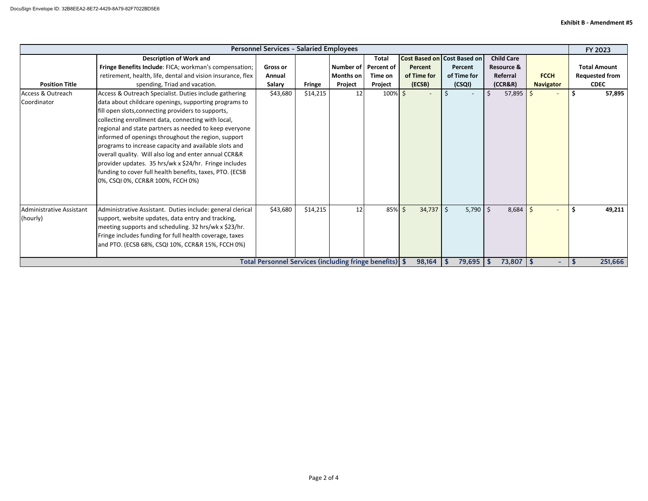|                                                           | <b>Personnel Services - Salaried Employees</b>                                                                                                                                                                                                                                                                                                                                                                                                                                                                                                                                                                                                                                                                                                                                                                        |                                                           |                           |                                   |                                                                          |                                  |                                                                              |                                                                             |                                 |                                                                                  |  |  |
|-----------------------------------------------------------|-----------------------------------------------------------------------------------------------------------------------------------------------------------------------------------------------------------------------------------------------------------------------------------------------------------------------------------------------------------------------------------------------------------------------------------------------------------------------------------------------------------------------------------------------------------------------------------------------------------------------------------------------------------------------------------------------------------------------------------------------------------------------------------------------------------------------|-----------------------------------------------------------|---------------------------|-----------------------------------|--------------------------------------------------------------------------|----------------------------------|------------------------------------------------------------------------------|-----------------------------------------------------------------------------|---------------------------------|----------------------------------------------------------------------------------|--|--|
| <b>Position Title</b><br>Access & Outreach<br>Coordinator | <b>Description of Work and</b><br>Fringe Benefits Include: FICA; workman's compensation;<br>retirement, health, life, dental and vision insurance, flex<br>spending, Triad and vacation.<br>Access & Outreach Specialist. Duties include gathering<br>data about childcare openings, supporting programs to<br>fill open slots, connecting providers to supports,<br>collecting enrollment data, connecting with local,<br>regional and state partners as needed to keep everyone<br>informed of openings throughout the region, support<br>programs to increase capacity and available slots and<br>overall quality. Will also log and enter annual CCR&R<br>provider updates. 35 hrs/wk x \$24/hr. Fringe includes<br>funding to cover full health benefits, taxes, PTO. (ECSB<br>0%, CSQI 0%, CCR&R 100%, FCCH 0%) | <b>Gross or</b><br>Annual<br><b>Salary</b><br>\$43,680    | <b>Fringe</b><br>\$14,215 | <b>Months on</b><br>Project<br>12 | <b>Total</b><br>Number of Percent of<br>Time on<br>Project<br>$100\%$ \$ | Percent<br>of Time for<br>(ECSB) | <b>Cost Based on Cost Based on</b><br>Percent<br>of Time for<br>(CSQL)<br>Ŝ. | <b>Child Care</b><br><b>Resource &amp;</b><br>Referral<br>(CCR&R)<br>57,895 | <b>FCCH</b><br><b>Navigator</b> | FY 2023<br><b>Total Amount</b><br><b>Requested from</b><br><b>CDEC</b><br>57,895 |  |  |
| Administrative Assistant<br>(hourly)                      | Administrative Assistant. Duties include: general clerical<br>support, website updates, data entry and tracking,<br>meeting supports and scheduling. 32 hrs/wk x \$23/hr.<br>Fringe includes funding for full health coverage, taxes<br>and PTO. (ECSB 68%, CSQI 10%, CCR&R 15%, FCCH 0%)                                                                                                                                                                                                                                                                                                                                                                                                                                                                                                                             | \$43,680                                                  | \$14,215                  | 12                                | 85% \$                                                                   | $34,737$ \$                      | $5,790$   \$                                                                 | 8,684                                                                       |                                 | Ŝ.<br>49,211                                                                     |  |  |
|                                                           |                                                                                                                                                                                                                                                                                                                                                                                                                                                                                                                                                                                                                                                                                                                                                                                                                       | Total Personnel Services (including fringe benefits)   \$ |                           |                                   |                                                                          | 98,164                           | 79,695                                                                       | $73,807$   \$<br>l S                                                        | $\rightarrow$                   | 251,666                                                                          |  |  |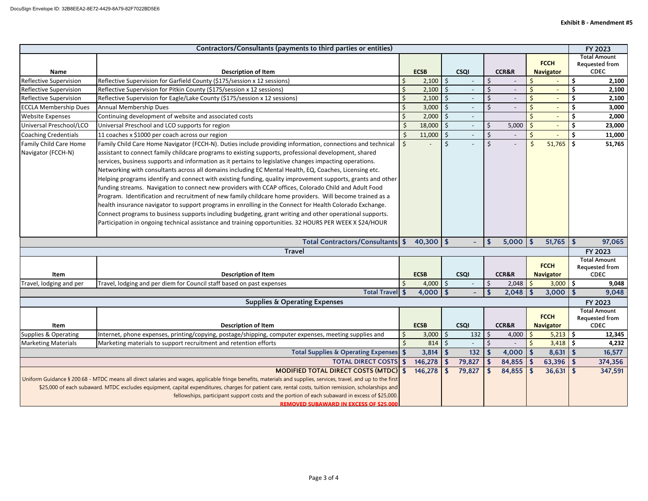| Contractors/Consultants (payments to third parties or entities)                                                                                                                                                                                                                                                                                                                                                                                                                                                                        |                                                                                                                                                                                                                                                                                                                                                                                                                                                                                                                                                                                                                                                                                                                                                                                                                                                                                                                                                                                                                                                                                                                 |    |              |                           |             |                  |                  | FY 2023                        |                                 |                                                      |  |                                                      |
|----------------------------------------------------------------------------------------------------------------------------------------------------------------------------------------------------------------------------------------------------------------------------------------------------------------------------------------------------------------------------------------------------------------------------------------------------------------------------------------------------------------------------------------|-----------------------------------------------------------------------------------------------------------------------------------------------------------------------------------------------------------------------------------------------------------------------------------------------------------------------------------------------------------------------------------------------------------------------------------------------------------------------------------------------------------------------------------------------------------------------------------------------------------------------------------------------------------------------------------------------------------------------------------------------------------------------------------------------------------------------------------------------------------------------------------------------------------------------------------------------------------------------------------------------------------------------------------------------------------------------------------------------------------------|----|--------------|---------------------------|-------------|------------------|------------------|--------------------------------|---------------------------------|------------------------------------------------------|--|------------------------------------------------------|
| <b>Name</b>                                                                                                                                                                                                                                                                                                                                                                                                                                                                                                                            | <b>Description of Item</b>                                                                                                                                                                                                                                                                                                                                                                                                                                                                                                                                                                                                                                                                                                                                                                                                                                                                                                                                                                                                                                                                                      |    | <b>ECSB</b>  |                           | <b>CSQI</b> | <b>CCR&amp;R</b> |                  |                                |                                 | <b>FCCH</b><br><b>Navigator</b>                      |  | <b>Total Amount</b><br>Requested from<br><b>CDEC</b> |
| <b>Reflective Supervision</b>                                                                                                                                                                                                                                                                                                                                                                                                                                                                                                          | Reflective Supervision for Garfield County (\$175/session x 12 sessions)                                                                                                                                                                                                                                                                                                                                                                                                                                                                                                                                                                                                                                                                                                                                                                                                                                                                                                                                                                                                                                        |    | $2,100$ \$   |                           |             | \$               |                  | \$                             |                                 | 2,100<br>\$                                          |  |                                                      |
| <b>Reflective Supervision</b>                                                                                                                                                                                                                                                                                                                                                                                                                                                                                                          | Reflective Supervision for Pitkin County (\$175/session x 12 sessions)                                                                                                                                                                                                                                                                                                                                                                                                                                                                                                                                                                                                                                                                                                                                                                                                                                                                                                                                                                                                                                          |    | 2,100        | \$                        |             |                  |                  | $\zeta$                        |                                 | \$<br>2,100                                          |  |                                                      |
| <b>Reflective Supervision</b>                                                                                                                                                                                                                                                                                                                                                                                                                                                                                                          | Reflective Supervision for Eagle/Lake County (\$175/session x 12 sessions)                                                                                                                                                                                                                                                                                                                                                                                                                                                                                                                                                                                                                                                                                                                                                                                                                                                                                                                                                                                                                                      |    | 2,100        | \$                        |             |                  |                  | \$<br>$\overline{\phantom{a}}$ |                                 | 2,100                                                |  |                                                      |
| <b>ECCLA Membership Dues</b>                                                                                                                                                                                                                                                                                                                                                                                                                                                                                                           | Annual Membership Dues                                                                                                                                                                                                                                                                                                                                                                                                                                                                                                                                                                                                                                                                                                                                                                                                                                                                                                                                                                                                                                                                                          |    | 3,000        | \$                        |             | <sup>S</sup>     |                  | $\zeta$                        | $\overline{\phantom{a}}$        | 3,000                                                |  |                                                      |
| <b>Website Expenses</b>                                                                                                                                                                                                                                                                                                                                                                                                                                                                                                                | Continuing development of website and associated costs                                                                                                                                                                                                                                                                                                                                                                                                                                                                                                                                                                                                                                                                                                                                                                                                                                                                                                                                                                                                                                                          |    | 2,000        | \$                        |             |                  |                  | Ś.<br>$\overline{\phantom{a}}$ |                                 | 2,000                                                |  |                                                      |
| Universal Preschool/LCO                                                                                                                                                                                                                                                                                                                                                                                                                                                                                                                | Universal Preschool and LCO supports for region                                                                                                                                                                                                                                                                                                                                                                                                                                                                                                                                                                                                                                                                                                                                                                                                                                                                                                                                                                                                                                                                 |    | 18,000       | $\zeta$                   |             | \$               | 5,000            | \$<br>$\qquad \qquad -$        |                                 | \$<br>23,000                                         |  |                                                      |
| Coaching Credentials                                                                                                                                                                                                                                                                                                                                                                                                                                                                                                                   | 11 coaches x \$1000 per coach across our region                                                                                                                                                                                                                                                                                                                                                                                                                                                                                                                                                                                                                                                                                                                                                                                                                                                                                                                                                                                                                                                                 |    | 11,000       | $\zeta$                   |             | $\zeta$          |                  | $\zeta$                        |                                 | \$<br>11,000                                         |  |                                                      |
| Family Child Care Home<br>Navigator (FCCH-N)                                                                                                                                                                                                                                                                                                                                                                                                                                                                                           | Family Child Care Home Navigator (FCCH-N). Duties include providing information, connections and technical<br>assistant to connect family childcare programs to existing supports, professional development, shared<br>services, business supports and information as it pertains to legislative changes impacting operations.<br>Networking with consultants across all domains including EC Mental Health, EQ, Coaches, Licensing etc.<br>Helping programs identify and connect with existing funding, quality improvement supports, grants and other<br>funding streams. Navigation to connect new providers with CCAP offices, Colorado Child and Adult Food<br>Program. Identification and recruitment of new family childcare home providers. Will become trained as a<br>health insurance navigator to support programs in enrolling in the Connect for Health Colorado Exchange.<br>Connect programs to business supports including budgeting, grant writing and other operational supports.<br>Participation in ongoing technical assistance and training opportunities. 32 HOURS PER WEEK X \$24/HOUR |    |              | Š.                        |             |                  |                  | \$                             | 51,765                          | Ŝ.<br>51,765                                         |  |                                                      |
| Total Contractors/Consultants   \$                                                                                                                                                                                                                                                                                                                                                                                                                                                                                                     |                                                                                                                                                                                                                                                                                                                                                                                                                                                                                                                                                                                                                                                                                                                                                                                                                                                                                                                                                                                                                                                                                                                 |    |              | $40,300$ \$               |             |                  | 5,000            |                                | $51,765$ \$                     | 97,065                                               |  |                                                      |
| <b>Travel</b>                                                                                                                                                                                                                                                                                                                                                                                                                                                                                                                          |                                                                                                                                                                                                                                                                                                                                                                                                                                                                                                                                                                                                                                                                                                                                                                                                                                                                                                                                                                                                                                                                                                                 |    |              |                           |             |                  | FY 2023          |                                |                                 |                                                      |  |                                                      |
| Item                                                                                                                                                                                                                                                                                                                                                                                                                                                                                                                                   | <b>Description of Item</b>                                                                                                                                                                                                                                                                                                                                                                                                                                                                                                                                                                                                                                                                                                                                                                                                                                                                                                                                                                                                                                                                                      |    | <b>ECSB</b>  |                           | <b>CSQI</b> |                  | <b>CCR&amp;R</b> |                                | <b>FCCH</b><br><b>Navigator</b> | <b>Total Amount</b><br>Requested from<br><b>CDEC</b> |  |                                                      |
| Travel, lodging and per                                                                                                                                                                                                                                                                                                                                                                                                                                                                                                                | Travel, lodging and per diem for Council staff based on past expenses                                                                                                                                                                                                                                                                                                                                                                                                                                                                                                                                                                                                                                                                                                                                                                                                                                                                                                                                                                                                                                           |    | $4,000$ \$   |                           |             | $\frac{1}{2}$    | 2,048            | \$                             | $3,000$ \$                      | 9,048                                                |  |                                                      |
|                                                                                                                                                                                                                                                                                                                                                                                                                                                                                                                                        | Total Travel \$                                                                                                                                                                                                                                                                                                                                                                                                                                                                                                                                                                                                                                                                                                                                                                                                                                                                                                                                                                                                                                                                                                 |    | $4,000$   \$ |                           |             |                  | 2,048            |                                | $3,000$   \$                    | 9,048                                                |  |                                                      |
|                                                                                                                                                                                                                                                                                                                                                                                                                                                                                                                                        | <b>Supplies &amp; Operating Expenses</b>                                                                                                                                                                                                                                                                                                                                                                                                                                                                                                                                                                                                                                                                                                                                                                                                                                                                                                                                                                                                                                                                        |    |              |                           |             |                  |                  |                                |                                 | FY 2023                                              |  |                                                      |
| Item                                                                                                                                                                                                                                                                                                                                                                                                                                                                                                                                   | <b>Description of Item</b>                                                                                                                                                                                                                                                                                                                                                                                                                                                                                                                                                                                                                                                                                                                                                                                                                                                                                                                                                                                                                                                                                      |    | <b>ECSB</b>  |                           | <b>CSQI</b> |                  | <b>CCR&amp;R</b> |                                | <b>FCCH</b><br><b>Navigator</b> | <b>Total Amount</b><br>Requested from<br><b>CDEC</b> |  |                                                      |
| Supplies & Operating                                                                                                                                                                                                                                                                                                                                                                                                                                                                                                                   | Internet, phone expenses, printing/copying, postage/shipping, computer expenses, meeting supplies and                                                                                                                                                                                                                                                                                                                                                                                                                                                                                                                                                                                                                                                                                                                                                                                                                                                                                                                                                                                                           | \$ | $3,000$ \$   |                           | 132         | \$               | 4,000            |                                | 5,213                           | \$<br>12,345                                         |  |                                                      |
| <b>Marketing Materials</b>                                                                                                                                                                                                                                                                                                                                                                                                                                                                                                             | Marketing materials to support recruitment and retention efforts                                                                                                                                                                                                                                                                                                                                                                                                                                                                                                                                                                                                                                                                                                                                                                                                                                                                                                                                                                                                                                                |    | 814          | $\zeta$                   |             | \$               |                  | $\ddot{\mathsf{S}}$            | $3,418$ \$                      | 4,232                                                |  |                                                      |
| Total Supplies & Operating Expenses \$                                                                                                                                                                                                                                                                                                                                                                                                                                                                                                 |                                                                                                                                                                                                                                                                                                                                                                                                                                                                                                                                                                                                                                                                                                                                                                                                                                                                                                                                                                                                                                                                                                                 |    | 3,814        | $\boldsymbol{\mathsf{s}}$ | 132         |                  | 4,000            |                                | $8,631$ \$                      | 16,577                                               |  |                                                      |
| <b>TOTAL DIRECT COSTS \$</b>                                                                                                                                                                                                                                                                                                                                                                                                                                                                                                           |                                                                                                                                                                                                                                                                                                                                                                                                                                                                                                                                                                                                                                                                                                                                                                                                                                                                                                                                                                                                                                                                                                                 |    | 146,278      | \$                        | 79,827      |                  | 84,855           |                                | $63,396$ \$                     | 374,356                                              |  |                                                      |
| <b>MODIFIED TOTAL DIRECT COSTS (MTDC) \$</b><br>146,278<br>Uniform Guidance § 200.68 - MTDC means all direct salaries and wages, applicable fringe benefits, materials and supplies, services, travel, and up to the first<br>\$25,000 of each subaward. MTDC excludes equipment, capital expenditures, charges for patient care, rental costs, tuition remission, scholarships and<br>fellowships, participant support costs and the portion of each subaward in excess of \$25,000.<br><b>REMOVED SUBAWARD IN EXCESS OF \$25.000</b> |                                                                                                                                                                                                                                                                                                                                                                                                                                                                                                                                                                                                                                                                                                                                                                                                                                                                                                                                                                                                                                                                                                                 |    |              |                           | 79,827      |                  | 84,855           |                                | $36,631$ \$                     | 347,591                                              |  |                                                      |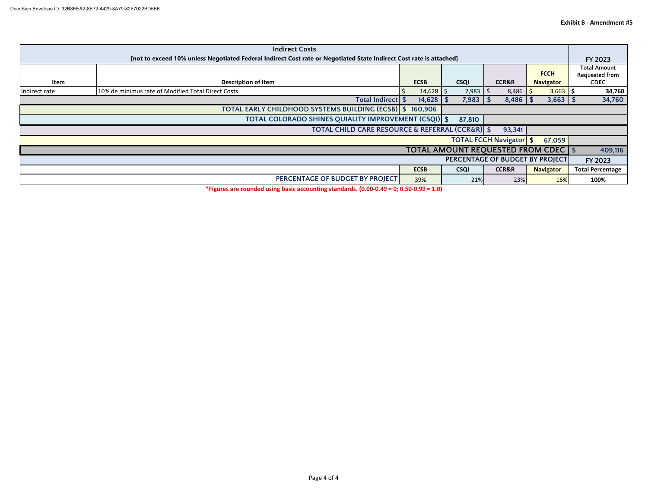| <b>Indirect Costs</b>                                                                                               |                                                    |               |              |                       |                  |                                |  |  |
|---------------------------------------------------------------------------------------------------------------------|----------------------------------------------------|---------------|--------------|-----------------------|------------------|--------------------------------|--|--|
| [not to exceed 10% unless Negotiated Federal Indirect Cost rate or Negotiated State Indirect Cost rate is attached] |                                                    |               |              |                       |                  |                                |  |  |
|                                                                                                                     |                                                    |               |              |                       | <b>FCCH</b>      | Total Amount<br>Requested from |  |  |
| Item                                                                                                                | <b>Description of Item</b>                         | <b>ECSB</b>   | <b>CSQI</b>  | <b>CCR&amp;R</b>      | <b>Navigator</b> | <b>CDEC</b>                    |  |  |
| Indirect rate:                                                                                                      | 10% de minimus rate of Modified Total Direct Costs | $14,628$ \$   | $7,983$   \$ | $8,486$ $\frac{5}{5}$ | $3,663$   \$     | 34,760                         |  |  |
|                                                                                                                     | Total Indirect \$                                  | $14,628$   \$ | 7,983        | $8,486$   \$          | $3,663$ \$       | 34,760                         |  |  |
| <b>TOTAL EARLY CHILDHOOD SYSTEMS BUILDING (ECSB) \$</b><br>160,906                                                  |                                                    |               |              |                       |                  |                                |  |  |
| TOTAL COLORADO SHINES QUIALITY IMPROVEMENT (CSQI) \$<br>87,810                                                      |                                                    |               |              |                       |                  |                                |  |  |
| <b>TOTAL CHILD CARE RESOURCE &amp; REFERRAL (CCR&amp;R) \$</b><br>93,341                                            |                                                    |               |              |                       |                  |                                |  |  |
| <b>TOTAL FCCH Navigator \$</b><br>67,059                                                                            |                                                    |               |              |                       |                  |                                |  |  |
| <b>TOTAL AMOUNT REQUESTED FROM CDEC   \$</b>                                                                        |                                                    |               |              |                       |                  |                                |  |  |
| PERCENTAGE OF BUDGET BY PROJECT                                                                                     |                                                    |               |              |                       |                  |                                |  |  |
|                                                                                                                     |                                                    | <b>ECSB</b>   | <b>CSQI</b>  | <b>CCR&amp;R</b>      | <b>Navigator</b> | <b>Total Percentage</b>        |  |  |
|                                                                                                                     | PERCENTAGE OF BUDGET BY PROJECT                    | 39%           | 21%          | 23%                   | 16%              | 100%                           |  |  |
|                                                                                                                     |                                                    |               |              |                       |                  |                                |  |  |

**\*Figures are rounded using basic accounting standards. (0.00-0.49 = 0; 0.50-0.99 = 1.0)**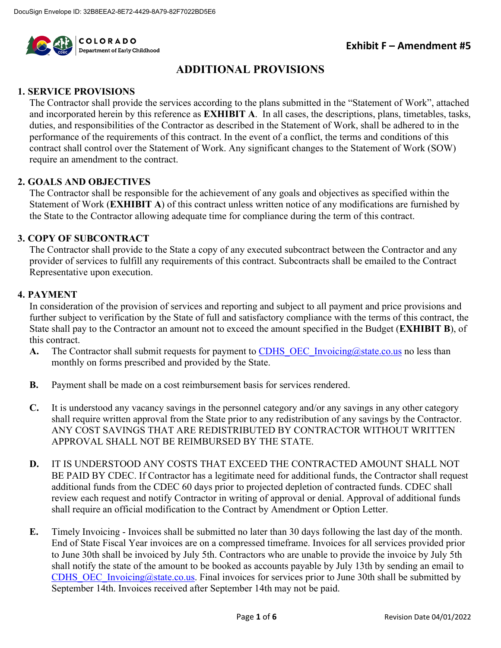

### **ADDITIONAL PROVISIONS**

#### **1. SERVICE PROVISIONS**

The Contractor shall provide the services according to the plans submitted in the "Statement of Work", attached and incorporated herein by this reference as **EXHIBIT A**. In all cases, the descriptions, plans, timetables, tasks, duties, and responsibilities of the Contractor as described in the Statement of Work, shall be adhered to in the performance of the requirements of this contract. In the event of a conflict, the terms and conditions of this contract shall control over the Statement of Work. Any significant changes to the Statement of Work (SOW) require an amendment to the contract.

#### **2. GOALS AND OBJECTIVES**

The Contractor shall be responsible for the achievement of any goals and objectives as specified within the Statement of Work (**EXHIBIT A**) of this contract unless written notice of any modifications are furnished by the State to the Contractor allowing adequate time for compliance during the term of this contract.

#### **3. COPY OF SUBCONTRACT**

The Contractor shall provide to the State a copy of any executed subcontract between the Contractor and any provider of services to fulfill any requirements of this contract. Subcontracts shall be emailed to the Contract Representative upon execution.

#### **4. PAYMENT**

In consideration of the provision of services and reporting and subject to all payment and price provisions and further subject to verification by the State of full and satisfactory compliance with the terms of this contract, the State shall pay to the Contractor an amount not to exceed the amount specified in the Budget (**EXHIBIT B**), of this contract.

- A. The Contractor shall submit requests for payment to CDHS OEC Invoicing@state.co.us no less than monthly on forms prescribed and provided by the State.
- **B.** Payment shall be made on a cost reimbursement basis for services rendered.
- **C.** It is understood any vacancy savings in the personnel category and/or any savings in any other category shall require written approval from the State prior to any redistribution of any savings by the Contractor. ANY COST SAVINGS THAT ARE REDISTRIBUTED BY CONTRACTOR WITHOUT WRITTEN APPROVAL SHALL NOT BE REIMBURSED BY THE STATE.
- **D.** IT IS UNDERSTOOD ANY COSTS THAT EXCEED THE CONTRACTED AMOUNT SHALL NOT BE PAID BY CDEC. If Contractor has a legitimate need for additional funds, the Contractor shall request additional funds from the CDEC 60 days prior to projected depletion of contracted funds. CDEC shall review each request and notify Contractor in writing of approval or denial. Approval of additional funds shall require an official modification to the Contract by Amendment or Option Letter.
- **E.** Timely Invoicing Invoices shall be submitted no later than 30 days following the last day of the month. End of State Fiscal Year invoices are on a compressed timeframe. Invoices for all services provided prior to June 30th shall be invoiced by July 5th. Contractors who are unable to provide the invoice by July 5th shall notify the state of the amount to be booked as accounts payable by July 13th by sending an email to CDHS OEC Invoicing@state.co.us. Final invoices for services prior to June 30th shall be submitted by September 14th. Invoices received after September 14th may not be paid.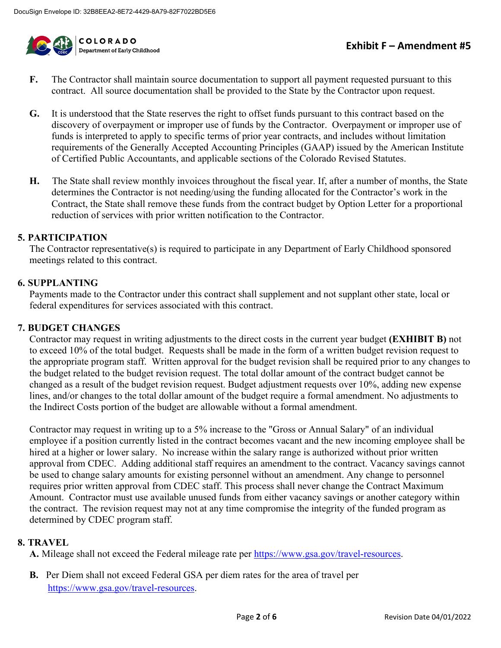

- **F.** The Contractor shall maintain source documentation to support all payment requested pursuant to this contract. All source documentation shall be provided to the State by the Contractor upon request.
- **G.** It is understood that the State reserves the right to offset funds pursuant to this contract based on the discovery of overpayment or improper use of funds by the Contractor. Overpayment or improper use of funds is interpreted to apply to specific terms of prior year contracts, and includes without limitation requirements of the Generally Accepted Accounting Principles (GAAP) issued by the American Institute of Certified Public Accountants, and applicable sections of the Colorado Revised Statutes.
- **H.** The State shall review monthly invoices throughout the fiscal year. If, after a number of months, the State determines the Contractor is not needing/using the funding allocated for the Contractor's work in the Contract, the State shall remove these funds from the contract budget by Option Letter for a proportional reduction of services with prior written notification to the Contractor.

#### **5. PARTICIPATION**

The Contractor representative(s) is required to participate in any Department of Early Childhood sponsored meetings related to this contract.

#### **6. SUPPLANTING**

Payments made to the Contractor under this contract shall supplement and not supplant other state, local or federal expenditures for services associated with this contract.

#### **7. BUDGET CHANGES**

Contractor may request in writing adjustments to the direct costs in the current year budget **(EXHIBIT B)** not to exceed 10% of the total budget. Requests shall be made in the form of a written budget revision request to the appropriate program staff. Written approval for the budget revision shall be required prior to any changes to the budget related to the budget revision request. The total dollar amount of the contract budget cannot be changed as a result of the budget revision request. Budget adjustment requests over 10%, adding new expense lines, and/or changes to the total dollar amount of the budget require a formal amendment. No adjustments to the Indirect Costs portion of the budget are allowable without a formal amendment.

Contractor may request in writing up to a 5% increase to the "Gross or Annual Salary" of an individual employee if a position currently listed in the contract becomes vacant and the new incoming employee shall be hired at a higher or lower salary. No increase within the salary range is authorized without prior written approval from CDEC. Adding additional staff requires an amendment to the contract. Vacancy savings cannot be used to change salary amounts for existing personnel without an amendment. Any change to personnel requires prior written approval from CDEC staff. This process shall never change the Contract Maximum Amount. Contractor must use available unused funds from either vacancy savings or another category within the contract. The revision request may not at any time compromise the integrity of the funded program as determined by CDEC program staff.

#### **8. TRAVEL**

**A.** Mileage shall not exceed the Federal mileage rate per [https://www.gsa.gov/travel-resources.](https://www.gsa.gov/travel-resources)

**B.** Per Diem shall not exceed Federal GSA per diem rates for the area of travel per [https://www.gsa.gov/travel-resources.](https://www.gsa.gov/travel-resources)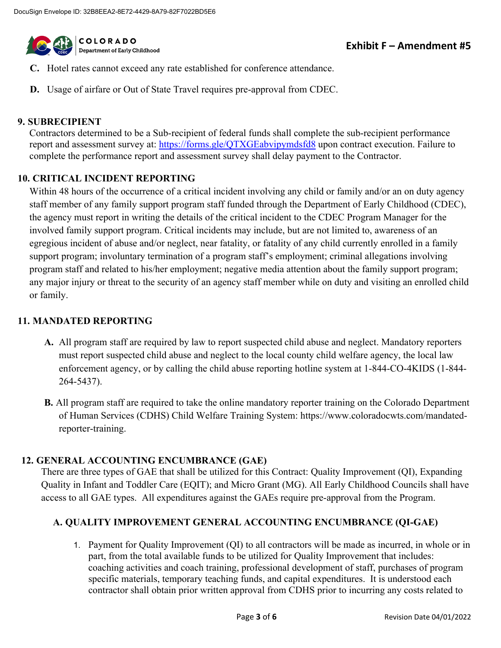

- **C.** Hotel rates cannot exceed any rate established for conference attendance.
- **D.** Usage of airfare or Out of State Travel requires pre-approval from CDEC.

#### **9. SUBRECIPIENT**

Contractors determined to be a Sub-recipient of federal funds shall complete the sub-recipient performance report and assessment survey at:<https://forms.gle/QTXGEabvipymdsfd8>upon contract execution. Failure to complete the performance report and assessment survey shall delay payment to the Contractor.

#### **10. CRITICAL INCIDENT REPORTING**

Within 48 hours of the occurrence of a critical incident involving any child or family and/or an on duty agency staff member of any family support program staff funded through the Department of Early Childhood (CDEC), the agency must report in writing the details of the critical incident to the CDEC Program Manager for the involved family support program. Critical incidents may include, but are not limited to, awareness of an egregious incident of abuse and/or neglect, near fatality, or fatality of any child currently enrolled in a family support program; involuntary termination of a program staff's employment; criminal allegations involving program staff and related to his/her employment; negative media attention about the family support program; any major injury or threat to the security of an agency staff member while on duty and visiting an enrolled child or family.

#### **11. MANDATED REPORTING**

- **A.** All program staff are required by law to report suspected child abuse and neglect. Mandatory reporters must report suspected child abuse and neglect to the local county child welfare agency, the local law enforcement agency, or by calling the child abuse reporting hotline system at 1-844-CO-4KIDS (1-844- 264-5437).
- **B.** All program staff are required to take the online mandatory reporter training on the Colorado Department of Human Services (CDHS) Child Welfare Training System: https://www.coloradocwts.com/mandatedreporter-training.

#### **12. GENERAL ACCOUNTING ENCUMBRANCE (GAE)**

There are three types of GAE that shall be utilized for this Contract: Quality Improvement (QI), Expanding Quality in Infant and Toddler Care (EQIT); and Micro Grant (MG). All Early Childhood Councils shall have access to all GAE types. All expenditures against the GAEs require pre-approval from the Program.

#### **A. QUALITY IMPROVEMENT GENERAL ACCOUNTING ENCUMBRANCE (QI-GAE)**

1. Payment for Quality Improvement (QI) to all contractors will be made as incurred, in whole or in part, from the total available funds to be utilized for Quality Improvement that includes: coaching activities and coach training, professional development of staff, purchases of program specific materials, temporary teaching funds, and capital expenditures. It is understood each contractor shall obtain prior written approval from CDHS prior to incurring any costs related to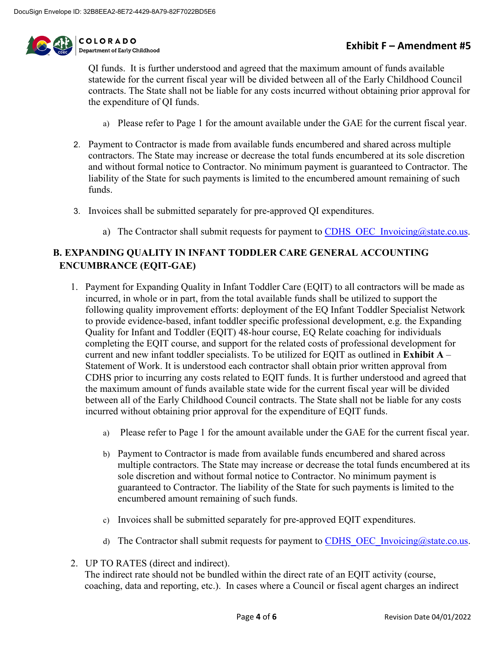

**COLORADO** Department of Early Childhood

QI funds. It is further understood and agreed that the maximum amount of funds available statewide for the current fiscal year will be divided between all of the Early Childhood Council contracts. The State shall not be liable for any costs incurred without obtaining prior approval for the expenditure of QI funds.

- a) Please refer to Page 1 for the amount available under the GAE for the current fiscal year.
- 2. Payment to Contractor is made from available funds encumbered and shared across multiple contractors. The State may increase or decrease the total funds encumbered at its sole discretion and without formal notice to Contractor. No minimum payment is guaranteed to Contractor. The liability of the State for such payments is limited to the encumbered amount remaining of such funds.
- 3. Invoices shall be submitted separately for pre-approved QI expenditures.
	- a) The Contractor shall submit requests for payment to CDHS OEC Invoicing@state.co.us.

### **B. EXPANDING QUALITY IN INFANT TODDLER CARE GENERAL ACCOUNTING ENCUMBRANCE (EQIT-GAE)**

- 1. Payment for Expanding Quality in Infant Toddler Care (EQIT) to all contractors will be made as incurred, in whole or in part, from the total available funds shall be utilized to support the following quality improvement efforts: deployment of the EQ Infant Toddler Specialist Network to provide evidence-based, infant toddler specific professional development, e.g. the Expanding Quality for Infant and Toddler (EQIT) 48-hour course, EQ Relate coaching for individuals completing the EQIT course, and support for the related costs of professional development for current and new infant toddler specialists. To be utilized for EQIT as outlined in **Exhibit A** – Statement of Work. It is understood each contractor shall obtain prior written approval from CDHS prior to incurring any costs related to EQIT funds. It is further understood and agreed that the maximum amount of funds available state wide for the current fiscal year will be divided between all of the Early Childhood Council contracts. The State shall not be liable for any costs incurred without obtaining prior approval for the expenditure of EQIT funds.
	- a) Please refer to Page 1 for the amount available under the GAE for the current fiscal year.
	- b) Payment to Contractor is made from available funds encumbered and shared across multiple contractors. The State may increase or decrease the total funds encumbered at its sole discretion and without formal notice to Contractor. No minimum payment is guaranteed to Contractor. The liability of the State for such payments is limited to the encumbered amount remaining of such funds.
	- c) Invoices shall be submitted separately for pre-approved EQIT expenditures.
	- d) The Contractor shall submit requests for payment to CDHS OEC Invoicing@state.co.us.
- 2. UP TO RATES (direct and indirect).

The indirect rate should not be bundled within the direct rate of an EQIT activity (course, coaching, data and reporting, etc.). In cases where a Council or fiscal agent charges an indirect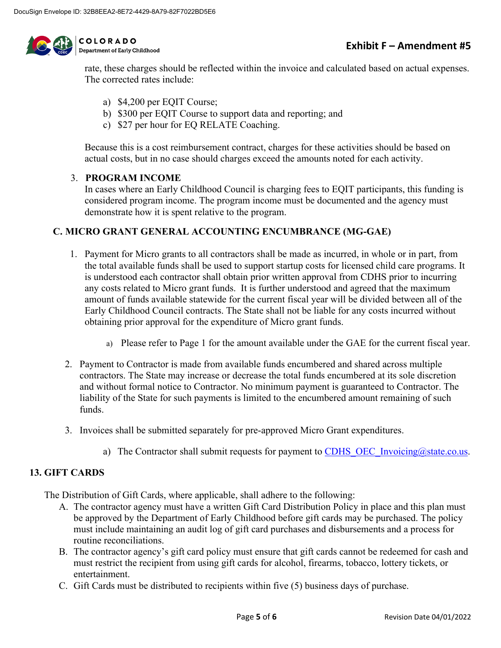

COLORADO Department of Early Childhood

rate, these charges should be reflected within the invoice and calculated based on actual expenses. The corrected rates include:

- a) \$4,200 per EQIT Course;
- b) \$300 per EQIT Course to support data and reporting; and
- c) \$27 per hour for EQ RELATE Coaching.

Because this is a cost reimbursement contract, charges for these activities should be based on actual costs, but in no case should charges exceed the amounts noted for each activity.

#### 3. **PROGRAM INCOME**

In cases where an Early Childhood Council is charging fees to EQIT participants, this funding is considered program income. The program income must be documented and the agency must demonstrate how it is spent relative to the program.

#### **C. MICRO GRANT GENERAL ACCOUNTING ENCUMBRANCE (MG-GAE)**

- 1. Payment for Micro grants to all contractors shall be made as incurred, in whole or in part, from the total available funds shall be used to support startup costs for licensed child care programs. It is understood each contractor shall obtain prior written approval from CDHS prior to incurring any costs related to Micro grant funds. It is further understood and agreed that the maximum amount of funds available statewide for the current fiscal year will be divided between all of the Early Childhood Council contracts. The State shall not be liable for any costs incurred without obtaining prior approval for the expenditure of Micro grant funds.
	- a) Please refer to Page 1 for the amount available under the GAE for the current fiscal year.
- 2. Payment to Contractor is made from available funds encumbered and shared across multiple contractors. The State may increase or decrease the total funds encumbered at its sole discretion and without formal notice to Contractor. No minimum payment is guaranteed to Contractor. The liability of the State for such payments is limited to the encumbered amount remaining of such funds.
- 3. Invoices shall be submitted separately for pre-approved Micro Grant expenditures.
	- a) The Contractor shall submit requests for payment to [CDHS\\_OEC\\_Invoicing@state.co.us.](mailto:CDHS_OEC_Invoicing@state.co.us)

#### **13. GIFT CARDS**

The Distribution of Gift Cards, where applicable, shall adhere to the following:

- A. The contractor agency must have a written Gift Card Distribution Policy in place and this plan must be approved by the Department of Early Childhood before gift cards may be purchased. The policy must include maintaining an audit log of gift card purchases and disbursements and a process for routine reconciliations.
- B. The contractor agency's gift card policy must ensure that gift cards cannot be redeemed for cash and must restrict the recipient from using gift cards for alcohol, firearms, tobacco, lottery tickets, or entertainment.
- C. Gift Cards must be distributed to recipients within five (5) business days of purchase.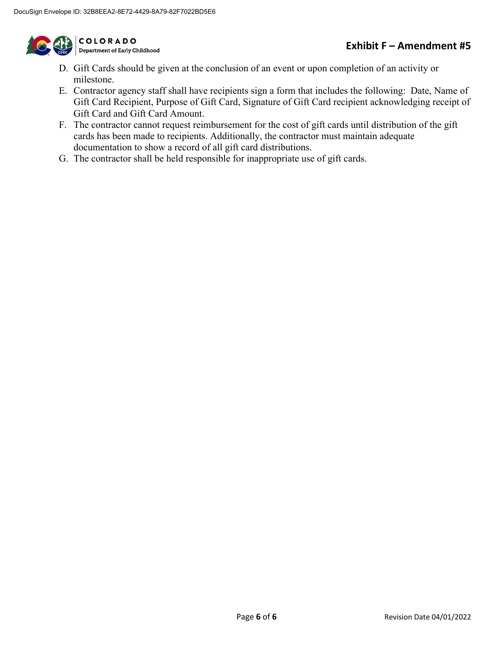

COLORADO<br>Department of Early Childhood

- D. Gift Cards should be given at the conclusion of an event or upon completion of an activity or milestone.
- E. Contractor agency staff shall have recipients sign a form that includes the following: Date, Name of Gift Card Recipient, Purpose of Gift Card, Signature of Gift Card recipient acknowledging receipt of Gift Card and Gift Card Amount.
- F. The contractor cannot request reimbursement for the cost of gift cards until distribution of the gift cards has been made to recipients. Additionally, the contractor must maintain adequate documentation to show a record of all gift card distributions.
- G. The contractor shall be held responsible for inappropriate use of gift cards.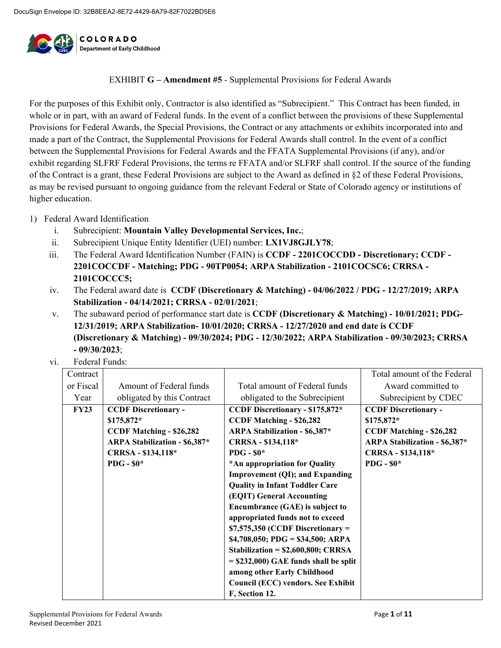

EXHIBIT **G – Amendment #5** - Supplemental Provisions for Federal Awards

For the purposes of this Exhibit only, Contractor is also identified as "Subrecipient." This Contract has been funded, in whole or in part, with an award of Federal funds. In the event of a conflict between the provisions of these Supplemental Provisions for Federal Awards, the Special Provisions, the Contract or any attachments or exhibits incorporated into and made a part of the Contract, the Supplemental Provisions for Federal Awards shall control. In the event of a conflict between the Supplemental Provisions for Federal Awards and the FFATA Supplemental Provisions (if any), and/or exhibit regarding SLFRF Federal Provisions, the terms re FFATA and/or SLFRF shall control. If the source of the funding of the Contract is a grant, these Federal Provisions are subject to the Award as defined in §2 of these Federal Provisions, as may be revised pursuant to ongoing guidance from the relevant Federal or State of Colorado agency or institutions of higher education.

- 1) Federal Award Identification
	- i. Subrecipient: **Mountain Valley Developmental Services, Inc.**;
	- ii. Subrecipient Unique Entity Identifier (UEI) number: **LX1VJ8GJLY78**;
	- iii. The Federal Award Identification Number (FAIN) is **CCDF - 2201COCCDD - Discretionary; CCDF - 2201COCCDF - Matching; PDG - 90TP0054; ARPA Stabilization - 2101COCSC6; CRRSA - 2101COCCC5;**
	- iv. The Federal award date is **CCDF (Discretionary & Matching) - 04/06/2022 / PDG - 12/27/2019; ARPA Stabilization - 04/14/2021; CRRSA - 02/01/2021**;
	- v. The subaward period of performance start date is **CCDF (Discretionary & Matching) - 10/01/2021; PDG-12/31/2019; ARPA Stabilization- 10/01/2020; CRRSA - 12/27/2020 and end date is CCDF (Discretionary & Matching) - 09/30/2024; PDG - 12/30/2022; ARPA Stabilization - 09/30/2023; CRRSA - 09/30/2023**;
	- vi. Federal Funds:

| Contract    |                                      |                                         | Total amount of the Federal          |
|-------------|--------------------------------------|-----------------------------------------|--------------------------------------|
| or Fiscal   | Amount of Federal funds              | Total amount of Federal funds           | Award committed to                   |
| Year        | obligated by this Contract           | obligated to the Subrecipient           | Subrecipient by CDEC                 |
| <b>FY23</b> | <b>CCDF Discretionary -</b>          | CCDF Discretionary - \$175,872*         | <b>CCDF Discretionary -</b>          |
|             | $$175,872*$                          | <b>CCDF Matching - \$26,282</b>         | $$175,872*$                          |
|             | <b>CCDF Matching - \$26,282</b>      | <b>ARPA Stabilization - \$6,387*</b>    | <b>CCDF Matching - \$26,282</b>      |
|             | <b>ARPA Stabilization - \$6,387*</b> | CRRSA - \$134,118*                      | <b>ARPA Stabilization - \$6,387*</b> |
|             | CRRSA - \$134,118*                   | PDG - $$0^*$                            | CRRSA - \$134,118*                   |
|             | PDG - $$0*$                          | *An appropriation for Quality           | PDG - $$0^*$                         |
|             |                                      | Improvement (QI); and Expanding         |                                      |
|             |                                      | <b>Quality in Infant Toddler Care</b>   |                                      |
|             |                                      | (EQIT) General Accounting               |                                      |
|             |                                      | Encumbrance (GAE) is subject to         |                                      |
|             |                                      | appropriated funds not to exceed        |                                      |
|             |                                      | $$7,575,350$ (CCDF Discretionary =      |                                      |
|             |                                      | $$4,708,050;$ PDG = \$34,500; ARPA      |                                      |
|             |                                      | Stabilization = $$2,600,800$ ; CRRSA    |                                      |
|             |                                      | $=$ \$232,000) GAE funds shall be split |                                      |
|             |                                      | among other Early Childhood             |                                      |
|             |                                      | Council (ECC) vendors. See Exhibit      |                                      |
|             |                                      | F, Section 12.                          |                                      |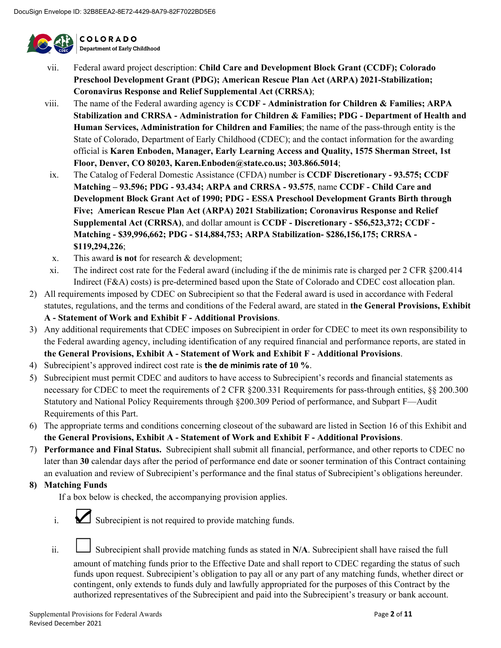

COLORADO Department of Early Childhood

- vii. Federal award project description: **Child Care and Development Block Grant (CCDF); Colorado Preschool Development Grant (PDG); American Rescue Plan Act (ARPA) 2021-Stabilization; Coronavirus Response and Relief Supplemental Act (CRRSA)**;
- viii. The name of the Federal awarding agency is **CCDF - Administration for Children & Families; ARPA Stabilization and CRRSA - Administration for Children & Families; PDG - Department of Health and Human Services, Administration for Children and Families**; the name of the pass-through entity is the State of Colorado, Department of Early Childhood (CDEC); and the contact information for the awarding official is **Karen Enboden, Manager, Early Learning Access and Quality, 1575 Sherman Street, 1st Floor, Denver, CO 80203, Karen.Enboden@state.co.us; 303.866.5014**;
- ix. The Catalog of Federal Domestic Assistance (CFDA) number is **CCDF Discretionary - 93.575; CCDF Matching – 93.596; PDG - 93.434; ARPA and CRRSA - 93.575**, name **CCDF - Child Care and Development Block Grant Act of 1990; PDG - ESSA Preschool Development Grants Birth through Five; American Rescue Plan Act (ARPA) 2021 Stabilization; Coronavirus Response and Relief Supplemental Act (CRRSA)**, and dollar amount is **CCDF - Discretionary - \$56,523,372; CCDF - Matching - \$39,996,662; PDG - \$14,884,753; ARPA Stabilization- \$286,156,175; CRRSA - \$119,294,226**;
- x. This award **is not** for research & development;
- xi. The indirect cost rate for the Federal award (including if the de minimis rate is charged per 2 CFR §200.414 Indirect (F&A) costs) is pre-determined based upon the State of Colorado and CDEC cost allocation plan.
- 2) All requirements imposed by CDEC on Subrecipient so that the Federal award is used in accordance with Federal statutes, regulations, and the terms and conditions of the Federal award, are stated in **the General Provisions, Exhibit A - Statement of Work and Exhibit F - Additional Provisions**.
- 3) Any additional requirements that CDEC imposes on Subrecipient in order for CDEC to meet its own responsibility to the Federal awarding agency, including identification of any required financial and performance reports, are stated in **the General Provisions, Exhibit A - Statement of Work and Exhibit F - Additional Provisions**.
- 4) Subrecipient's approved indirect cost rate is **the de minimis rate of 10 %**.
- 5) Subrecipient must permit CDEC and auditors to have access to Subrecipient's records and financial statements as necessary for CDEC to meet the requirements of 2 CFR §200.331 Requirements for pass-through entities, §§ 200.300 Statutory and National Policy Requirements through §200.309 Period of performance, and Subpart F—Audit Requirements of this Part.
- 6) The appropriate terms and conditions concerning closeout of the subaward are listed in Section 16 of this Exhibit and **the General Provisions, Exhibit A - Statement of Work and Exhibit F - Additional Provisions**.
- 7) **Performance and Final Status.** Subrecipient shall submit all financial, performance, and other reports to CDEC no later than **30** calendar days after the period of performance end date or sooner termination of this Contract containing an evaluation and review of Subrecipient's performance and the final status of Subrecipient's obligations hereunder.
- **8) Matching Funds**

If a box below is checked, the accompanying provision applies.

- i.  $\sum$  Subrecipient is not required to provide matching funds.
- ii. Subrecipient shall provide matching funds as stated in N/A. Subrecipient shall have raised the full

amount of matching funds prior to the Effective Date and shall report to CDEC regarding the status of such funds upon request. Subrecipient's obligation to pay all or any part of any matching funds, whether direct or contingent, only extends to funds duly and lawfully appropriated for the purposes of this Contract by the authorized representatives of the Subrecipient and paid into the Subrecipient's treasury or bank account.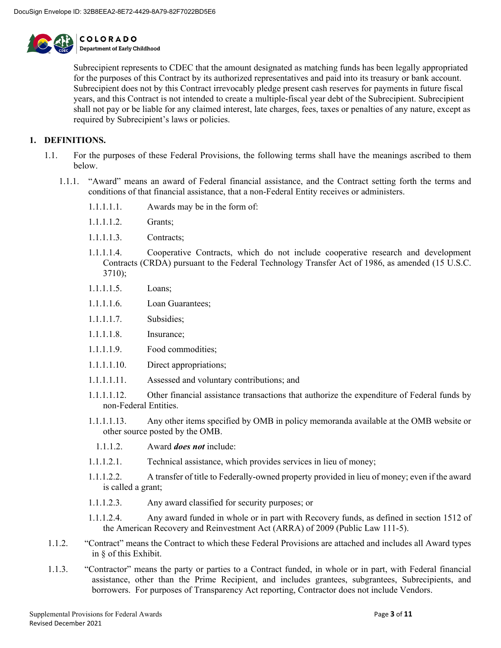

Subrecipient represents to CDEC that the amount designated as matching funds has been legally appropriated for the purposes of this Contract by its authorized representatives and paid into its treasury or bank account. Subrecipient does not by this Contract irrevocably pledge present cash reserves for payments in future fiscal years, and this Contract is not intended to create a multiple-fiscal year debt of the Subrecipient. Subrecipient shall not pay or be liable for any claimed interest, late charges, fees, taxes or penalties of any nature, except as required by Subrecipient's laws or policies.

#### **1. DEFINITIONS.**

- 1.1. For the purposes of these Federal Provisions, the following terms shall have the meanings ascribed to them below.
	- 1.1.1. "Award" means an award of Federal financial assistance, and the Contract setting forth the terms and conditions of that financial assistance, that a non-Federal Entity receives or administers.
		- 1.1.1.1.1. Awards may be in the form of:
		- 1.1.1.1.2. Grants;
		- 1.1.1.1.3. Contracts;
		- 1.1.1.1.4. Cooperative Contracts, which do not include cooperative research and development Contracts (CRDA) pursuant to the Federal Technology Transfer Act of 1986, as amended (15 U.S.C. 3710);
		- 1.1.1.1.5. Loans;
		- 1.1.1.1.6. Loan Guarantees;
		- 1.1.1.1.7. Subsidies;
		- 1.1.1.1.8. Insurance;
		- 1.1.1.1.9. Food commodities;
		- 1.1.1.1.10. Direct appropriations;
		- 1.1.1.1.11. Assessed and voluntary contributions; and
		- 1.1.1.1.12. Other financial assistance transactions that authorize the expenditure of Federal funds by non-Federal Entities.
		- 1.1.1.1.13. Any other items specified by OMB in policy memoranda available at the OMB website or other source posted by the OMB.
			- 1.1.1.2. Award *does not* include:
		- 1.1.1.2.1. Technical assistance, which provides services in lieu of money;
		- 1.1.1.2.2. A transfer of title to Federally-owned property provided in lieu of money; even if the award is called a grant;
		- 1.1.1.2.3. Any award classified for security purposes; or
		- 1.1.1.2.4. Any award funded in whole or in part with Recovery funds, as defined in section 1512 of the American Recovery and Reinvestment Act (ARRA) of 2009 (Public Law 111-5).
- 1.1.2. "Contract" means the Contract to which these Federal Provisions are attached and includes all Award types in § of this Exhibit.
- 1.1.3. "Contractor" means the party or parties to a Contract funded, in whole or in part, with Federal financial assistance, other than the Prime Recipient, and includes grantees, subgrantees, Subrecipients, and borrowers. For purposes of Transparency Act reporting, Contractor does not include Vendors.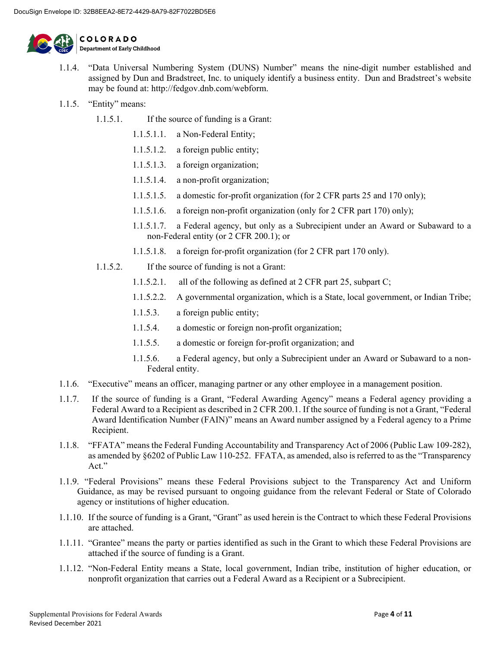

1.1.4. "Data Universal Numbering System (DUNS) Number" means the nine-digit number established and assigned by Dun and Bradstreet, Inc. to uniquely identify a business entity. Dun and Bradstreet's website may be found at: [http://fedgov.dnb.com/webform.](http://fedgov.dnb.com/webform)

- 1.1.5. "Entity" means:
	- 1.1.5.1. If the source of funding is a Grant:
		- 1.1.5.1.1. a Non-Federal Entity;
		- 1.1.5.1.2. a foreign public entity;
		- 1.1.5.1.3. a foreign organization;
		- 1.1.5.1.4. a non-profit organization;
		- 1.1.5.1.5. a domestic for-profit organization (for 2 CFR parts 25 and 170 only);
		- 1.1.5.1.6. a foreign non-profit organization (only for 2 CFR part 170) only);
		- 1.1.5.1.7. a Federal agency, but only as a Subrecipient under an Award or Subaward to a non-Federal entity (or 2 CFR 200.1); or
		- 1.1.5.1.8. a foreign for-profit organization (for 2 CFR part 170 only).
	- 1.1.5.2. If the source of funding is not a Grant:
		- 1.1.5.2.1. all of the following as defined at 2 CFR part 25, subpart C;
		- 1.1.5.2.2. A governmental organization, which is a State, local government, or Indian Tribe;
		- 1.1.5.3. a foreign public entity;
		- 1.1.5.4. a domestic or foreign non-profit organization;
		- 1.1.5.5. a domestic or foreign for-profit organization; and
		- 1.1.5.6. a Federal agency, but only a Subrecipient under an Award or Subaward to a non-Federal entity.
- 1.1.6. "Executive" means an officer, managing partner or any other employee in a management position.
- 1.1.7. If the source of funding is a Grant, "Federal Awarding Agency" means a Federal agency providing a Federal Award to a Recipient as described in 2 CFR 200.1. If the source of funding is not a Grant, "Federal Award Identification Number (FAIN)" means an Award number assigned by a Federal agency to a Prime Recipient.
- 1.1.8. "FFATA" means the Federal Funding Accountability and Transparency Act of 2006 (Public Law 109-282), as amended by §6202 of Public Law 110-252. FFATA, as amended, also is referred to as the "Transparency Act."
- 1.1.9. "Federal Provisions" means these Federal Provisions subject to the Transparency Act and Uniform Guidance, as may be revised pursuant to ongoing guidance from the relevant Federal or State of Colorado agency or institutions of higher education.
- 1.1.10. If the source of funding is a Grant, "Grant" as used herein is the Contract to which these Federal Provisions are attached.
- 1.1.11. "Grantee" means the party or parties identified as such in the Grant to which these Federal Provisions are attached if the source of funding is a Grant.
- 1.1.12. "Non-Federal Entity means a State, local government, Indian tribe, institution of higher education, or nonprofit organization that carries out a Federal Award as a Recipient or a Subrecipient.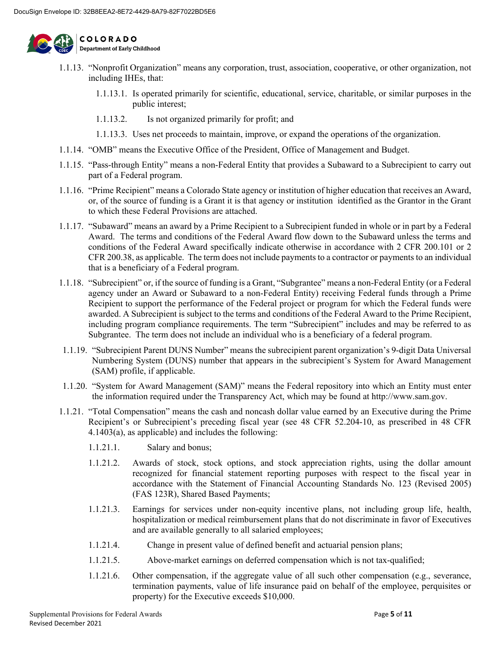

1.1.13. "Nonprofit Organization" means any corporation, trust, association, cooperative, or other organization, not including IHEs, that:

- 1.1.13.1. Is operated primarily for scientific, educational, service, charitable, or similar purposes in the public interest;
- 1.1.13.2. Is not organized primarily for profit; and
- 1.1.13.3. Uses net proceeds to maintain, improve, or expand the operations of the organization.
- 1.1.14. "OMB" means the Executive Office of the President, Office of Management and Budget.
- 1.1.15. "Pass-through Entity" means a non-Federal Entity that provides a Subaward to a Subrecipient to carry out part of a Federal program.
- 1.1.16. "Prime Recipient" means a Colorado State agency or institution of higher education that receives an Award, or, of the source of funding is a Grant it is that agency or institution identified as the Grantor in the Grant to which these Federal Provisions are attached.
- 1.1.17. "Subaward" means an award by a Prime Recipient to a Subrecipient funded in whole or in part by a Federal Award. The terms and conditions of the Federal Award flow down to the Subaward unless the terms and conditions of the Federal Award specifically indicate otherwise in accordance with 2 CFR 200.101 or 2 CFR 200.38, as applicable. The term does not include payments to a contractor or payments to an individual that is a beneficiary of a Federal program.
- 1.1.18. "Subrecipient" or, if the source of funding is a Grant, "Subgrantee" means a non-Federal Entity (or a Federal agency under an Award or Subaward to a non-Federal Entity) receiving Federal funds through a Prime Recipient to support the performance of the Federal project or program for which the Federal funds were awarded. A Subrecipient is subject to the terms and conditions of the Federal Award to the Prime Recipient, including program compliance requirements. The term "Subrecipient" includes and may be referred to as Subgrantee. The term does not include an individual who is a beneficiary of a federal program.
- 1.1.19. "Subrecipient Parent DUNS Number" means the subrecipient parent organization's 9-digit Data Universal Numbering System (DUNS) number that appears in the subrecipient's System for Award Management (SAM) profile, if applicable.
- 1.1.20. "System for Award Management (SAM)" means the Federal repository into which an Entity must enter the information required under the Transparency Act, which may be found at http://www.sam.gov.
- 1.1.21. "Total Compensation" means the cash and noncash dollar value earned by an Executive during the Prime Recipient's or Subrecipient's preceding fiscal year (see 48 CFR 52.204-10, as prescribed in 48 CFR 4.1403(a), as applicable) and includes the following:
	- 1.1.21.1. Salary and bonus;
	- 1.1.21.2. Awards of stock, stock options, and stock appreciation rights, using the dollar amount recognized for financial statement reporting purposes with respect to the fiscal year in accordance with the Statement of Financial Accounting Standards No. 123 (Revised 2005) (FAS 123R), Shared Based Payments;
	- 1.1.21.3. Earnings for services under non-equity incentive plans, not including group life, health, hospitalization or medical reimbursement plans that do not discriminate in favor of Executives and are available generally to all salaried employees;
	- 1.1.21.4. Change in present value of defined benefit and actuarial pension plans;
	- 1.1.21.5. Above-market earnings on deferred compensation which is not tax-qualified;
	- 1.1.21.6. Other compensation, if the aggregate value of all such other compensation (e.g., severance, termination payments, value of life insurance paid on behalf of the employee, perquisites or property) for the Executive exceeds \$10,000.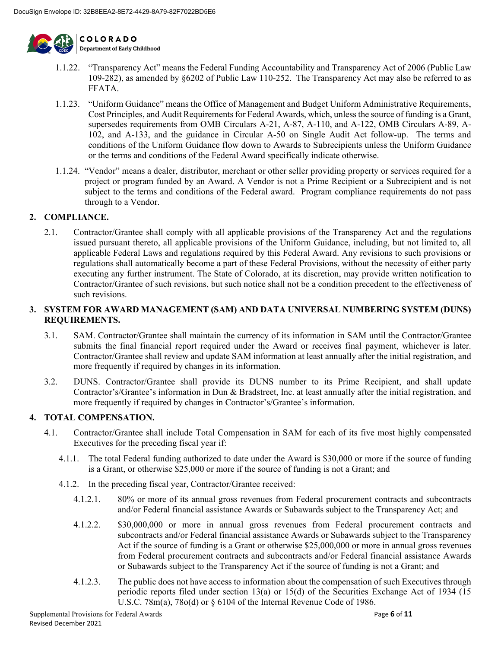

1.1.22. "Transparency Act" means the Federal Funding Accountability and Transparency Act of 2006 (Public Law 109-282), as amended by §6202 of Public Law 110-252. The Transparency Act may also be referred to as FFATA.

- 1.1.23. "Uniform Guidance" means the Office of Management and Budget Uniform Administrative Requirements, Cost Principles, and Audit Requirements for Federal Awards, which, unless the source of funding is a Grant, supersedes requirements from OMB Circulars A-21, A-87, A-110, and A-122, OMB Circulars A-89, A-102, and A-133, and the guidance in Circular A-50 on Single Audit Act follow-up. The terms and conditions of the Uniform Guidance flow down to Awards to Subrecipients unless the Uniform Guidance or the terms and conditions of the Federal Award specifically indicate otherwise.
- 1.1.24. "Vendor" means a dealer, distributor, merchant or other seller providing property or services required for a project or program funded by an Award. A Vendor is not a Prime Recipient or a Subrecipient and is not subject to the terms and conditions of the Federal award. Program compliance requirements do not pass through to a Vendor.

#### **2. COMPLIANCE.**

2.1. Contractor/Grantee shall comply with all applicable provisions of the Transparency Act and the regulations issued pursuant thereto, all applicable provisions of the Uniform Guidance, including, but not limited to, all applicable Federal Laws and regulations required by this Federal Award. Any revisions to such provisions or regulations shall automatically become a part of these Federal Provisions, without the necessity of either party executing any further instrument. The State of Colorado, at its discretion, may provide written notification to Contractor/Grantee of such revisions, but such notice shall not be a condition precedent to the effectiveness of such revisions.

#### **3. SYSTEM FOR AWARD MANAGEMENT (SAM) AND DATA UNIVERSAL NUMBERING SYSTEM (DUNS) REQUIREMENTS.**

- 3.1. SAM. Contractor/Grantee shall maintain the currency of its information in SAM until the Contractor/Grantee submits the final financial report required under the Award or receives final payment, whichever is later. Contractor/Grantee shall review and update SAM information at least annually after the initial registration, and more frequently if required by changes in its information.
- 3.2. DUNS. Contractor/Grantee shall provide its DUNS number to its Prime Recipient, and shall update Contractor's/Grantee's information in Dun & Bradstreet, Inc. at least annually after the initial registration, and more frequently if required by changes in Contractor's/Grantee's information.

#### **4. TOTAL COMPENSATION.**

- 4.1. Contractor/Grantee shall include Total Compensation in SAM for each of its five most highly compensated Executives for the preceding fiscal year if:
	- 4.1.1. The total Federal funding authorized to date under the Award is \$30,000 or more if the source of funding is a Grant, or otherwise \$25,000 or more if the source of funding is not a Grant; and
	- 4.1.2. In the preceding fiscal year, Contractor/Grantee received:
		- 4.1.2.1. 80% or more of its annual gross revenues from Federal procurement contracts and subcontracts and/or Federal financial assistance Awards or Subawards subject to the Transparency Act; and
		- 4.1.2.2. \$30,000,000 or more in annual gross revenues from Federal procurement contracts and subcontracts and/or Federal financial assistance Awards or Subawards subject to the Transparency Act if the source of funding is a Grant or otherwise \$25,000,000 or more in annual gross revenues from Federal procurement contracts and subcontracts and/or Federal financial assistance Awards or Subawards subject to the Transparency Act if the source of funding is not a Grant; and
		- 4.1.2.3. The public does not have access to information about the compensation of such Executives through periodic reports filed under section 13(a) or 15(d) of the Securities Exchange Act of 1934 (15 U.S.C. 78m(a), 78o(d) or § 6104 of the Internal Revenue Code of 1986.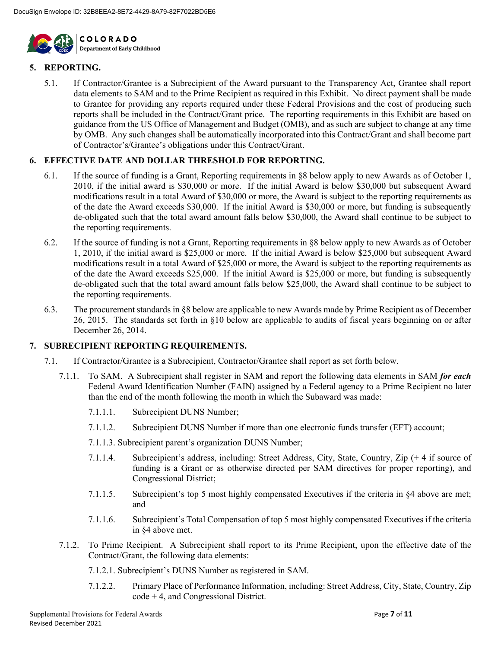

#### **5. REPORTING.**

5.1. If Contractor/Grantee is a Subrecipient of the Award pursuant to the Transparency Act, Grantee shall report data elements to SAM and to the Prime Recipient as required in this Exhibit. No direct payment shall be made to Grantee for providing any reports required under these Federal Provisions and the cost of producing such reports shall be included in the Contract/Grant price. The reporting requirements in this Exhibit are based on guidance from the US Office of Management and Budget (OMB), and as such are subject to change at any time by OMB. Any such changes shall be automatically incorporated into this Contract/Grant and shall become part of Contractor's/Grantee's obligations under this Contract/Grant.

#### **6. EFFECTIVE DATE AND DOLLAR THRESHOLD FOR REPORTING.**

- 6.1. If the source of funding is a Grant, Reporting requirements in §8 below apply to new Awards as of October 1, 2010, if the initial award is \$30,000 or more. If the initial Award is below \$30,000 but subsequent Award modifications result in a total Award of \$30,000 or more, the Award is subject to the reporting requirements as of the date the Award exceeds \$30,000. If the initial Award is \$30,000 or more, but funding is subsequently de-obligated such that the total award amount falls below \$30,000, the Award shall continue to be subject to the reporting requirements.
- 6.2. If the source of funding is not a Grant, Reporting requirements in §8 below apply to new Awards as of October 1, 2010, if the initial award is \$25,000 or more. If the initial Award is below \$25,000 but subsequent Award modifications result in a total Award of \$25,000 or more, the Award is subject to the reporting requirements as of the date the Award exceeds \$25,000. If the initial Award is \$25,000 or more, but funding is subsequently de-obligated such that the total award amount falls below \$25,000, the Award shall continue to be subject to the reporting requirements.
- 6.3. The procurement standards in [§8](#page--1-0) below are applicable to new Awards made by Prime Recipient as of December 26, 2015. The standards set forth in [§10](#page--1-1) below are applicable to audits of fiscal years beginning on or after December 26, 2014.

#### **7. SUBRECIPIENT REPORTING REQUIREMENTS.**

- 7.1. If Contractor/Grantee is a Subrecipient, Contractor/Grantee shall report as set forth below.
	- 7.1.1. To SAM. A Subrecipient shall register in SAM and report the following data elements in SAM *for each* Federal Award Identification Number (FAIN) assigned by a Federal agency to a Prime Recipient no later than the end of the month following the month in which the Subaward was made:
		- 7.1.1.1. Subrecipient DUNS Number;
		- 7.1.1.2. Subrecipient DUNS Number if more than one electronic funds transfer (EFT) account;
		- 7.1.1.3. Subrecipient parent's organization DUNS Number;
		- 7.1.1.4. Subrecipient's address, including: Street Address, City, State, Country, Zip (+ 4 if source of funding is a Grant or as otherwise directed per SAM directives for proper reporting), and Congressional District;
		- 7.1.1.5. Subrecipient's top 5 most highly compensated Executives if the criteria in §4 above are met; and
		- 7.1.1.6. Subrecipient's Total Compensation of top 5 most highly compensated Executives if the criteria in §4 above met.
	- 7.1.2. To Prime Recipient. A Subrecipient shall report to its Prime Recipient, upon the effective date of the Contract/Grant, the following data elements:
		- 7.1.2.1. Subrecipient's DUNS Number as registered in SAM.
		- 7.1.2.2. Primary Place of Performance Information, including: Street Address, City, State, Country, Zip code + 4, and Congressional District.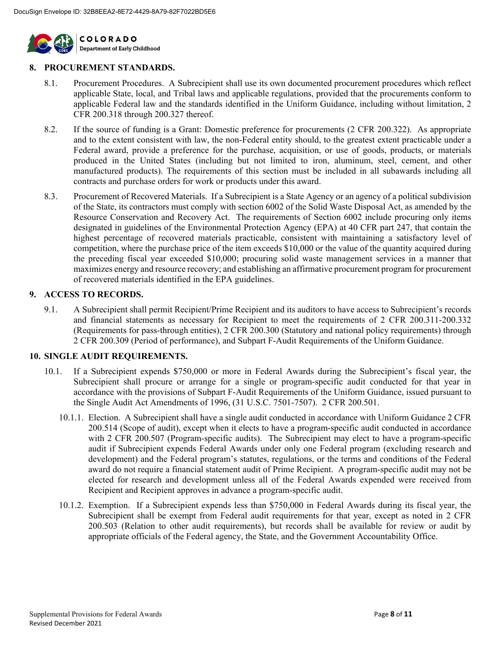

#### **8. PROCUREMENT STANDARDS.**

- 8.1. Procurement Procedures. A Subrecipient shall use its own documented procurement procedures which reflect applicable State, local, and Tribal laws and applicable regulations, provided that the procurements conform to applicable Federal law and the standards identified in the Uniform Guidance, including without limitation, 2 CFR 200.318 through 200.327 thereof.
- 8.2. If the source of funding is a Grant: Domestic preference for procurements (2 CFR 200.322). As appropriate and to the extent consistent with law, the non-Federal entity should, to the greatest extent practicable under a Federal award, provide a preference for the purchase, acquisition, or use of goods, products, or materials produced in the United States (including but not limited to iron, aluminum, steel, cement, and other manufactured products). The requirements of this section must be included in all subawards including all contracts and purchase orders for work or products under this award.
- 8.3. Procurement of Recovered Materials. If a Subrecipient is a State Agency or an agency of a political subdivision of the State, its contractors must comply with section 6002 of the Solid Waste Disposal Act, as amended by the Resource Conservation and Recovery Act. The requirements of Section 6002 include procuring only items designated in guidelines of the Environmental Protection Agency (EPA) at 40 CFR part 247, that contain the highest percentage of recovered materials practicable, consistent with maintaining a satisfactory level of competition, where the purchase price of the item exceeds \$10,000 or the value of the quantity acquired during the preceding fiscal year exceeded \$10,000; procuring solid waste management services in a manner that maximizes energy and resource recovery; and establishing an affirmative procurement program for procurement of recovered materials identified in the EPA guidelines.

#### **9. ACCESS TO RECORDS.**

9.1. A Subrecipient shall permit Recipient/Prime Recipient and its auditors to have access to Subrecipient's records and financial statements as necessary for Recipient to meet the requirements of 2 CFR 200.311-200.332 (Requirements for pass-through entities), 2 CFR 200.300 (Statutory and national policy requirements) through 2 CFR 200.309 (Period of performance), and Subpart F-Audit Requirements of the Uniform Guidance.

#### **10. SINGLE AUDIT REQUIREMENTS.**

- 10.1. If a Subrecipient expends \$750,000 or more in Federal Awards during the Subrecipient's fiscal year, the Subrecipient shall procure or arrange for a single or program-specific audit conducted for that year in accordance with the provisions of Subpart F-Audit Requirements of the Uniform Guidance, issued pursuant to the Single Audit Act Amendments of 1996, (31 U.S.C. 7501-7507). 2 CFR 200.501.
	- 10.1.1. Election. A Subrecipient shall have a single audit conducted in accordance with Uniform Guidance 2 CFR 200.514 (Scope of audit), except when it elects to have a program-specific audit conducted in accordance with 2 CFR 200.507 (Program-specific audits). The Subrecipient may elect to have a program-specific audit if Subrecipient expends Federal Awards under only one Federal program (excluding research and development) and the Federal program's statutes, regulations, or the terms and conditions of the Federal award do not require a financial statement audit of Prime Recipient. A program-specific audit may not be elected for research and development unless all of the Federal Awards expended were received from Recipient and Recipient approves in advance a program-specific audit.
	- 10.1.2. Exemption. If a Subrecipient expends less than \$750,000 in Federal Awards during its fiscal year, the Subrecipient shall be exempt from Federal audit requirements for that year, except as noted in 2 CFR 200.503 (Relation to other audit requirements), but records shall be available for review or audit by appropriate officials of the Federal agency, the State, and the Government Accountability Office.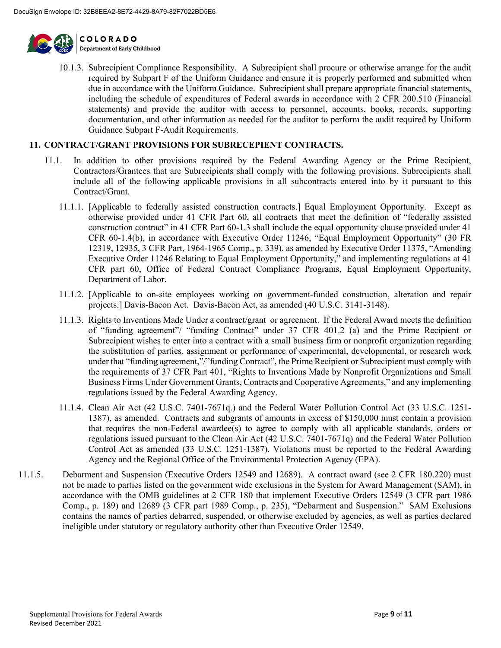

10.1.3. Subrecipient Compliance Responsibility. A Subrecipient shall procure or otherwise arrange for the audit required by Subpart F of the Uniform Guidance and ensure it is properly performed and submitted when due in accordance with the Uniform Guidance. Subrecipient shall prepare appropriate financial statements, including the schedule of expenditures of Federal awards in accordance with 2 CFR 200.510 (Financial statements) and provide the auditor with access to personnel, accounts, books, records, supporting documentation, and other information as needed for the auditor to perform the audit required by Uniform Guidance Subpart F-Audit Requirements.

#### **11. CONTRACT/GRANT PROVISIONS FOR SUBRECEPIENT CONTRACTS.**

- 11.1. In addition to other provisions required by the Federal Awarding Agency or the Prime Recipient, Contractors/Grantees that are Subrecipients shall comply with the following provisions. Subrecipients shall include all of the following applicable provisions in all subcontracts entered into by it pursuant to this Contract/Grant.
	- 11.1.1. [Applicable to federally assisted construction contracts.] Equal Employment Opportunity. Except as otherwise provided under 41 CFR Part 60, all contracts that meet the definition of "federally assisted construction contract" in 41 CFR Part 60-1.3 shall include the equal opportunity clause provided under 41 CFR 60-1.4(b), in accordance with Executive Order 11246, "Equal Employment Opportunity" (30 FR 12319, 12935, 3 CFR Part, 1964-1965 Comp., p. 339), as amended by Executive Order 11375, "Amending Executive Order 11246 Relating to Equal Employment Opportunity," and implementing regulations at 41 CFR part 60, Office of Federal Contract Compliance Programs, Equal Employment Opportunity, Department of Labor.
	- 11.1.2. [Applicable to on-site employees working on government-funded construction, alteration and repair projects.] Davis-Bacon Act. Davis-Bacon Act, as amended (40 U.S.C. 3141-3148).
	- 11.1.3. Rights to Inventions Made Under a contract/grant or agreement. If the Federal Award meets the definition of "funding agreement"/ "funding Contract" under 37 CFR 401.2 (a) and the Prime Recipient or Subrecipient wishes to enter into a contract with a small business firm or nonprofit organization regarding the substitution of parties, assignment or performance of experimental, developmental, or research work under that "funding agreement,"/"funding Contract", the Prime Recipient or Subrecipient must comply with the requirements of 37 CFR Part 401, "Rights to Inventions Made by Nonprofit Organizations and Small Business Firms Under Government Grants, Contracts and Cooperative Agreements," and any implementing regulations issued by the Federal Awarding Agency.
	- 11.1.4. Clean Air Act (42 U.S.C. 7401-7671q.) and the Federal Water Pollution Control Act (33 U.S.C. 1251- 1387), as amended. Contracts and subgrants of amounts in excess of \$150,000 must contain a provision that requires the non-Federal awardee(s) to agree to comply with all applicable standards, orders or regulations issued pursuant to the Clean Air Act (42 U.S.C. 7401-7671q) and the Federal Water Pollution Control Act as amended (33 U.S.C. 1251-1387). Violations must be reported to the Federal Awarding Agency and the Regional Office of the Environmental Protection Agency (EPA).
- 11.1.5. Debarment and Suspension (Executive Orders 12549 and 12689). A contract award (see 2 CFR 180.220) must not be made to parties listed on the government wide exclusions in the System for Award Management (SAM), in accordance with the OMB guidelines at 2 CFR 180 that implement Executive Orders 12549 (3 CFR part 1986 Comp., p. 189) and 12689 (3 CFR part 1989 Comp., p. 235), "Debarment and Suspension." SAM Exclusions contains the names of parties debarred, suspended, or otherwise excluded by agencies, as well as parties declared ineligible under statutory or regulatory authority other than Executive Order 12549.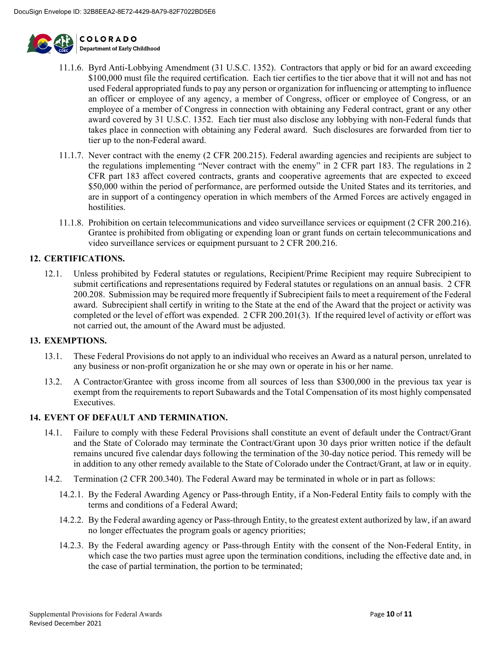

- 11.1.6. Byrd Anti-Lobbying Amendment (31 U.S.C. 1352). Contractors that apply or bid for an award exceeding \$100,000 must file the required certification. Each tier certifies to the tier above that it will not and has not used Federal appropriated funds to pay any person or organization for influencing or attempting to influence an officer or employee of any agency, a member of Congress, officer or employee of Congress, or an employee of a member of Congress in connection with obtaining any Federal contract, grant or any other award covered by 31 U.S.C. 1352. Each tier must also disclose any lobbying with non-Federal funds that takes place in connection with obtaining any Federal award. Such disclosures are forwarded from tier to tier up to the non-Federal award.
- 11.1.7. Never contract with the enemy (2 CFR 200.215). Federal awarding agencies and recipients are subject to the regulations implementing "Never contract with the enemy" in 2 CFR part 183. The regulations in 2 CFR part 183 affect covered contracts, grants and cooperative agreements that are expected to exceed \$50,000 within the period of performance, are performed outside the United States and its territories, and are in support of a contingency operation in which members of the Armed Forces are actively engaged in hostilities.
- 11.1.8. Prohibition on certain telecommunications and video surveillance services or equipment (2 CFR 200.216). Grantee is prohibited from obligating or expending loan or grant funds on certain telecommunications and video surveillance services or equipment pursuant to 2 CFR 200.216.

#### **12. CERTIFICATIONS.**

12.1. Unless prohibited by Federal statutes or regulations, Recipient/Prime Recipient may require Subrecipient to submit certifications and representations required by Federal statutes or regulations on an annual basis. 2 CFR 200.208. Submission may be required more frequently if Subrecipient fails to meet a requirement of the Federal award. Subrecipient shall certify in writing to the State at the end of the Award that the project or activity was completed or the level of effort was expended. 2 CFR 200.201(3). If the required level of activity or effort was not carried out, the amount of the Award must be adjusted.

#### **13. EXEMPTIONS.**

- 13.1. These Federal Provisions do not apply to an individual who receives an Award as a natural person, unrelated to any business or non-profit organization he or she may own or operate in his or her name.
- 13.2. A Contractor/Grantee with gross income from all sources of less than \$300,000 in the previous tax year is exempt from the requirements to report Subawards and the Total Compensation of its most highly compensated Executives.

#### **14. EVENT OF DEFAULT AND TERMINATION.**

- 14.1. Failure to comply with these Federal Provisions shall constitute an event of default under the Contract/Grant and the State of Colorado may terminate the Contract/Grant upon 30 days prior written notice if the default remains uncured five calendar days following the termination of the 30-day notice period. This remedy will be in addition to any other remedy available to the State of Colorado under the Contract/Grant, at law or in equity.
- 14.2. Termination (2 CFR 200.340). The Federal Award may be terminated in whole or in part as follows:
	- 14.2.1. By the Federal Awarding Agency or Pass-through Entity, if a Non-Federal Entity fails to comply with the terms and conditions of a Federal Award;
	- 14.2.2. By the Federal awarding agency or Pass-through Entity, to the greatest extent authorized by law, if an award no longer effectuates the program goals or agency priorities;
	- 14.2.3. By the Federal awarding agency or Pass-through Entity with the consent of the Non-Federal Entity, in which case the two parties must agree upon the termination conditions, including the effective date and, in the case of partial termination, the portion to be terminated;